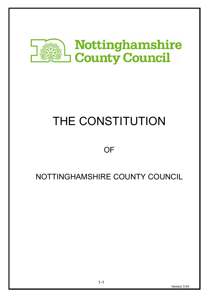

# THE CONSTITUTION

# **OF**

# NOTTINGHAMSHIRE COUNTY COUNCIL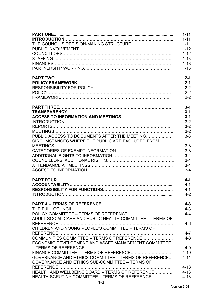|                                                          | $1 - 11$ |
|----------------------------------------------------------|----------|
|                                                          | $1 - 11$ |
|                                                          | $1 - 11$ |
|                                                          | $1 - 12$ |
|                                                          | $1 - 12$ |
|                                                          | $1 - 13$ |
|                                                          | $1 - 13$ |
|                                                          | $1 - 13$ |
|                                                          |          |
|                                                          | $2 - 1$  |
|                                                          | $2 - 1$  |
|                                                          | $2 - 2$  |
|                                                          | $2 - 2$  |
|                                                          | $2 - 2$  |
|                                                          | $3 - 1$  |
|                                                          | $3 - 1$  |
|                                                          | $3 - 1$  |
|                                                          | $3 - 2$  |
|                                                          | $3 - 2$  |
|                                                          | $3 - 2$  |
| PUBLIC ACCESS TO DOCUMENTS AFTER THE MEETING             | $3-3$    |
| CIRCUMSTANCES WHERE THE PUBLIC ARE EXCLUDED FROM         |          |
|                                                          | $3 - 3$  |
|                                                          | $3 - 3$  |
|                                                          | $3 - 4$  |
|                                                          | $3 - 4$  |
|                                                          | $3 - 4$  |
|                                                          | $3 - 4$  |
|                                                          |          |
|                                                          | $4 - 1$  |
|                                                          | $4 - 1$  |
|                                                          | $4 - 1$  |
|                                                          | $4 - 2$  |
|                                                          |          |
|                                                          | $4 - 3$  |
|                                                          | $4 - 3$  |
|                                                          | $4 - 4$  |
| ADULT SOCIAL CARE AND PUBLIC HEALTH COMMITTEE - TERMS OF |          |
|                                                          | $4 - 6$  |
| CHILDREN AND YOUNG PEOPLE'S COMMITTEE - TERMS OF         |          |
|                                                          | $4 - 7$  |
| COMMUNITIES COMMITTEE - TERMS OF REFERENCE               | $4 - 8$  |
| ECONOMIC DEVELOPMENT AND ASSET MANAGEMENT COMMITTEE      |          |
|                                                          | $4 - 9$  |
|                                                          | $4 - 10$ |
| GOVERNANCE AND ETHICS COMMITTEE - TERMS OF REFERENCE     | $4 - 11$ |
| GOVERNANCE AND ETHICS SUB-COMMITTEE - TERMS OF           |          |
|                                                          | $4 - 13$ |
| HEALTH AND WELLBEING BOARD - TERMS OF REFERENCE          | $4 - 13$ |
| HEALTH SCRUTINY COMMITTEE – TERMS OF REFERENCE           | $4 - 13$ |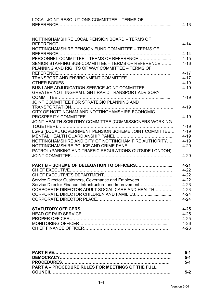| LOCAL JOINT RESOLUTIONS COMMITTEE - TERMS OF                                                          | $4 - 13$             |
|-------------------------------------------------------------------------------------------------------|----------------------|
|                                                                                                       |                      |
| NOTTINGHAMSHIRE LOCAL PENSION BOARD - TERMS OF                                                        | $4 - 14$             |
| NOTTINGHAMSHIRE PENSION FUND COMMITTEE - TERMS OF                                                     |                      |
| PERSONNEL COMMITTEE - TERMS OF REFERENCE                                                              | $4 - 14$<br>$4 - 15$ |
| SENIOR STAFFING SUB-COMMITTEE - TERMS OF REFERENCE<br>PLANNING AND RIGHTS OF WAY COMMITTEE - TERMS OF | $4 - 16$             |
|                                                                                                       | $4 - 17$             |
|                                                                                                       | $4 - 17$             |
|                                                                                                       | $4 - 19$             |
| BUS LANE ADJUDICATION SERVICE JOINT COMMITTEE                                                         | $4 - 19$             |
| GREATER NOTTINGHAM LIGHT RAPID TRANSPORT ADVISORY                                                     |                      |
| JOINT COMMITTEE FOR STRATEGIC PLANNING AND                                                            | $4 - 19$             |
|                                                                                                       | $4 - 19$             |
| CITY OF NOTTINGHAM AND NOTTINGHAMSHIRE ECONOMIC                                                       |                      |
|                                                                                                       | $4 - 19$             |
| JOINT HEALTH SCRUTINY COMMITTEE (COMMISSIONERS WORKING                                                |                      |
|                                                                                                       | $4 - 19$             |
|                                                                                                       | $4 - 19$<br>$4 - 19$ |
| NOTTINGHAMSHIRE AND CITY OF NOTTINGHAM FIRE AUTHORITY                                                 | $4 - 19$             |
| NOTTINGHAMSHIRE POLICE AND CRIME PANEL                                                                | $4 - 20$             |
| PATROL (PARKING AND TRAFFIC REGULATIONS OUTSIDE LONDON)                                               |                      |
|                                                                                                       | $4 - 20$             |
|                                                                                                       |                      |
|                                                                                                       | $4 - 21$<br>$4 - 22$ |
|                                                                                                       | $4 - 22$             |
| Service Director Customers, Governance and Employees                                                  | $4 - 22$             |
| Service Director Finance, Infrastructure and Improvement                                              | $4 - 23$             |
| CORPORATE DIRECTOR ADULT SOCIAL CARE AND HEALTH                                                       | $4 - 23$             |
|                                                                                                       | $4 - 24$             |
|                                                                                                       | $4 - 24$             |
|                                                                                                       | $4 - 25$             |
|                                                                                                       | $4 - 25$             |
|                                                                                                       | $4 - 25$             |
|                                                                                                       | $4 - 26$             |
|                                                                                                       | $4 - 26$             |

|                                                          | 5-1   |
|----------------------------------------------------------|-------|
|                                                          | $5-1$ |
|                                                          | 5-1   |
| <b>PART A – PROCEDURE RULES FOR MEETINGS OF THE FULL</b> |       |
|                                                          | $5-2$ |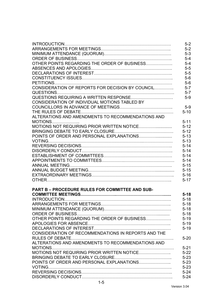|                                                     | $5-2$    |
|-----------------------------------------------------|----------|
|                                                     | $5-2$    |
|                                                     | $5-3$    |
|                                                     | $5-4$    |
| OTHER POINTS REGARDING THE ORDER OF BUSINESS        | $5-4$    |
|                                                     | $5-5$    |
|                                                     | $5-5$    |
|                                                     | $5-6$    |
|                                                     | $5-6$    |
| CONSIDERATION OF REPORTS FOR DECISION BY COUNCIL    | $5 - 7$  |
|                                                     | $5 - 7$  |
|                                                     | $5-9$    |
| CONSIDERATION OF INDIVIDUAL MOTIONS TABLED BY       |          |
|                                                     | $5-9$    |
|                                                     | $5 - 10$ |
| ALTERATIONS AND AMENDMENTS TO RECOMMENDATIONS AND   |          |
| $MOTIONS$                                           | $5 - 11$ |
| MOTIONS NOT REQUIRING PRIOR WRITTEN NOTICE          | $5 - 12$ |
|                                                     | $5 - 12$ |
|                                                     | $5 - 13$ |
|                                                     | $5 - 13$ |
|                                                     | $5 - 14$ |
|                                                     | $5 - 14$ |
|                                                     | $5 - 14$ |
|                                                     | $5 - 14$ |
|                                                     | $5 - 15$ |
|                                                     | $5 - 15$ |
|                                                     | $5 - 16$ |
|                                                     | $5 - 17$ |
| PART B - PROCEDURE RULES FOR COMMITTEE AND SUB-     |          |
|                                                     | $5 - 18$ |
| <b>INTRODUCTION</b>                                 | $5 - 18$ |
|                                                     | $5 - 18$ |
|                                                     | $5 - 18$ |
|                                                     | $5 - 18$ |
| OTHER POINTS REGARDING THE ORDER OF BUSINESS        | $5 - 19$ |
|                                                     | $5-19$   |
|                                                     | $5 - 19$ |
| CONSIDERATION OF RECOMMENDATIONS IN REPORTS AND THE |          |
|                                                     | $5 - 20$ |
| ALTERATIONS AND AMENDMENTS TO RECOMMENDATIONS AND   |          |
|                                                     | $5 - 21$ |
| MOTIONS NOT REQUIRING PRIOR WRITTEN NOTICE          | $5-22$   |
|                                                     | $5 - 23$ |
| POINTS OF ORDER AND PERSONAL EXPLANATIONS           | $5 - 23$ |
|                                                     | $5 - 23$ |
|                                                     | $5 - 24$ |
|                                                     | $5 - 24$ |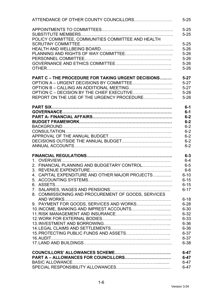| $5 - 25$<br>$5 - 25$<br>POLICY COMMITTEE, COMMUNITIES COMMITTEE AND HEALTH<br>$5 - 25$<br>$5 - 26$<br>$5 - 26$<br>$5 - 26$<br>$5 - 26$<br>$5 - 26$<br><b>PART C - THE PROCEDURE FOR TAKING URGENT DECISIONS</b><br>$5 - 27$<br>$5 - 27$<br>OPTION B – CALLING AN ADDITIONAL MEETING<br>$5 - 27$<br>$5 - 28$<br>REPORT ON THE USE OF THE URGENCY PROCEDURE<br>$5 - 28$<br>$6-1$<br>$6-1$<br>$6-2$<br>$6-2$<br>$6 - 2$<br>$6 - 2$<br>$6 - 2$<br>$6 - 2$<br>$6 - 2$<br>$6-3$<br>$6-4$<br>2. FINANCIAL PLANNING AND BUDGETARY CONTROL<br>$6-5$<br>$6-6$<br>4. CAPITAL EXPENDITURE AND OTHER MAJOR PROJECTS<br>$6 - 10$<br>$6 - 15$<br>$6 - 15$<br>$6 - 17$<br>8. COMMISSIONING AND PROCUREMENT OF GOODS, SERVICES<br>$6 - 18$<br>9. PAYMENT FOR GOODS, SERVICES AND WORKS<br>$6 - 28$<br>10. INCOME, BANKING AND IMPREST ACCOUNTS<br>$6 - 30$<br>$6 - 32$<br>$6 - 33$<br>$6 - 36$<br>$6 - 36$<br>$6 - 37$<br>$6 - 37$<br>$6 - 38$<br>$6 - 47$<br>$6 - 47$<br>$6 - 47$ | $5 - 25$ |
|-------------------------------------------------------------------------------------------------------------------------------------------------------------------------------------------------------------------------------------------------------------------------------------------------------------------------------------------------------------------------------------------------------------------------------------------------------------------------------------------------------------------------------------------------------------------------------------------------------------------------------------------------------------------------------------------------------------------------------------------------------------------------------------------------------------------------------------------------------------------------------------------------------------------------------------------------------------------|----------|
|                                                                                                                                                                                                                                                                                                                                                                                                                                                                                                                                                                                                                                                                                                                                                                                                                                                                                                                                                                   |          |
|                                                                                                                                                                                                                                                                                                                                                                                                                                                                                                                                                                                                                                                                                                                                                                                                                                                                                                                                                                   |          |
|                                                                                                                                                                                                                                                                                                                                                                                                                                                                                                                                                                                                                                                                                                                                                                                                                                                                                                                                                                   |          |
|                                                                                                                                                                                                                                                                                                                                                                                                                                                                                                                                                                                                                                                                                                                                                                                                                                                                                                                                                                   |          |
|                                                                                                                                                                                                                                                                                                                                                                                                                                                                                                                                                                                                                                                                                                                                                                                                                                                                                                                                                                   |          |
|                                                                                                                                                                                                                                                                                                                                                                                                                                                                                                                                                                                                                                                                                                                                                                                                                                                                                                                                                                   |          |
|                                                                                                                                                                                                                                                                                                                                                                                                                                                                                                                                                                                                                                                                                                                                                                                                                                                                                                                                                                   |          |
|                                                                                                                                                                                                                                                                                                                                                                                                                                                                                                                                                                                                                                                                                                                                                                                                                                                                                                                                                                   |          |
|                                                                                                                                                                                                                                                                                                                                                                                                                                                                                                                                                                                                                                                                                                                                                                                                                                                                                                                                                                   |          |
|                                                                                                                                                                                                                                                                                                                                                                                                                                                                                                                                                                                                                                                                                                                                                                                                                                                                                                                                                                   |          |
|                                                                                                                                                                                                                                                                                                                                                                                                                                                                                                                                                                                                                                                                                                                                                                                                                                                                                                                                                                   |          |
|                                                                                                                                                                                                                                                                                                                                                                                                                                                                                                                                                                                                                                                                                                                                                                                                                                                                                                                                                                   |          |
|                                                                                                                                                                                                                                                                                                                                                                                                                                                                                                                                                                                                                                                                                                                                                                                                                                                                                                                                                                   |          |
|                                                                                                                                                                                                                                                                                                                                                                                                                                                                                                                                                                                                                                                                                                                                                                                                                                                                                                                                                                   |          |
|                                                                                                                                                                                                                                                                                                                                                                                                                                                                                                                                                                                                                                                                                                                                                                                                                                                                                                                                                                   |          |
|                                                                                                                                                                                                                                                                                                                                                                                                                                                                                                                                                                                                                                                                                                                                                                                                                                                                                                                                                                   |          |
|                                                                                                                                                                                                                                                                                                                                                                                                                                                                                                                                                                                                                                                                                                                                                                                                                                                                                                                                                                   |          |
|                                                                                                                                                                                                                                                                                                                                                                                                                                                                                                                                                                                                                                                                                                                                                                                                                                                                                                                                                                   |          |
|                                                                                                                                                                                                                                                                                                                                                                                                                                                                                                                                                                                                                                                                                                                                                                                                                                                                                                                                                                   |          |
|                                                                                                                                                                                                                                                                                                                                                                                                                                                                                                                                                                                                                                                                                                                                                                                                                                                                                                                                                                   |          |
|                                                                                                                                                                                                                                                                                                                                                                                                                                                                                                                                                                                                                                                                                                                                                                                                                                                                                                                                                                   |          |
|                                                                                                                                                                                                                                                                                                                                                                                                                                                                                                                                                                                                                                                                                                                                                                                                                                                                                                                                                                   |          |
|                                                                                                                                                                                                                                                                                                                                                                                                                                                                                                                                                                                                                                                                                                                                                                                                                                                                                                                                                                   |          |
|                                                                                                                                                                                                                                                                                                                                                                                                                                                                                                                                                                                                                                                                                                                                                                                                                                                                                                                                                                   |          |
|                                                                                                                                                                                                                                                                                                                                                                                                                                                                                                                                                                                                                                                                                                                                                                                                                                                                                                                                                                   |          |
|                                                                                                                                                                                                                                                                                                                                                                                                                                                                                                                                                                                                                                                                                                                                                                                                                                                                                                                                                                   |          |
|                                                                                                                                                                                                                                                                                                                                                                                                                                                                                                                                                                                                                                                                                                                                                                                                                                                                                                                                                                   |          |
|                                                                                                                                                                                                                                                                                                                                                                                                                                                                                                                                                                                                                                                                                                                                                                                                                                                                                                                                                                   |          |
|                                                                                                                                                                                                                                                                                                                                                                                                                                                                                                                                                                                                                                                                                                                                                                                                                                                                                                                                                                   |          |
|                                                                                                                                                                                                                                                                                                                                                                                                                                                                                                                                                                                                                                                                                                                                                                                                                                                                                                                                                                   |          |
|                                                                                                                                                                                                                                                                                                                                                                                                                                                                                                                                                                                                                                                                                                                                                                                                                                                                                                                                                                   |          |
|                                                                                                                                                                                                                                                                                                                                                                                                                                                                                                                                                                                                                                                                                                                                                                                                                                                                                                                                                                   |          |
|                                                                                                                                                                                                                                                                                                                                                                                                                                                                                                                                                                                                                                                                                                                                                                                                                                                                                                                                                                   |          |
|                                                                                                                                                                                                                                                                                                                                                                                                                                                                                                                                                                                                                                                                                                                                                                                                                                                                                                                                                                   |          |
|                                                                                                                                                                                                                                                                                                                                                                                                                                                                                                                                                                                                                                                                                                                                                                                                                                                                                                                                                                   |          |
|                                                                                                                                                                                                                                                                                                                                                                                                                                                                                                                                                                                                                                                                                                                                                                                                                                                                                                                                                                   |          |
|                                                                                                                                                                                                                                                                                                                                                                                                                                                                                                                                                                                                                                                                                                                                                                                                                                                                                                                                                                   |          |
|                                                                                                                                                                                                                                                                                                                                                                                                                                                                                                                                                                                                                                                                                                                                                                                                                                                                                                                                                                   |          |
|                                                                                                                                                                                                                                                                                                                                                                                                                                                                                                                                                                                                                                                                                                                                                                                                                                                                                                                                                                   |          |
|                                                                                                                                                                                                                                                                                                                                                                                                                                                                                                                                                                                                                                                                                                                                                                                                                                                                                                                                                                   |          |
|                                                                                                                                                                                                                                                                                                                                                                                                                                                                                                                                                                                                                                                                                                                                                                                                                                                                                                                                                                   |          |
|                                                                                                                                                                                                                                                                                                                                                                                                                                                                                                                                                                                                                                                                                                                                                                                                                                                                                                                                                                   |          |
|                                                                                                                                                                                                                                                                                                                                                                                                                                                                                                                                                                                                                                                                                                                                                                                                                                                                                                                                                                   |          |
|                                                                                                                                                                                                                                                                                                                                                                                                                                                                                                                                                                                                                                                                                                                                                                                                                                                                                                                                                                   |          |
|                                                                                                                                                                                                                                                                                                                                                                                                                                                                                                                                                                                                                                                                                                                                                                                                                                                                                                                                                                   | $6 - 47$ |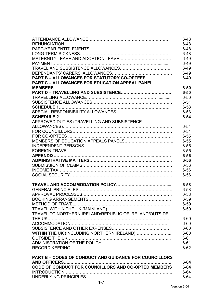|                                                               | $6 - 48$ |
|---------------------------------------------------------------|----------|
|                                                               | $6 - 48$ |
|                                                               | $6 - 48$ |
|                                                               | $6 - 48$ |
|                                                               | $6 - 49$ |
|                                                               | $6 - 49$ |
|                                                               | $6 - 49$ |
|                                                               | $6 - 49$ |
| PART B - ALLOWANCES FOR STATUTORY CO-OPTEES                   | $6 - 49$ |
| <b>PART C - ALLOWANCES FOR EDUCATION APPEAL PANEL</b>         |          |
|                                                               | $6 - 50$ |
|                                                               | $6 - 50$ |
|                                                               | $6 - 50$ |
|                                                               | $6 - 51$ |
|                                                               | $6 - 53$ |
|                                                               | $6 - 53$ |
|                                                               | $6 - 54$ |
| APPROVED DUTIES (TRAVELLING AND SUBSISTENCE                   |          |
|                                                               | $6 - 54$ |
|                                                               | $6 - 54$ |
|                                                               | $6 - 55$ |
|                                                               | $6 - 55$ |
|                                                               | $6 - 55$ |
|                                                               | $6 - 55$ |
|                                                               | $6 - 56$ |
|                                                               | $6 - 56$ |
|                                                               | $6 - 56$ |
|                                                               | $6 - 56$ |
|                                                               | $6 - 56$ |
|                                                               |          |
|                                                               | $6 - 58$ |
|                                                               | $6 - 58$ |
|                                                               | $6 - 58$ |
|                                                               | $6 - 59$ |
|                                                               | $6 - 59$ |
|                                                               | $6 - 59$ |
| TRAVEL TO NORTHERN IRELAND/REPUBLIC OF IRELAND/OUTSIDE        |          |
|                                                               | $6 - 60$ |
|                                                               | $6 - 60$ |
|                                                               | $6 - 60$ |
| WITHIN THE UK (INCLUDING NORTHERN IRELAND)                    | $6 - 60$ |
|                                                               | $6 - 61$ |
|                                                               | $6 - 61$ |
|                                                               | $6 - 62$ |
|                                                               |          |
| <b>PART B - CODES OF CONDUCT AND GUIDANCE FOR COUNCILLORS</b> |          |
| <b>AND OFFICERS</b>                                           | $6 - 64$ |
| CODE OF CONDUCT FOR COUNCILLORS AND CO-OPTED MEMBERS          | $6 - 64$ |
|                                                               | $6 - 64$ |
|                                                               | $6 - 64$ |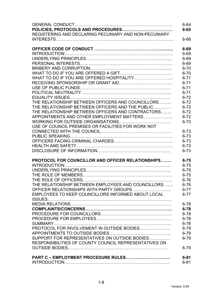|                                                          | $6 - 64$ |
|----------------------------------------------------------|----------|
|                                                          | $6 - 65$ |
| REGISTERING AND DECLARING PECUNIARY AND NON-PECUNIARY    |          |
|                                                          | $6 - 66$ |
|                                                          |          |
|                                                          | $6 - 69$ |
|                                                          | $6 - 69$ |
|                                                          | $6 - 69$ |
|                                                          | $6 - 69$ |
|                                                          | $6 - 70$ |
|                                                          | $6 - 70$ |
|                                                          | $6 - 71$ |
|                                                          | $6 - 71$ |
|                                                          | $6 - 71$ |
|                                                          | $6 - 71$ |
|                                                          | $6 - 72$ |
| THE RELATIONSHIP BETWEEN OFFICERS AND COUNCILLORS        | $6 - 72$ |
| THE RELATIONSHIP BETWEEN OFFICERS AND THE PUBLIC         | $6 - 72$ |
| THE RELATIONSHIP BETWEEN OFFICERS AND CONTRACTORS        | $6 - 72$ |
| APPOINTMENTS AND OTHER EMPLOYMENT MATTERS                | $6 - 72$ |
|                                                          | $6 - 73$ |
| USE OF COUNCIL PREMISES OR FACILITIES FOR WORK NOT       |          |
|                                                          | $6 - 73$ |
|                                                          | $6 - 73$ |
|                                                          | $6 - 73$ |
|                                                          | $6 - 73$ |
|                                                          | $6 - 73$ |
| <b>PROTOCOL FOR COUNCILLOR AND OFFICER RELATIONSHIPS</b> | $6 - 75$ |
|                                                          | $6 - 75$ |
|                                                          | $6 - 75$ |
|                                                          | $6 - 75$ |
|                                                          | $6 - 76$ |
| THE RELATIONSHIP BETWEEN EMPLOYEES AND COUNCILLORS       | $6 - 76$ |
|                                                          | $6 - 77$ |
| EMPLOYEES TO KEEP COUNCILLORS INFORMED ABOUT LOCAL       | $6 - 77$ |
|                                                          |          |
|                                                          | $6 - 78$ |
|                                                          | $6 - 78$ |
|                                                          | $6 - 78$ |
|                                                          | $6 - 78$ |
|                                                          | $6 - 78$ |
| PROTOCOL FOR INVOLVEMENT IN OUTSIDE BODIES               | $6 - 79$ |
|                                                          | $6 - 79$ |
| SUPPORT FOR REPRESENTATIVES ON OUTSIDE BODIES            | $6 - 79$ |
| RESPONSIBILITIES OF COUNTY COUNCIL REPRESENTATIVES ON    |          |
|                                                          | $6 - 79$ |
|                                                          |          |
| <b>PART C - EMPLOYMENT PROCEDURE RULES</b>               | $6 - 81$ |
|                                                          | $6 - 81$ |
|                                                          |          |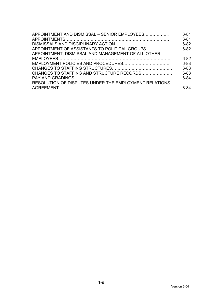| APPOINTMENT AND DISMISSAL - SENIOR EMPLOYEES          | $6 - 81$<br>$6 - 81$ |
|-------------------------------------------------------|----------------------|
|                                                       | $6 - 82$             |
| APPOINTMENT OF ASSISTANTS TO POLITICAL GROUPS         | $6 - 82$             |
| APPOINTMENT, DISMISSAL AND MANAGEMENT OF ALL OTHER    |                      |
|                                                       | $6 - 82$             |
|                                                       | $6 - 83$             |
|                                                       | $6 - 83$             |
| CHANGES TO STAFFING AND STRUCTURE RECORDS             | $6 - 83$             |
|                                                       | $6 - 84$             |
| RESOLUTION OF DISPUTES UNDER THE EMPLOYMENT RELATIONS |                      |
|                                                       | հ-84                 |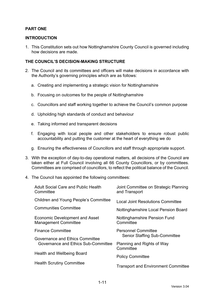# **PART ONE**

### **INTRODUCTION**

1. This Constitution sets out how Nottinghamshire County Council is governed including how decisions are made.

### **THE COUNCIL'S DECISION-MAKING STRUCTURE**

- 2. The Council and its committees and officers will make decisions in accordance with the Authority's governing principles which are as follows:
	- a. Creating and implementing a strategic vision for Nottinghamshire
	- b. Focusing on outcomes for the people of Nottinghamshire
	- c. Councillors and staff working together to achieve the Council's common purpose
	- d. Upholding high standards of conduct and behaviour
	- e. Taking informed and transparent decisions
	- f. Engaging with local people and other stakeholders to ensure robust public accountability and putting the customer at the heart of everything we do
	- g. Ensuring the effectiveness of Councillors and staff through appropriate support.
- 3. With the exception of day-to-day operational matters, all decisions of the Council are taken either at Full Council involving all 66 County Councillors, or by committees. Committees are comprised of councillors, to reflect the political balance of the Council.
- 4. The Council has appointed the following committees:

| <b>Adult Social Care and Public Health</b><br>Committee       | Joint Committee on Strategic Planning<br>and Transport |
|---------------------------------------------------------------|--------------------------------------------------------|
| Children and Young People's Committee                         | Local Joint Resolutions Committee                      |
| <b>Communities Committee</b>                                  | Nottinghamshire Local Pension Board                    |
| Economic Development and Asset<br><b>Management Committee</b> | <b>Nottinghamshire Pension Fund</b><br>Committee       |
| <b>Finance Committee</b>                                      | <b>Personnel Committee</b>                             |
| Governance and Ethics Committee                               | <b>Senior Staffing Sub-Committee</b>                   |
| Governance and Ethics Sub-Committee                           | Planning and Rights of Way<br>Committee                |
| Health and Wellbeing Board                                    | <b>Policy Committee</b>                                |
| <b>Health Scrutiny Committee</b>                              | <b>Transport and Environment Committee</b>             |
|                                                               |                                                        |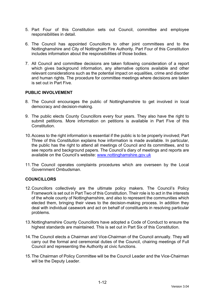- 5. Part Four of this Constitution sets out Council, committee and employee responsibilities in detail.
- 6. The Council has appointed Councillors to other joint committees and to the Nottinghamshire and City of Nottingham Fire Authority. Part Four of this Constitution includes information about the responsibilities of those bodies.
- 7. All Council and committee decisions are taken following consideration of a report which gives background information, any alternative options available and other relevant considerations such as the potential impact on equalities, crime and disorder and human rights. The procedure for committee meetings where decisions are taken is set out in Part Five.

# **PUBLIC INVOLVEMENT**

- 8. The Council encourages the public of Nottinghamshire to get involved in local democracy and decision-making.
- 9. The public elects County Councillors every four years. They also have the right to submit petitions. More information on petitions is available in Part Five of this **Constitution**
- 10. Access to the right information is essential if the public is to be properly involved; Part Three of this Constitution explains how information is made available. In particular, the public has the right to attend all meetings of Council and its committees, and to see reports and background papers. The Council's diary of meetings and reports are available on the Council's website: www.nottinghamshire.gov.uk
- 11. The Council operates complaints procedures which are overseen by the Local Government Ombudsman.

#### **COUNCILLORS**

- 12. Councillors collectively are the ultimate policy makers. The Council's Policy Framework is set out in Part Two of this Constitution. Their role is to act in the interests of the whole county of Nottinghamshire, and also to represent the communities which elected them, bringing their views to the decision-making process. In addition they deal with individual casework and act on behalf of constituents in resolving particular problems.
- 13. Nottinghamshire County Councillors have adopted a Code of Conduct to ensure the highest standards are maintained. This is set out in Part Six of this Constitution.
- 14. The Council elects a Chairman and Vice-Chairman of the Council annually. They will carry out the formal and ceremonial duties of the Council, chairing meetings of Full Council and representing the Authority at civic functions.
- 15. The Chairman of Policy Committee will be the Council Leader and the Vice-Chairman will be the Deputy Leader.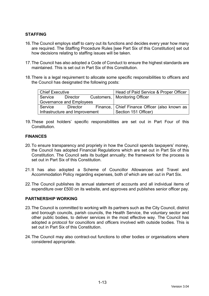# **STAFFING**

- 16. The Council employs staff to carry out its functions and decides every year how many are required. The Staffing Procedure Rules [see Part Six of this Constitution] set out how decisions relating to staffing issues will be taken.
- 17. The Council has also adopted a Code of Conduct to ensure the highest standards are maintained. This is set out in Part Six of this Constitution.
- 18. There is a legal requirement to allocate some specific responsibilities to officers and the Council has designated the following posts:

| <b>Chief Executive</b> |                                | Head of Paid Service & Proper Officer           |
|------------------------|--------------------------------|-------------------------------------------------|
| Service                | Director                       | Customers,   Monitoring Officer                 |
|                        | Governance and Employees       |                                                 |
| Service                | Director                       | Finance,   Chief Finance Officer (also known as |
|                        | Infrastructure and Improvement | Section 151 Officer)                            |

19. These post holders' specific responsibilities are set out in Part Four of this **Constitution** 

# **FINANCES**

- 20. To ensure transparency and propriety in how the Council spends taxpayers' money, the Council has adopted Financial Regulations which are set out in Part Six of this Constitution. The Council sets its budget annually; the framework for the process is set out in Part Six of this Constitution.
- 21. It has also adopted a Scheme of Councillor Allowances and Travel and Accommodation Policy regarding expenses, both of which are set out in Part Six.
- 22. The Council publishes its annual statement of accounts and all individual items of expenditure over £500 on its website, and approves and publishes senior officer pay.

### **PARTNERSHIP WORKING**

- 23. The Council is committed to working with its partners such as the City Council, district and borough councils, parish councils, the Health Service, the voluntary sector and other public bodies, to deliver services in the most effective way. The Council has adopted a protocol for councillors and officers involved with outside bodies. This is set out in Part Six of this Constitution.
- 24. The Council may also contract-out functions to other bodies or organisations where considered appropriate.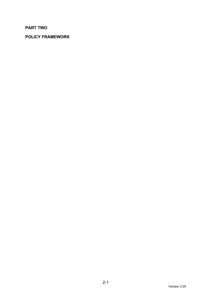# **PART TWO**

# **POLICY FRAMEWORK**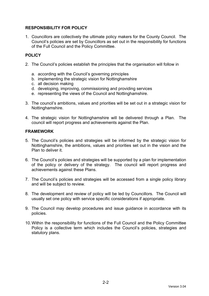# **RESPONSIBILITY FOR POLICY**

1. Councillors are collectively the ultimate policy makers for the County Council. The Council's policies are set by Councillors as set out in the responsibility for functions of the Full Council and the Policy Committee.

# **POLICY**

- 2. The Council's policies establish the principles that the organisation will follow in
	- a. according with the Council's governing principles
	- b. implementing the strategic vision for Nottinghamshire
	- c. all decision making
	- d. developing, improving, commissioning and providing services
	- e. representing the views of the Council and Nottinghamshire.
- 3. The council's ambitions, values and priorities will be set out in a strategic vision for Nottinghamshire.
- 4. The strategic vision for Nottinghamshire will be delivered through a Plan. The council will report progress and achievements against the Plan.

# **FRAMEWORK**

- 5. The Council's policies and strategies will be informed by the strategic vision for Nottinghamshire, the ambitions, values and priorities set out in the vision and the Plan to deliver it.
- 6. The Council's policies and strategies will be supported by a plan for implementation of the policy or delivery of the strategy. The council will report progress and achievements against these Plans.
- 7. The Council's policies and strategies will be accessed from a single policy library and will be subject to review.
- 8. The development and review of policy will be led by Councillors. The Council will usually set one policy with service specific considerations if appropriate.
- 9. The Council may develop procedures and issue guidance in accordance with its policies.
- 10. Within the responsibility for functions of the Full Council and the Policy Committee Policy is a collective term which includes the Council's policies, strategies and statutory plans.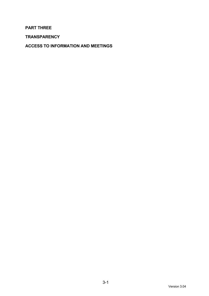**PART THREE** 

**TRANSPARENCY** 

**ACCESS TO INFORMATION AND MEETINGS**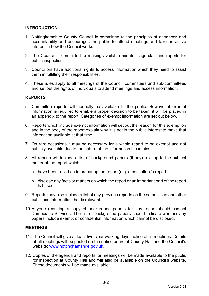# **INTRODUCTION**

- 1. Nottinghamshire County Council is committed to the principles of openness and accountability and encourages the public to attend meetings and take an active interest in how the Council works.
- 2. The Council is committed to making available minutes, agendas and reports for public inspection.
- 3. Councillors have additional rights to access information which they need to assist them in fulfilling their responsibilities.
- 4. These rules apply to all meetings of the Council, committees and sub-committees and set out the rights of individuals to attend meetings and access information.

#### **REPORTS**

- 5. Committee reports will normally be available to the public. However if exempt information is required to enable a proper decision to be taken, it will be placed in an appendix to the report. Categories of exempt information are set out below.
- 6. Reports which include exempt information will set out the reason for this exemption and in the body of the report explain why it is not in the public interest to make that information available at that time.
- 7. On rare occasions it may be necessary for a whole report to be exempt and not publicly available due to the nature of the information it contains.
- 8. All reports will include a list of background papers (if any) relating to the subject matter of the report which:
	- a. have been relied on in preparing the report (e.g. a consultant's report);
	- b. disclose any facts or matters on which the report or an important part of the report is based;
- 9. Reports may also include a list of any previous reports on the same issue and other published information that is relevant
- 10. Anyone requiring a copy of background papers for any report should contact Democratic Services. The list of background papers should indicate whether any papers include exempt or confidential information which cannot be disclosed.

#### **MEETINGS**

- 11. The Council will give at least five clear working days' notice of all meetings. Details of all meetings will be posted on the notice board at County Hall and the Council's website: www.nottinghamshire.gov.uk.
- 12. Copies of the agenda and reports for meetings will be made available to the public for inspection at County Hall and will also be available on the Council's website. These documents will be made available: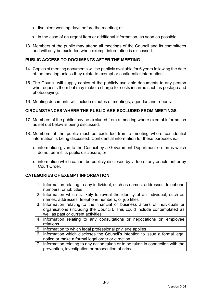- a. five clear working days before the meeting; or
- b. in the case of an urgent item or additional information, as soon as possible.
- 13. Members of the public may attend all meetings of the Council and its committees and will only be excluded when exempt information is discussed.

# **PUBLIC ACCESS TO DOCUMENTS AFTER THE MEETING**

- 14. Copies of meeting documents will be publicly available for 6 years following the date of the meeting unless they relate to exempt or confidential information.
- 15. The Council will supply copies of the publicly available documents to any person who requests them but may make a charge for costs incurred such as postage and photocopying.
- 16. Meeting documents will include minutes of meetings, agendas and reports.

#### **CIRCUMSTANCES WHERE THE PUBLIC ARE EXCLUDED FROM MEETINGS**

- 17. Members of the public may be excluded from a meeting where exempt information as set out below is being discussed.
- 18. Members of the public must be excluded from a meeting where confidential information is being discussed. Confidential information for these purposes is:
	- a. information given to the Council by a Government Department on terms which do not permit its public disclosure; or
	- b. information which cannot be publicly disclosed by virtue of any enactment or by Court Order.

# **CATEGORIES OF EXEMPT INFORMATION**

- 1. Information relating to any individual, such as names, addresses, telephone numbers, or job titles
- 2. Information which is likely to reveal the identity of an individual, such as names, addresses, telephone numbers, or job titles
- 3. Information relating to the financial or business affairs of individuals or organisations (including the Council). This could include contemplated as well as past or current activities
- 4. Information relating to any consultations or negotiations on employee relations
- 5. Information to which legal professional privilege applies
- 6. Information which discloses the Council's intention to issue a formal legal notice or make a formal legal order or direction
- 7. Information relating to any action taken or to be taken in connection with the prevention, investigation or prosecution of crime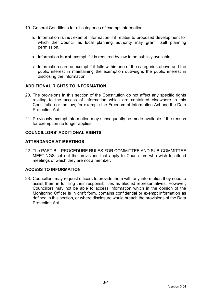- 19. General Conditions for all categories of exempt information:
	- a. Information **is not** exempt information if it relates to proposed development for which the Council as local planning authority may grant itself planning permission.
	- b. Information **is not** exempt if it is required by law to be publicly available.
	- c. Information can be exempt if it falls within one of the categories above and the public interest in maintaining the exemption outweighs the public interest in disclosing the information.

# **ADDITIONAL RIGHTS TO INFORMATION**

- 20. The provisions in this section of the Constitution do not affect any specific rights relating to the access of information which are contained elsewhere in this Constitution or the law; for example the Freedom of Information Act and the Data Protection Act
- 21. Previously exempt information may subsequently be made available if the reason for exemption no longer applies.

# **COUNCILLORS' ADDITIONAL RIGHTS**

# **ATTENDANCE AT MEETINGS**

22. The PART B – PROCEDURE RULES FOR COMMITTEE AND SUB-COMMITTEE MEETINGS set out the provisions that apply to Councillors who wish to attend meetings of which they are not a member.

# **ACCESS TO INFORMATION**

23. Councillors may request officers to provide them with any information they need to assist them in fulfilling their responsibilities as elected representatives. However, Councillors may not be able to access information which in the opinion of the Monitoring Officer is in draft form, contains confidential or exempt information as defined in this section, or where disclosure would breach the provisions of the Data Protection Act.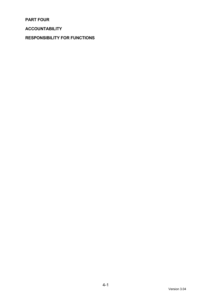**PART FOUR** 

# **ACCOUNTABILITY**

**RESPONSIBILITY FOR FUNCTIONS**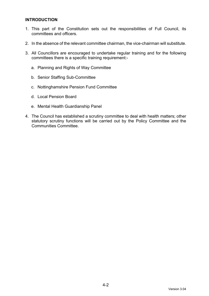# **INTRODUCTION**

- 1. This part of the Constitution sets out the responsibilities of Full Council, its committees and officers.
- 2. In the absence of the relevant committee chairman, the vice-chairman will substitute.
- 3. All Councillors are encouraged to undertake regular training and for the following committees there is a specific training requirement:
	- a. Planning and Rights of Way Committee
	- b. Senior Staffing Sub-Committee
	- c. Nottinghamshire Pension Fund Committee
	- d. Local Pension Board
	- e. Mental Health Guardianship Panel
- 4. The Council has established a scrutiny committee to deal with health matters; other statutory scrutiny functions will be carried out by the Policy Committee and the Communities Committee.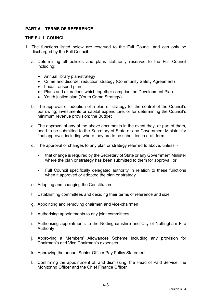# **PART A – TERMS OF REFERENCE**

# **THE FULL COUNCIL**

- 1. The functions listed below are reserved to the Full Council and can only be discharged by the Full Council:
	- a. Determining all policies and plans statutorily reserved to the Full Council including:
		- Annual library plan/strategy
		- Crime and disorder reduction strategy (Community Safety Agreement)
		- Local transport plan
		- Plans and alterations which together comprise the Development Plan
		- Youth justice plan (Youth Crime Strategy)
	- b. The approval or adoption of a plan or strategy for the control of the Council's borrowing, investments or capital expenditure, or for determining the Council's minimum revenue provision; the Budget
	- c. The approval of any of the above documents in the event they, or part of them, need to be submitted to the Secretary of State or any Government Minister for final approval, including where they are to be submitted in draft form
	- d. The approval of changes to any plan or strategy referred to above, unless:
		- that change is required by the Secretary of State or any Government Minister where the plan or strategy has been submitted to them for approval, or
		- Full Council specifically delegated authority in relation to these functions when it approved or adopted the plan or strategy
	- e. Adopting and changing the Constitution
	- f. Establishing committees and deciding their terms of reference and size
	- g. Appointing and removing chairmen and vice-chairmen
	- h. Authorising appointments to any joint committees
	- i. Authorising appointments to the Nottinghamshire and City of Nottingham Fire Authority
	- j. Approving a Members' Allowances Scheme including any provision for Chairman's and Vice Chairman's expenses
	- k. Approving the annual Senior Officer Pay Policy Statement
	- l. Confirming the appointment of, and dismissing, the Head of Paid Service, the Monitoring Officer and the Chief Finance Officer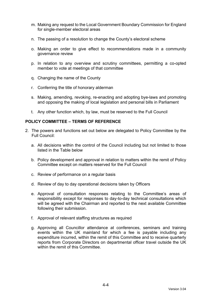- m. Making any request to the Local Government Boundary Commission for England for single-member electoral areas
- n. The passing of a resolution to change the County's electoral scheme
- o. Making an order to give effect to recommendations made in a community governance review
- p. In relation to any overview and scrutiny committees, permitting a co-opted member to vote at meetings of that committee
- q. Changing the name of the County
- r. Conferring the title of honorary alderman
- s. Making, amending, revoking, re-enacting and adopting bye-laws and promoting and opposing the making of local legislation and personal bills in Parliament
- t. Any other function which, by law, must be reserved to the Full Council

#### **POLICY COMMITTEE – TERMS OF REFERENCE**

- 2. The powers and functions set out below are delegated to Policy Committee by the Full Council:
	- a. All decisions within the control of the Council including but not limited to those listed in the Table below
	- b. Policy development and approval in relation to matters within the remit of Policy Committee except on matters reserved for the Full Council
	- c. Review of performance on a regular basis
	- d. Review of day to day operational decisions taken by Officers
	- e. Approval of consultation responses relating to the Committee's areas of responsibility except for responses to day-to-day technical consultations which will be agreed with the Chairman and reported to the next available Committee following their submission.
	- f. Approval of relevant staffing structures as required
	- g. Approving all Councillor attendance at conferences, seminars and training events within the UK mainland for which a fee is payable including any expenditure incurred, within the remit of this Committee and to receive quarterly reports from Corporate Directors on departmental officer travel outside the UK within the remit of this Committee.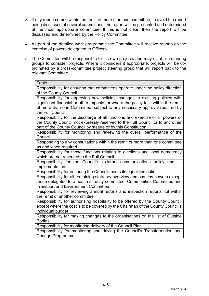- 3. If any report comes within the remit of more than one committee, to avoid the report being discussed at several committees, the report will be presented and determined at the most appropriate committee. If this is not clear, then the report will be discussed and determined by the Policy Committee.
- 4. As part of the detailed work programme the Committee will receive reports on the exercise of powers delegated to Officers.
- 5. The Committee will be responsible for its own projects and may establish steering groups to consider projects. Where it considers it appropriate, projects will be coordinated by a cross-committee project steering group that will report back to the relevant Committee.

| Table                                                                                                                                                                                                                                                               |
|---------------------------------------------------------------------------------------------------------------------------------------------------------------------------------------------------------------------------------------------------------------------|
| Responsibility for ensuring that committees operate under the policy direction<br>of the County Council.                                                                                                                                                            |
| Responsibility for approving new policies, changes to existing policies with<br>significant financial or other impacts, or where the policy falls within the remit<br>of more than one Committee, subject to any necessary approval required by<br>the Full Council |
| Responsibility for the discharge of all functions and exercise of all powers of<br>the County Council not expressly reserved to the Full Council or to any other<br>part of the County Council by statute or by this Constitution                                   |
| Responsibility for monitoring and reviewing the overall performance of the<br>Council                                                                                                                                                                               |
| Responding to any consultations within the remit of more than one committee<br>as and when required                                                                                                                                                                 |
| Responsibility for those functions relating to elections and local democracy<br>which are not reserved to the Full Council                                                                                                                                          |
| Responsibility for the Council's external communications policy and its<br>implementation                                                                                                                                                                           |
| Responsibility for ensuring the Council meets its equalities duties                                                                                                                                                                                                 |
| Responsibility for all remaining statutory overview and scrutiny powers except<br>those delegated to a health scrutiny committee, Communities Committee and<br><b>Transport and Environment Committee</b>                                                           |
| Responsibility for reviewing annual reports and inspection reports not within<br>the remit of another committee                                                                                                                                                     |
| Responsibility for authorising hospitality to be offered by the County Council<br>except where the cost is to be covered by the Chairman of the County Council's<br>individual budget                                                                               |
| Responsibility for making changes to the organisations on the list of Outside<br><b>Bodies</b>                                                                                                                                                                      |
| Responsibility for monitoring delivery of the Council Plan                                                                                                                                                                                                          |
| Responsibility for monitoring and driving the Council's Transformation and<br><b>Change Programme</b>                                                                                                                                                               |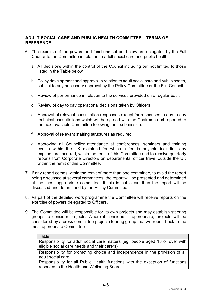# **ADULT SOCIAL CARE AND PUBLIC HEALTH COMMITTEE – TERMS OF REFERENCE**

- 6. The exercise of the powers and functions set out below are delegated by the Full Council to the Committee in relation to adult social care and public health:
	- a. All decisions within the control of the Council including but not limited to those listed in the Table below
	- b. Policy development and approval in relation to adult social care and public health, subject to any necessary approval by the Policy Committee or the Full Council
	- c. Review of performance in relation to the services provided on a regular basis
	- d. Review of day to day operational decisions taken by Officers
	- e. Approval of relevant consultation responses except for responses to day-to-day technical consultations which will be agreed with the Chairman and reported to the next available Committee following their submission.
	- f. Approval of relevant staffing structures as required

Ta<del>ble</del>

- g. Approving all Councillor attendance at conferences, seminars and training events within the UK mainland for which a fee is payable including any expenditure incurred, within the remit of this Committee and to receive quarterly reports from Corporate Directors on departmental officer travel outside the UK within the remit of this Committee.
- 7. If any report comes within the remit of more than one committee, to avoid the report being discussed at several committees, the report will be presented and determined at the most appropriate committee. If this is not clear, then the report will be discussed and determined by the Policy Committee.
- 8. As part of the detailed work programme the Committee will receive reports on the exercise of powers delegated to Officers.
- 9. The Committee will be responsible for its own projects and may establish steering groups to consider projects. Where it considers it appropriate, projects will be considered by a cross-committee project steering group that will report back to the most appropriate Committee.

| i abie i                                                                                                                      |
|-------------------------------------------------------------------------------------------------------------------------------|
| Responsibility for adult social care matters (eg. people aged 18 or over with<br>eligible social care needs and their carers) |
| Responsibility for promoting choice and independence in the provision of all<br>adult social care                             |
|                                                                                                                               |
| Responsibility for all Public Health functions with the exception of functions                                                |
| reserved to the Health and Wellbeing Board                                                                                    |
|                                                                                                                               |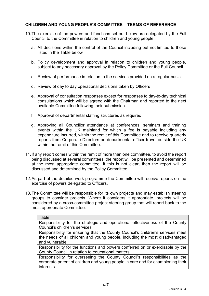# **CHILDREN AND YOUNG PEOPLE'S COMMITTEE – TERMS OF REFERENCE**

- 10. The exercise of the powers and functions set out below are delegated by the Full Council to the Committee in relation to children and young people.
	- a. All decisions within the control of the Council including but not limited to those listed in the Table below
	- b. Policy development and approval in relation to children and young people, subject to any necessary approval by the Policy Committee or the Full Council
	- c. Review of performance in relation to the services provided on a regular basis
	- d. Review of day to day operational decisions taken by Officers
	- e. Approval of consultation responses except for responses to day-to-day technical consultations which will be agreed with the Chairman and reported to the next available Committee following their submission.
	- f. Approval of departmental staffing structures as required
	- g. Approving all Councillor attendance at conferences, seminars and training events within the UK mainland for which a fee is payable including any expenditure incurred, within the remit of this Committee and to receive quarterly reports from Corporate Directors on departmental officer travel outside the UK within the remit of this Committee.
- 11. If any report comes within the remit of more than one committee, to avoid the report being discussed at several committees, the report will be presented and determined at the most appropriate committee. If this is not clear, then the report will be discussed and determined by the Policy Committee.
- 12. As part of the detailed work programme the Committee will receive reports on the exercise of powers delegated to Officers.
- 13. The Committee will be responsible for its own projects and may establish steering groups to consider projects. Where it considers it appropriate, projects will be considered by a cross-committee project steering group that will report back to the most appropriate Committee.

| Table                                                                           |
|---------------------------------------------------------------------------------|
| Responsibility for the strategic and operational effectiveness of the County    |
| Council's children's services                                                   |
| Responsibility for ensuring that the County Council's children's services meet  |
| the needs of all children and young people, including the most disadvantaged    |
| and vulnerable                                                                  |
| Responsibility for the functions and powers conferred on or exercisable by the  |
| County Council in relation to educational matters                               |
| Responsibility for overseeing the County Council's responsibilities as the      |
| corporate parent of children and young people in care and for championing their |
| interests                                                                       |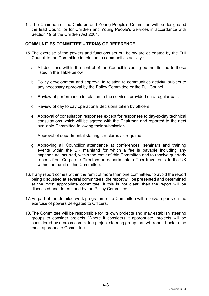14. The Chairman of the Children and Young People's Committee will be designated the lead Councillor for Children and Young People's Services in accordance with Section 19 of the Children Act 2004.

# **COMMUNITIES COMMITTEE – TERMS OF REFERENCE**

- 15. The exercise of the powers and functions set out below are delegated by the Full Council to the Committee in relation to communities activity :
	- a. All decisions within the control of the Council including but not limited to those listed in the Table below
	- b. Policy development and approval in relation to communities activity, subject to any necessary approval by the Policy Committee or the Full Council
	- c. Review of performance in relation to the services provided on a regular basis
	- d. Review of day to day operational decisions taken by officers
	- e. Approval of consultation responses except for responses to day-to-day technical consultations which will be agreed with the Chairman and reported to the next available Committee following their submission.
	- f. Approval of departmental staffing structures as required
	- g. Approving all Councillor attendance at conferences, seminars and training events within the UK mainland for which a fee is payable including any expenditure incurred, within the remit of this Committee and to receive quarterly reports from Corporate Directors on departmental officer travel outside the UK within the remit of this Committee.
- 16. If any report comes within the remit of more than one committee, to avoid the report being discussed at several committees, the report will be presented and determined at the most appropriate committee. If this is not clear, then the report will be discussed and determined by the Policy Committee.
- 17. As part of the detailed work programme the Committee will receive reports on the exercise of powers delegated to Officers.
- 18. The Committee will be responsible for its own projects and may establish steering groups to consider projects. Where it considers it appropriate, projects will be considered by a cross-committee project steering group that will report back to the most appropriate Committee.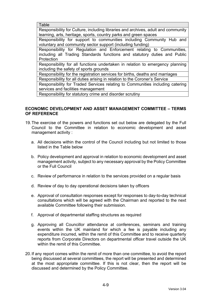Table

Responsibility for Culture, including libraries and archives, adult and community learning, arts, heritage, sports, country parks and green spaces

Responsibility for support to communities including Community Hub and voluntary and community sector support (including funding)

Responsibility for Regulation and Enforcement relating to Communities, including all Trading Standards functions and statutory duties and Public Protection

Responsibility for all functions undertaken in relation to emergency planning including the safety of sports grounds

Responsibility for the registration services for births, deaths and marriages

Responsibility for all duties arising in relation to the Coroner's Service

Responsibility for Traded Services relating to Communities including catering services and facilities management

Responsibility for statutory crime and disorder scrutiny

# **ECONOMIC DEVELOPMENT AND ASSET MANAGEMENT COMMITTEE – TERMS OF REFERENCE**

- 19. The exercise of the powers and functions set out below are delegated by the Full Council to the Committee in relation to economic development and asset management activity :
	- a. All decisions within the control of the Council including but not limited to those listed in the Table below
	- b. Policy development and approval in relation to economic development and asset management activity, subject to any necessary approval by the Policy Committee or the Full Council
	- c. Review of performance in relation to the services provided on a regular basis
	- d. Review of day to day operational decisions taken by officers
	- e. Approval of consultation responses except for responses to day-to-day technical consultations which will be agreed with the Chairman and reported to the next available Committee following their submission.
	- f. Approval of departmental staffing structures as required
	- g. Approving all Councillor attendance at conferences, seminars and training events within the UK mainland for which a fee is payable including any expenditure incurred, within the remit of this Committee and to receive quarterly reports from Corporate Directors on departmental officer travel outside the UK within the remit of this Committee.
- 20. If any report comes within the remit of more than one committee, to avoid the report being discussed at several committees, the report will be presented and determined at the most appropriate committee. If this is not clear, then the report will be discussed and determined by the Policy Committee.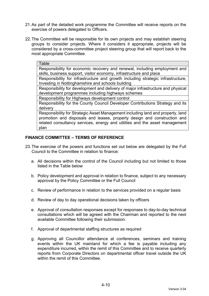- 21. As part of the detailed work programme the Committee will receive reports on the exercise of powers delegated to Officers.
- 22. The Committee will be responsible for its own projects and may establish steering groups to consider projects. Where it considers it appropriate, projects will be considered by a cross-committee project steering group that will report back to the most appropriate Committee.

Responsibility for economic recovery and renewal, including employment and skills, business support, visitor economy, infrastructure and place

Responsibility for infrastructure and growth including strategic infrastructure, Investing in Nottinghamshire and schools building

Responsibility for development and delivery of major infrastructure and physical development programmes including highways schemes

Responsibility for Highways development control

Responsibility for the County Council Developer Contributions Strategy and its delivery

Responsibility for Strategic Asset Management including land and property, land promotion and disposals and leases, property design and construction and related consultancy services, energy and utilities and the asset management plan

#### **FINANCE COMMITTEE – TERMS OF REFERENCE**

- 23. The exercise of the powers and functions set out below are delegated by the Full Council to the Committee in relation to finance:
	- a. All decisions within the control of the Council including but not limited to those listed in the Table below
	- b. Policy development and approval in relation to finance, subject to any necessary approval by the Policy Committee or the Full Council
	- c. Review of performance in relation to the services provided on a regular basis
	- d. Review of day to day operational decisions taken by officers
	- e. Approval of consultation responses except for responses to day-to-day technical consultations which will be agreed with the Chairman and reported to the next available Committee following their submission.
	- f. Approval of departmental staffing structures as required
	- g. Approving all Councillor attendance at conferences, seminars and training events within the UK mainland for which a fee is payable including any expenditure incurred, within the remit of this Committee and to receive quarterly reports from Corporate Directors on departmental officer travel outside the UK within the remit of this Committee.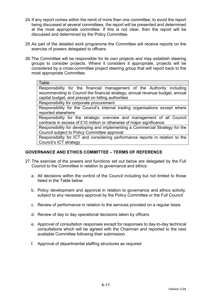- 24. If any report comes within the remit of more than one committee, to avoid the report being discussed at several committees, the report will be presented and determined at the most appropriate committee. If this is not clear, then the report will be discussed and determined by the Policy Committee.
- 25. As part of the detailed work programme the Committee will receive reports on the exercise of powers delegated to officers.
- 26. The Committee will be responsible for its own projects and may establish steering groups to consider projects. Where it considers it appropriate, projects will be considered by a cross-committee project steering group that will report back to the most appropriate Committee.

#### Table

Responsibility for the financial management of the Authority including recommending to Council the financial strategy, annual revenue budget, annual capital budget, and precept on billing authorities

Responsibility for corporate procurement

Responsibility for the Council's internal trading organisations except where reported elsewhere

Responsibility for the strategic overview and management of all Council contracts in excess of £10 million or otherwise of major significance

Responsibility for developing and implementing a Commercial Strategy for the Council subject to Policy Committee approval

Responsibility for ICT and considering performance reports in relation to the Council's ICT strategy

# **GOVERNANCE AND ETHICS COMMITTEE – TERMS OF REFERENCE**

- 27. The exercise of the powers and functions set out below are delegated by the Full Council to the Committee in relation to governance and ethics:
	- a. All decisions within the control of the Council including but not limited to those listed in the Table below
	- b. Policy development and approval in relation to governance and ethics activity, subject to any necessary approval by the Policy Committee or the Full Council
	- c. Review of performance in relation to the services provided on a regular basis
	- d. Review of day to day operational decisions taken by officers
	- e. Approval of consultation responses except for responses to day-to-day technical consultations which will be agreed with the Chairman and reported to the next available Committee following their submission.
	- f. Approval of departmental staffing structures as required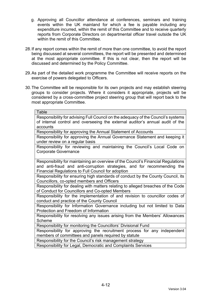- g. Approving all Councillor attendance at conferences, seminars and training events within the UK mainland for which a fee is payable including any expenditure incurred, within the remit of this Committee and to receive quarterly reports from Corporate Directors on departmental officer travel outside the UK within the remit of this Committee.
- 28. If any report comes within the remit of more than one committee, to avoid the report being discussed at several committees, the report will be presented and determined at the most appropriate committee. If this is not clear, then the report will be discussed and determined by the Policy Committee.
- 29. As part of the detailed work programme the Committee will receive reports on the exercise of powers delegated to Officers.
- 30. The Committee will be responsible for its own projects and may establish steering groups to consider projects. Where it considers it appropriate, projects will be considered by a cross-committee project steering group that will report back to the most appropriate Committee.

Responsibility for advising Full Council on the adequacy of the Council's systems of internal control and overseeing the external auditor's annual audit of the accounts

Responsibility for approving the Annual Statement of Accounts

Responsibility for approving the Annual Governance Statement and keeping it under review on a regular basis

Responsibility for reviewing and maintaining the Council's Local Code on Corporate Governance

Responsibility for maintaining an overview of the Council's Financial Regulations and anti-fraud and anti-corruption strategies, and for recommending the Financial Regulations to Full Council for adoption

Responsibility for ensuring high standards of conduct by the County Council, its Councillors, co-opted members and Officers

Responsibility for dealing with matters relating to alleged breaches of the Code of Conduct for Councillors and Co-opted Members

Responsibility for the implementation of and revision to councillor codes of conduct and practice of the County Council

Responsibility for Information Governance including but not limited to Data Protection and Freedom of Information

Responsibility for resolving any issues arising from the Members' Allowances Scheme

Responsibility for monitoring the Councillors' Divisional Fund

Responsibility for approving the recruitment process for any independent members of committees and panels required by statute

Responsibility for the Council's risk management strategy Responsibility for Legal, Democratic and Complaints Services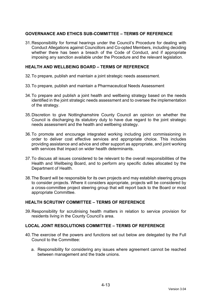# **GOVERNANCE AND ETHICS SUB-COMMITTEE – TERMS OF REFERENCE**

31. Responsibility for formal hearings under the Council's Procedure for dealing with Conduct Allegations against Councillors and Co-opted Members, including deciding whether there has been a breach of the Code of Conduct, and if appropriate imposing any sanction available under the Procedure and the relevant legislation.

#### **HEALTH AND WELLBEING BOARD – TERMS OF REFERENCE**

- 32. To prepare, publish and maintain a joint strategic needs assessment.
- 33. To prepare, publish and maintain a Pharmaceutical Needs Assessment
- 34. To prepare and publish a joint health and wellbeing strategy based on the needs identified in the joint strategic needs assessment and to oversee the implementation of the strategy.
- 35. Discretion to give Nottinghamshire County Council an opinion on whether the Council is discharging its statutory duty to have due regard to the joint strategic needs assessment and the health and wellbeing strategy.
- 36. To promote and encourage integrated working including joint commissioning in order to deliver cost effective services and appropriate choice. This includes providing assistance and advice and other support as appropriate, and joint working with services that impact on wider health determinants.
- 37. To discuss all issues considered to be relevant to the overall responsibilities of the Health and Wellbeing Board, and to perform any specific duties allocated by the Department of Health.
- 38. The Board will be responsible for its own projects and may establish steering groups to consider projects. Where it considers appropriate, projects will be considered by a cross-committee project steering group that will report back to the Board or most appropriate Committee.

# **HEALTH SCRUTINY COMMITTEE – TERMS OF REFERENCE**

39. Responsibility for scrutinising health matters in relation to service provision for residents living in the County Council's area.

#### **LOCAL JOINT RESOLUTIONS COMMITTEE – TERMS OF REFERENCE**

- 40. The exercise of the powers and functions set out below are delegated by the Full Council to the Committee:
	- a. Responsibility for considering any issues where agreement cannot be reached between management and the trade unions.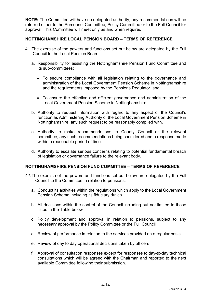**NOTE:** The Committee will have no delegated authority; any recommendations will be referred either to the Personnel Committee, Policy Committee or to the Full Council for approval. This Committee will meet only as and when required.

### **NOTTINGHAMSHIRE LOCAL PENSION BOARD – TERMS OF REFERENCE**

- 41. The exercise of the powers and functions set out below are delegated by the Full Council to the Local Pension Board:
	- a. Responsibility for assisting the Nottinghamshire Pension Fund Committee and its sub-committees:
		- To secure compliance with all legislation relating to the governance and administration of the Local Government Pension Scheme in Nottinghamshire and the requirements imposed by the Pensions Regulator, and
		- To ensure the effective and efficient governance and administration of the Local Government Pension Scheme in Nottinghamshire
	- b. Authority to request information with regard to any aspect of the Council's function as Administering Authority of the Local Government Pension Scheme in Nottinghamshire, any such request to be reasonably complied with.
	- c. Authority to make recommendations to County Council or the relevant committee, any such recommendations being considered and a response made within a reasonable period of time.
	- d. Authority to escalate serious concerns relating to potential fundamental breach of legislation or governance failure to the relevant body.

#### **NOTTINGHAMSHIRE PENSION FUND COMMITTEE – TERMS OF REFERENCE**

- 42. The exercise of the powers and functions set out below are delegated by the Full Council to the Committee in relation to pensions:
	- a. Conduct its activities within the regulations which apply to the Local Government Pension Scheme including its fiduciary duties.
	- b. All decisions within the control of the Council including but not limited to those listed in the Table below
	- c. Policy development and approval in relation to pensions, subject to any necessary approval by the Policy Committee or the Full Council
	- d. Review of performance in relation to the services provided on a regular basis
	- e. Review of day to day operational decisions taken by officers
	- f. Approval of consultation responses except for responses to day-to-day technical consultations which will be agreed with the Chairman and reported to the next available Committee following their submission.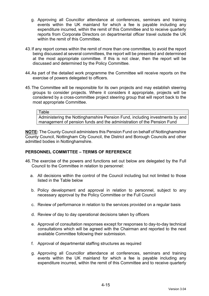- g. Approving all Councillor attendance at conferences, seminars and training events within the UK mainland for which a fee is payable including any expenditure incurred, within the remit of this Committee and to receive quarterly reports from Corporate Directors on departmental officer travel outside the UK within the remit of this Committee.
- 43. If any report comes within the remit of more than one committee, to avoid the report being discussed at several committees, the report will be presented and determined at the most appropriate committee. If this is not clear, then the report will be discussed and determined by the Policy Committee.
- 44. As part of the detailed work programme the Committee will receive reports on the exercise of powers delegated to officers.
- 45. The Committee will be responsible for its own projects and may establish steering groups to consider projects. Where it considers it appropriate, projects will be considered by a cross-committee project steering group that will report back to the most appropriate Committee.

#### Table

Administering the Nottinghamshire Pension Fund, including investments by and management of pension funds and the administration of the Pension Fund

**NOTE:** The County Council administers this Pension Fund on behalf of Nottinghamshire County Council, Nottingham City Council, the District and Borough Councils and other admitted bodies in Nottinghamshire.

#### **PERSONNEL COMMITTEE – TERMS OF REFERENCE**

- 46. The exercise of the powers and functions set out below are delegated by the Full Council to the Committee in relation to personnel:
	- a. All decisions within the control of the Council including but not limited to those listed in the Table below
	- b. Policy development and approval in relation to personnel, subject to any necessary approval by the Policy Committee or the Full Council
	- c. Review of performance in relation to the services provided on a regular basis
	- d. Review of day to day operational decisions taken by officers
	- e. Approval of consultation responses except for responses to day-to-day technical consultations which will be agreed with the Chairman and reported to the next available Committee following their submission.
	- f. Approval of departmental staffing structures as required
	- g. Approving all Councillor attendance at conferences, seminars and training events within the UK mainland for which a fee is payable including any expenditure incurred, within the remit of this Committee and to receive quarterly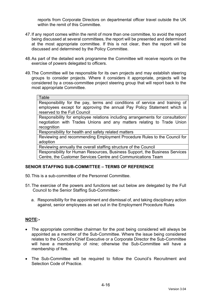reports from Corporate Directors on departmental officer travel outside the UK within the remit of this Committee.

- 47. If any report comes within the remit of more than one committee, to avoid the report being discussed at several committees, the report will be presented and determined at the most appropriate committee. If this is not clear, then the report will be discussed and determined by the Policy Committee.
- 48. As part of the detailed work programme the Committee will receive reports on the exercise of powers delegated to officers.
- 49. The Committee will be responsible for its own projects and may establish steering groups to consider projects. Where it considers it appropriate, projects will be considered by a cross-committee project steering group that will report back to the most appropriate Committee.

#### Table

Responsibility for the pay, terms and conditions of service and training of employees except for approving the annual Pay Policy Statement which is reserved to the Full Council

Responsibility for employee relations including arrangements for consultation/ negotiation with Trades Unions and any matters relating to Trade Union recognition

Responsibility for health and safety related matters

Reviewing and recommending Employment Procedure Rules to the Council for adoption

Reviewing annually the overall staffing structure of the Council

Responsibility for Human Resources, Business Support, the Business Services Centre, the Customer Services Centre and Communications Team

#### **SENIOR STAFFING SUB-COMMITTEE – TERMS OF REFERENCE**

- 50. This is a sub-committee of the Personnel Committee.
- 51. The exercise of the powers and functions set out below are delegated by the Full Council to the Senior Staffing Sub-Committee:
	- a. Responsibility for the appointment and dismissal of, and taking disciplinary action against, senior employees as set out in the Employment Procedure Rules

#### **NOTE:-**

- The appropriate committee chairman for the post being considered will always be appointed as a member of the Sub-Committee. Where the issue being considered relates to the Council's Chief Executive or a Corporate Director the Sub-Committee will have a membership of nine; otherwise the Sub-Committee will have a membership of five.
- The Sub-Committee will be required to follow the Council's Recruitment and Selection Code of Practice.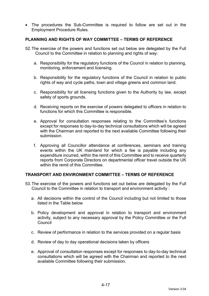The procedures the Sub-Committee is required to follow are set out in the Employment Procedure Rules.

#### **PLANNING AND RIGHTS OF WAY COMMITTEE – TERMS OF REFERENCE**

- 52. The exercise of the powers and functions set out below are delegated by the Full Council to the Committee in relation to planning and rights of way:
	- a. Responsibility for the regulatory functions of the Council in relation to planning, monitoring, enforcement and licensing.
	- b. Responsibility for the regulatory functions of the Council in relation to public rights of way and cycle paths, town and village greens and common land.
	- c. Responsibility for all licensing functions given to the Authority by law, except safety of sports grounds.
	- d. Receiving reports on the exercise of powers delegated to officers in relation to functions for which this Committee is responsible.
	- e. Approval for consultation responses relating to the Committee's functions except for responses to day-to-day technical consultations which will be agreed with the Chairman and reported to the next available Committee following their submission.
	- f. Approving all Councillor attendance at conferences, seminars and training events within the UK mainland for which a fee is payable including any expenditure incurred, within the remit of this Committee and to receive quarterly reports from Corporate Directors on departmental officer travel outside the UK within the remit of this Committee.

#### **TRANSPORT AND ENVIRONMENT COMMITTEE – TERMS OF REFERENCE**

- 53. The exercise of the powers and functions set out below are delegated by the Full Council to the Committee in relation to transport and environment activity :
	- a. All decisions within the control of the Council including but not limited to those listed in the Table below
	- b. Policy development and approval in relation to transport and environment activity, subject to any necessary approval by the Policy Committee or the Full Council
	- c. Review of performance in relation to the services provided on a regular basis
	- d. Review of day to day operational decisions taken by officers
	- e. Approval of consultation responses except for responses to day-to-day technical consultations which will be agreed with the Chairman and reported to the next available Committee following their submission.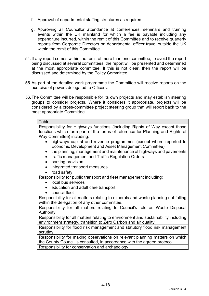- f. Approval of departmental staffing structures as required
- g. Approving all Councillor attendance at conferences, seminars and training events within the UK mainland for which a fee is payable including any expenditure incurred, within the remit of this Committee and to receive quarterly reports from Corporate Directors on departmental officer travel outside the UK within the remit of this Committee.
- 54. If any report comes within the remit of more than one committee, to avoid the report being discussed at several committees, the report will be presented and determined at the most appropriate committee. If this is not clear, then the report will be discussed and determined by the Policy Committee.
- 55. As part of the detailed work programme the Committee will receive reports on the exercise of powers delegated to Officers.
- 56. The Committee will be responsible for its own projects and may establish steering groups to consider projects. Where it considers it appropriate, projects will be considered by a cross-committee project steering group that will report back to the most appropriate Committee.

#### **Table**

Responsibility for Highways functions (including Rights of Way except those functions which form part of the terms of reference for Planning and Rights of Way Committee) including:

- highways capital and revenue programmes (except where reported to Economic Development and Asset Management Committee)
- the planning, management and maintenance of highways and pavements
- traffic management and Traffic Regulation Orders
- parking provision
- integrated transport measures
- road safety

Responsibility for public transport and fleet management including:

- local bus services
- education and adult care transport
- council fleet

Responsibility for all matters relating to minerals and waste planning not falling within the delegation of any other committee.

Responsibility for all matters relating to Council's role as Waste Disposal Authority.

Responsibility for all matters relating to environment and sustainability including environment strategy, transition to Zero Carbon and air quality

Responsibility for flood risk management and statutory flood risk management scrutiny

Responsibility for making observations on relevant planning matters on which the County Council is consulted, in accordance with the agreed protocol

Responsibility for conservation and archaeology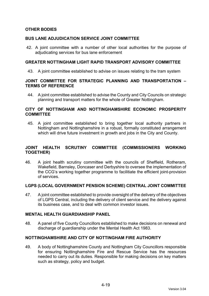# **OTHER BODIES**

### **BUS LANE ADJUDICATION SERVICE JOINT COMMITTEE**

42. A joint committee with a number of other local authorities for the purpose of adjudicating services for bus lane enforcement

#### **GREATER NOTTINGHAM LIGHT RAPID TRANSPORT ADVISORY COMMITTEE**

43. A joint committee established to advise on issues relating to the tram system

### **JOINT COMMITTEE FOR STRATEGIC PLANNING AND TRANSPORTATION – TERMS OF REFERENCE**

44. A joint committee established to advise the County and City Councils on strategic planning and transport matters for the whole of Greater Nottingham.

#### **CITY OF NOTTINGHAM AND NOTTINGHAMSHIRE ECONOMIC PROSPERITY COMMITTEE**

45. A joint committee established to bring together local authority partners in Nottingham and Nottinghamshire in a robust, formally constituted arrangement which will drive future investment in growth and jobs in the City and County.

## **JOINT HEALTH SCRUTINY COMMITTEE (COMMISSIONERS WORKING TOGETHER)**

46. A joint health scrutiny committee with the councils of Sheffield, Rotheram, Wakefield, Barnsley, Doncaser and Derbyshire to oversee the implementation of the CCG's working together programme to facilitiate the efficient joint-provision of services.

#### **LGPS (LOCAL GOVERNMENT PENSION SCHEME) CENTRAL JOINT COMMITTEE**

47. A joint committee established to provide oversight of the delivery of the objectives of LGPS Central, including the delivery of client service and the delivery against its business case, and to deal with common investor issues.

#### **MENTAL HEALTH GUARDIANSHIP PANEL**

48. A panel of five County Councillors established to make decisions on renewal and discharge of guardianship under the Mental Health Act 1983.

#### **NOTTINGHAMSHIRE AND CITY OF NOTTINGHAM FIRE AUTHORITY**

49. A body of Nottinghamshire County and Nottingham City Councillors responsible for ensuring Nottinghamshire Fire and Rescue Service has the resources needed to carry out its duties. Responsible for making decisions on key matters such as strategy, policy and budget.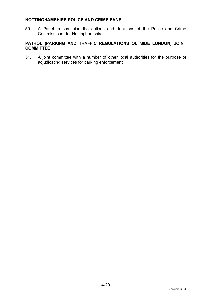## **NOTTINGHAMSHIRE POLICE AND CRIME PANEL**

50. A Panel to scrutinise the actions and decisions of the Police and Crime Commissioner for Nottinghamshire.

# **PATROL (PARKING AND TRAFFIC REGULATIONS OUTSIDE LONDON) JOINT COMMITTEE**

51. A joint committee with a number of other local authorities for the purpose of adjudicating services for parking enforcement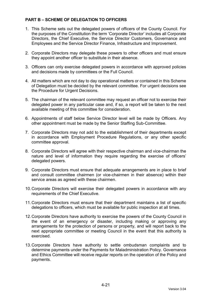# **PART B – SCHEME OF DELEGATION TO OFFICERS**

- 1. This Scheme sets out the delegated powers of officers of the County Council. For the purposes of the Constitution the term 'Corporate Director' includes all Corporate Directors, the Chief Executive, the Service Director Customers, Governance and Employees and the Service Director Finance, Infrastructure and Improvement.
- 2. Corporate Directors may delegate these powers to other officers and must ensure they appoint another officer to substitute in their absence.
- 3. Officers can only exercise delegated powers in accordance with approved policies and decisions made by committees or the Full Council.
- 4. All matters which are not day to day operational matters or contained in this Scheme of Delegation must be decided by the relevant committee. For urgent decisions see the Procedure for Urgent Decisions.
- 5. The chairman of the relevant committee may request an officer not to exercise their delegated power in any particular case and, if so, a report will be taken to the next available meeting of this committee for consideration.
- 6. Appointments of staff below Service Director level will be made by Officers. Any other appointment must be made by the Senior Staffing Sub-Committee.
- 7. Corporate Directors may not add to the establishment of their departments except in accordance with Employment Procedure Regulations, or any other specific committee approval.
- 8. Corporate Directors will agree with their respective chairman and vice-chairman the nature and level of information they require regarding the exercise of officers' delegated powers.
- 9. Corporate Directors must ensure that adequate arrangements are in place to brief and consult committee chairmen (or vice-chairmen in their absence) within their service areas as agreed with these chairmen.
- 10. Corporate Directors will exercise their delegated powers in accordance with any requirements of the Chief Executive.
- 11. Corporate Directors must ensure that their department maintains a list of specific delegations to officers, which must be available for public inspection at all times.
- 12. Corporate Directors have authority to exercise the powers of the County Council in the event of an emergency or disaster, including making or approving any arrangements for the protection of persons or property, and will report back to the next appropriate committee or meeting Council in the event that this authority is exercised.
- 13. Corporate Directors have authority to settle ombudsman complaints and to determine payments under the Payments for Maladministration Policy. Governance and Ethics Committee will receive regular reports on the operation of the Policy and payments.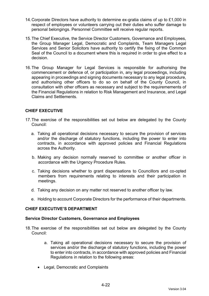- 14. Corporate Directors have authority to determine ex-gratia claims of up to £1,000 in respect of employees or volunteers carrying out their duties who suffer damage to personal belongings. Personnel Committee will receive regular reports.
- 15. The Chief Executive, the Service Director Customers, Governance and Employees, the Group Manager Legal, Democratic and Complaints, Team Managers Legal Services and Senior Solicitors have authority to certify the fixing of the Common Seal of the Council to a document where this is required in order to give effect to a decision.
- 16. The Group Manager for Legal Services is responsible for authorising the commencement or defence of, or participation in, any legal proceedings, including appearing in proceedings and signing documents necessary to any legal procedure, and authorising other officers to do so on behalf of the County Council, in consultation with other officers as necessary and subject to the requiremements of the Financial Regulations in relation to Risk Management and Insurance, and Legal Claims and Settlements.

# **CHIEF EXECUTIVE**

- 17. The exercise of the responsibilities set out below are delegated by the County Council:
	- a. Taking all operational decisions necessary to secure the provision of services and/or the discharge of statutory functions, including the power to enter into contracts, in accordance with approved policies and Financial Regulations across the Authority.
	- b. Making any decision normally reserved to committee or another officer in accordance with the Urgency Procedure Rules.
	- c. Taking decisions whether to grant dispensations to Councillors and co-opted members from requirements relating to interests and their participation in meetings.
	- d. Taking any decision on any matter not reserved to another officer by law.
	- e. Holding to account Corporate Directors for the performance of their departments.

### **CHIEF EXECUTIVE'S DEPARTMENT**

#### **Service Director Customers, Governance and Employees**

- 18. The exercise of the responsibilities set out below are delegated by the County Council:
	- a. Taking all operational decisions necessary to secure the provision of services and/or the discharge of statutory functions, including the power to enter into contracts, in accordance with approved policies and Financial Regulations in relation to the following areas:
	- Legal, Democratic and Complaints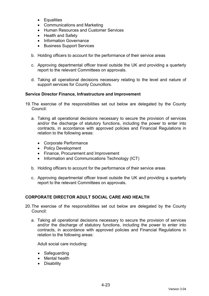- Equalities
- Communications and Marketing
- Human Resources and Customer Services
- Health and Safety
- Information Governance
- Business Support Services
- b. Holding officers to account for the performance of their service areas
- c. Approving departmental officer travel outside the UK and providing a quarterly report to the relevant Committees on approvals.
- d. Taking all operational decisions necessary relating to the level and nature of support services for County Councillors.

### **Service Director Finance, Infrastructure and Improvement**

- 19. The exercise of the responsibilities set out below are delegated by the County Council:
	- a. Taking all operational decisions necessary to secure the provision of services and/or the discharge of statutory functions, including the power to enter into contracts, in accordance with approved policies and Financial Regulations in relation to the following areas:
		- Corporate Performance
		- Policy Development
		- Finance, Procurement and Improvement
		- Information and Communications Technology (ICT)
	- b. Holding officers to account for the performance of their service areas
	- c. Approving departmental officer travel outside the UK and providing a quarterly report to the relevant Committees on approvals.

# **CORPORATE DIRECTOR ADULT SOCIAL CARE AND HEALTH**

- 20. The exercise of the responsibilities set out below are delegated by the County Council:
	- a. Taking all operational decisions necessary to secure the provision of services and/or the discharge of statutory functions, including the power to enter into contracts, in accordance with approved policies and Financial Regulations in relation to the following areas:

Adult social care including:

- Safeguarding
- Mental health
- Disability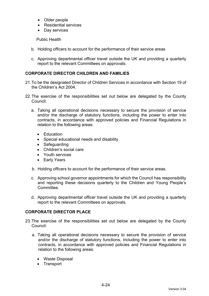- Older people
- Residential services
- Day services

Public Health

- b. Holding officers to account for the performance of their service areas
- c. Approving departmental officer travel outside the UK and providing a quarterly report to the relevant Committees on approvals.

## **CORPORATE DIRECTOR CHILDREN AND FAMILIES**

- 21. To be the designated Director of Children Services in accordance with Section 19 of the Children's Act 2004.
- 22. The exercise of the responsibilities set out below are delegated by the County Council:
	- a. Taking all operational decisions necessary to secure the provision of service and/or the discharge of statutory functions, including the power to enter into contracts, in accordance with approved policies and Financial Regulations in relation to the following areas:
		- **•** Education
		- Special educational needs and disability
		- Safeguarding
		- Children's social care
		- Youth services
		- Early Years
	- b. Holding officers to account for the performance of their service areas.
	- c. Approving school governor appointments for which the Council has responsibility and reporting these decisions quarterly to the Children and Young People's Committee.
	- d. Approving departmental officer travel outside the UK and providing a quarterly report to the relevant Committees on approvals.

# **CORPORATE DIRECTOR PLACE**

- 23. The exercise of the responsibilities set out below are delegated by the County Council:
	- a. Taking all operational decisions necessary to secure the provision of service and/or the discharge of statutory functions, including the power to enter into contracts, in accordance with approved policies and Financial Regulations in relation to the following areas:
		- Waste Disposal
		- Transport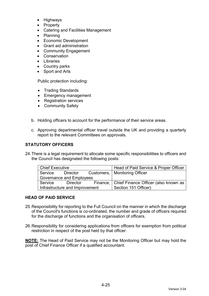- Highways
- Property
- Catering and Facilities Management
- Planning
- Economic Development
- Grant aid administration
- Community Engagement
- Conservation
- Libraries
- Country parks
- Sport and Arts

Public protection including:

- Trading Standards
- Emergency management
- Registration services
- Community Safety
- b. Holding officers to account for the performance of their service areas.
- c. Approving departmental officer travel outside the UK and providing a quarterly report to the relevant Committees on approvals.

## **STATUTORY OFFICERS**

24. There is a legal requirement to allocate some specific responsibilities to officers and the Council has designated the following posts:

| Chief Executive                |          |  | Head of Paid Service & Proper Officer           |
|--------------------------------|----------|--|-------------------------------------------------|
| Service                        | Director |  | Customers,   Monitoring Officer                 |
| Governance and Employees       |          |  |                                                 |
| Service                        | Director |  | Finance,   Chief Finance Officer (also known as |
| Infrastructure and Improvement |          |  | Section 151 Officer)                            |

### **HEAD OF PAID SERVICE**

- 25. Responsibility for reporting to the Full Council on the manner in which the discharge of the Council's functions is co-ordinated, the number and grade of officers required for the discharge of functions and the organisation of officers.
- 26. Responsibility for considering applications from officers for exemption from political restriction in respect of the post held by that officer.

**NOTE:** The Head of Paid Service may not be the Monitoring Officer but may hold the post of Chief Finance Officer if a qualified accountant.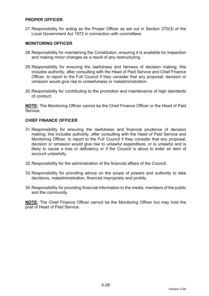## **PROPER OFFICER**

27. Responsibility for acting as the Proper Officer as set out in Section 270(3) of the Local Government Act 1972 in connection with committees.

### **MONITORING OFFICER**

- 28. Responsibility for maintaining the Constitution, ensuring it is available for inspection and making minor changes as a result of any restructuring.
- 29. Responsibility for ensuring the lawfulness and fairness of decision making; this includes authority, after consulting with the Head of Paid Service and Chief Finance Officer, to report to the Full Council if they consider that any proposal, decision or omission would give rise to unlawfulness or maladministration.
- 30. Responsibility for contributing to the promotion and maintenance of high standards of conduct.

**NOTE:** The Monitoring Officer cannot be the Chief Finance Officer or the Head of Paid Service.

## **CHIEF FINANCE OFFICER**

- 31. Responsibility for ensuring the lawfulness and financial prudence of decision making; this includes authority, after consulting with the Head of Paid Service and Monitoring Officer, to report to the Full Council if they consider that any proposal, decision or omission would give rise to unlawful expenditure, or is unlawful and is likely to cause a loss or deficiency or if the Council is about to enter an item of account unlawfully.
- 32. Responsibility for the administration of the financial affairs of the Council.
- 33. Responsibility for providing advice on the scope of powers and authority to take decisions, maladministration, financial impropriety and probity.
- 34. Responsibility for providing financial information to the media, members of the public and the community.

**NOTE:** The Chief Finance Officer cannot be the Monitoring Officer but may hold the post of Head of Paid Service.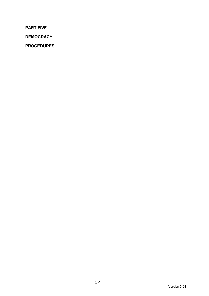**PART FIVE** 

**DEMOCRACY** 

**PROCEDURES**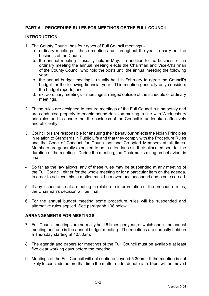# **PART A – PROCEDURE RULES FOR MEETINGS OF THE FULL COUNCIL**

## **INTRODUCTION**

- 1. The County Council has four types of Full Council meetings:
	- a. ordinary meetings these meetings run throughout the year to carry out the business of the Council;
	- b. the annual meeting usually held in May. In addition to the business of an ordinary meeting the annual meeting elects the Chairman and Vice-Chairman of the County Council who hold the posts until the annual meeting the following year;
	- c. the annual budget meeting usually held in February to agree the Council's budget for the following financial year. This meeting generally only considers the budget reports; and
	- d. extraordinary meetings meetings arranged outside of the schedule of ordinary meetings.
- 2. These rules are designed to ensure meetings of the Full Council run smoothly and are conducted properly to enable sound decision-making in line with Wednesbury principles and to ensure that the business of the Council is undertaken effectively and efficiently.
- 3. Councillors are responsible for ensuring their behaviour reflects the Nolan Principles in relation to Standards in Public Life and that they comply with the Procedure Rules and the Code of Conduct for Councillors and Co-opted Members at all times. Members are generally expected to be in attendance in their allocated seat for the duration of the meeting. During the meeting, the Chairman's ruling on behaviour is final.
- 4. So far as the law allows, any of these rules may be suspended at any meeting of the Full Council, either for the whole meeting or for a particular item on the agenda. In order to achieve this, a motion must be moved and seconded and a vote carried.
- 5. If any issues arise at a meeting in relation to interpretation of the procedure rules, the Chairman's decision will be final.
- 6. For the annual budget meeting some procedure rules will be suspended and alternative rules applied. See paragraph 108 below.

# **ARRANGEMENTS FOR MEETINGS**

- 7. Full Council meetings are normally held 6 times per year, of which one is the annual meeting and one is the annual budget meeting. The meetings are normally held on a Thursday starting at 10.30am.
- 8. The agenda and papers for meetings of the Full Council must be available at least five clear working days before the meeting.
- 9. Meetings of the Full Council will not continue beyond 5.30pm. If the meeting is not likely to conclude before that time the matter under debate at 5.15pm will be moved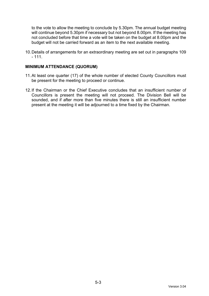to the vote to allow the meeting to conclude by 5.30pm. The annual budget meeting will continue beyond 5.30pm if necessary but not beyond 8.00pm. If the meeting has not concluded before that time a vote will be taken on the budget at 8.00pm and the budget will not be carried forward as an item to the next available meeting.

10. Details of arrangements for an extraordinary meeting are set out in paragraphs 109  $-111.$ 

#### **MINIMUM ATTENDANCE (QUORUM)**

- 11. At least one quarter (17) of the whole number of elected County Councillors must be present for the meeting to proceed or continue.
- 12. If the Chairman or the Chief Executive concludes that an insufficient number of Councillors is present the meeting will not proceed. The Division Bell will be sounded, and if after more than five minutes there is still an insufficient number present at the meeting it will be adjourned to a time fixed by the Chairman.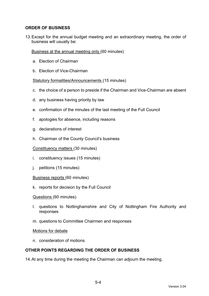# **ORDER OF BUSINESS**

13. Except for the annual budget meeting and an extraordinary meeting, the order of business will usually be:

Business at the annual meeting only (60 minutes)

- a. Election of Chairman
- b. Election of Vice-Chairman

#### Statutory formalities/Announcements (15 minutes)

- c. the choice of a person to preside if the Chairman and Vice-Chairman are absent
- d. any business having priority by law
- e. confirmation of the minutes of the last meeting of the Full Council
- f. apologies for absence, including reasons
- g. declarations of interest
- h. Chairman of the County Council's business

Constituency matters (30 minutes)

- i. constituency issues (15 minutes)
- j. petitions (15 minutes)
- Business reports (60 minutes)
- k. reports for decision by the Full Council

Questions (60 minutes)

- l. questions to Nottinghamshire and City of Nottingham Fire Authority and responses
- m. questions to Committee Chairmen and responses

#### Motions for debate

n. consideration of motions

## **OTHER POINTS REGARDING THE ORDER OF BUSINESS**

14. At any time during the meeting the Chairman can adjourn the meeting.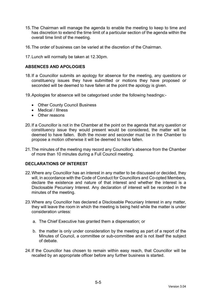- 15. The Chairman will manage the agenda to enable the meeting to keep to time and has discretion to extend the time limit of a particular section of the agenda within the overall time limit of the meeting.
- 16. The order of business can be varied at the discretion of the Chairman.
- 17. Lunch will normally be taken at 12.30pm.

### **ABSENCES AND APOLOGIES**

- 18. If a Councillor submits an apology for absence for the meeting, any questions or constituency issues they have submitted or motions they have proposed or seconded will be deemed to have fallen at the point the apology is given.
- 19. Apologies for absence will be categorised under the following headings:-
	- Other County Council Business
	- Medical / Illness
	- Other reasons
- 20. If a Councillor is not in the Chamber at the point on the agenda that any question or constituency issue they would present would be considered, the matter will be deemed to have fallen. Both the mover and seconder must be in the Chamber to propose a motion otherwise it will be deemed to have fallen.
- 21. The minutes of the meeting may record any Councillor's absence from the Chamber of more than 10 minutes during a Full Council meeting.

### **DECLARATIONS OF INTEREST**

- 22. Where any Councillor has an interest in any matter to be discussed or decided, they will, in accordance with the Code of Conduct for Councillors and Co-opted Members, declare the existence and nature of that interest and whether the interest is a Disclosable Pecuniary Interest. Any declaration of interest will be recorded in the minutes of the meeting.
- 23. Where any Councillor has declared a Disclosable Pecuniary Interest in any matter, they will leave the room in which the meeting is being held while the matter is under consideration unless:
	- a. The Chief Executive has granted them a dispensation; or
	- b. the matter is only under consideration by the meeting as part of a report of the Minutes of Council, a committee or sub-committee and is not itself the subject of debate.
- 24. If the Councillor has chosen to remain within easy reach, that Councillor will be recalled by an appropriate officer before any further business is started.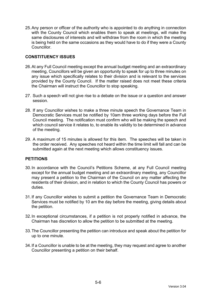25. Any person or officer of the authority who is appointed to do anything in connection with the County Council which enables them to speak at meetings, will make the same disclosures of interests and will withdraw from the room in which the meeting is being held on the same occasions as they would have to do if they were a County Councillor.

## **CONSTITUENCY ISSUES**

- 26. At any Full Council meeting except the annual budget meeting and an extraordinary meeting, Councillors will be given an opportunity to speak for up to three minutes on any issue which specifically relates to their division and is relevant to the services provided by the County Council. If the matter raised does not meet these criteria the Chairman will instruct the Councillor to stop speaking.
- 27. Such a speech will not give rise to a debate on the issue or a question and answer session.
- 28. If any Councillor wishes to make a three minute speech the Governance Team in Democratic Services must be notified by 10am three working days before the Full Council meeting. The notification must confirm who will be making the speech and which council service it relates to, to enable its validity to be determined in advance of the meeting.
- 29. A maximum of 15 minutes is allowed for this item. The speeches will be taken in the order received. Any speeches not heard within the time limit will fall and can be submitted again at the next meeting which allows constituency issues.

### **PETITIONS**

- 30. In accordance with the Council's Petitions Scheme, at any Full Council meeting except for the annual budget meeting and an extraordinary meeting, any Councillor may present a petition to the Chairman of the Council on any matter affecting the residents of their division, and in relation to which the County Council has powers or duties.
- 31. If any Councillor wishes to submit a petition the Governance Team in Democratic Services must be notified by 10 am the day before the meeting, giving details about the petition.
- 32. In exceptional circumstances, if a petition is not properly notified in advance, the Chairman has discretion to allow the petition to be submitted at the meeting.
- 33. The Councillor presenting the petition can introduce and speak about the petition for up to one minute.
- 34. If a Councillor is unable to be at the meeting, they may request and agree to another Councillor presenting a petition on their behalf.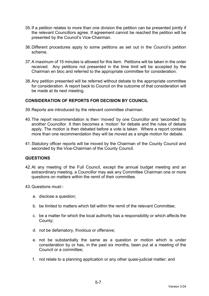- 35. If a petition relates to more than one division the petition can be presented jointly if the relevant Councillors agree. If agreement cannot be reached the petition will be presented by the Council's Vice-Chairman.
- 36. Different procedures apply to some petitions as set out in the Council's petition scheme.
- 37. A maximum of 15 minutes is allowed for this item. Petitions will be taken in the order received. Any petitions not presented in the time limit will be accepted by the Chairman en bloc and referred to the appropriate committee for consideration.
- 38. Any petition presented will be referred without debate to the appropriate committee for consideration. A report back to Council on the outcome of that consideration will be made at its next meeting.

### **CONSIDERATION OF REPORTS FOR DECISION BY COUNCIL**

- 39. Reports are introduced by the relevant committee chairman.
- 40. The report recommendation is then 'moved' by one Councillor and 'seconded' by another Councillor. It then becomes a 'motion' for debate and the rules of debate apply. The motion is then debated before a vote is taken. Where a report contains more than one recommendation they will be moved as a single motion for debate.
- 41. Statutory officer reports will be moved by the Chairman of the County Council and seconded by the Vice-Chairman of the County Council.

#### **QUESTIONS**

- 42. At any meeting of the Full Council, except the annual budget meeting and an extraordinary meeting, a Councillor may ask any Committee Chairman one or more questions on matters within the remit of their committee.
- 43. Questions must:
	- a. disclose a question;
	- b. be limited to matters which fall within the remit of the relevant Committee;
	- c. be a matter for which the local authority has a responsibility or which affects the County;
	- d. not be defamatory, frivolous or offensive;
	- e. not be substantially the same as a question or motion which is under consideration by or has, in the past six months, been put at a meeting of the Council or a committee;
	- f. not relate to a planning application or any other quasi-judicial matter; and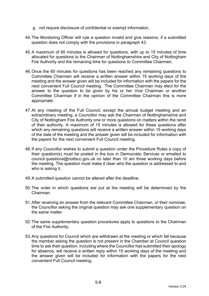- g. not require disclosure of confidential or exempt information.
- 44. The Monitoring Officer will rule a question invalid and give reasons, if a submitted question does not comply with the provisions in paragraph 43.
- 45. A maximum of 60 minutes is allowed for questions, with up to 15 minutes of time allocated for questions to the Chairman of Nottinghamshire and City of Nottingham Fire Authority and the remaining time for questions to Committee Chairmen.
- 46. Once the 60 minutes for questions has been reached any remaining questions to Committee Chairmen will receive a written answer within 15 working days of the meeting and the answer given will be included for information with the papers for the next convenient Full Council meeting. The Committee Chairman may elect for the answer to the question to be given by his or her Vice Chairman or another Committee Chairman if in the opinion of the Committee Chairman this is more appropriate.
- 47. At any meeting of the Full Council, except the annual budget meeting and an extraordinary meeting, a Councillor may ask the Chairman of Nottinghamshire and City of Nottingham Fire Authority one or more questions on matters within the remit of their authority. A maximum of 15 minutes is allowed for these questions after which any remaining questions will receive a written answer within 15 working days of the date of the meeting and the answer given will be included for information with the papers for the next convenient Full Council meeting.
- 48. If any Councillor wishes to submit a question under the Procedure Rules a copy of their question(s) must be posted in the box in Democratic Services or emailed to council.questions@nottscc.gov.uk no later than 10 am three working days before the meeting. The question must make it clear who the question is addressed to and who is asking it.
- 49. A submitted question cannot be altered after the deadline.
- 50. The order in which questions are put at the meeting will be determined by the Chairman.
- 51. After receiving an answer from the relevant Committee Chairman, or their nominee, the Councillor asking the original question may ask one supplementary question on the same matter.
- 52. The same supplementary question procedures apply to questions to the Chairman of the Fire Authority.
- 53. Any questions for Council which are withdrawn at the meeting or which fall because the member asking the question is not present in the Chamber at Council question time to ask their question, including where the Councillor has submitted their apology for absence, will receive a written reply within 15 working days of the meeting and the answer given will be included for information with the papers for the next convenient Full Council meeting.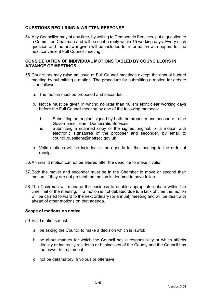## **QUESTIONS REQUIRING A WRITTEN RESPONSE**

54. Any Councillor may at any time, by writing to Democratic Services, put a question to a Committee Chairman and will be sent a reply within 15 working days. Every such question and the answer given will be included for information with papers for the next convenient Full Council meeting.

#### **CONSIDERATION OF INDIVIDUAL MOTIONS TABLED BY COUNCILLORS IN ADVANCE OF MEETINGS**

- 55. Councillors may raise an issue at Full Council meetings except the annual budget meeting by submitting a motion. The procedure for submitting a motion for debate is as follows:
	- a. The motion must be proposed and seconded.
	- b. Notice must be given in writing no later than 10 am eight clear working days before the Full Council meeting by one of the following methods:
		- i. Submitting an original signed by both the proposer and seconder to the Governance Team, Democratic Services
		- ii. Submitting a scanned copy of the signed original, or a motion with electronic signatures of the proposer and seconder, by email to council.questions@nottscc.gov.uk
	- c. Valid motions will be included in the agenda for the meeting in the order of receipt.
- 56. An invalid motion cannot be altered after the deadline to make it valid.
- 57. Both the mover and seconder must be in the Chamber to move or second their motion, if they are not present the motion is deemed to have fallen.
- 58. The Chairman will manage the business to enable appropriate debate within the time limit of the meeting. If a motion is not debated due to a lack of time the motion will be carried forward to the next ordinary (or annual) meeting and will be dealt with ahead of other motions on that agenda.

### **Scope of motions on notice**

59. Valid motions must:-

- a. be asking the Council to make a decision which is lawful;
- b. be about matters for which the Council has a responsibility or which affects directly or indirectly residents or businesses of the County and the Council has the power to implement;
- c. not be defamatory, frivolous or offensive;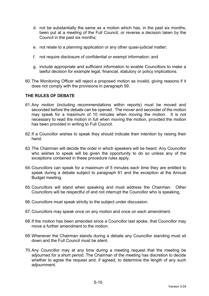- d. not be substantially the same as a motion which has, in the past six months, been put at a meeting of the Full Council, or reverse a decision taken by the Council in the past six months;
- e. not relate to a planning application or any other quasi-judicial matter;
- f. not require disclosure of confidential or exempt information; and
- g. include appropriate and sufficient information to enable Councillors to make a lawful decision for example legal, financial, statutory or policy implications.
- 60. The Monitoring Officer will reject a proposed motion as invalid, giving reasons if it does not comply with the provisions in paragraph 59.

### **THE RULES OF DEBATE**

- 61. Any motion (including recommendations within reports) must be moved and seconded before the debate can be opened. The mover and seconder of the motion may speak for a maximum of 10 minutes when moving the motion. It is not necessary to read the motion in full when moving the motion, provided the motion has been provided in writing to Full Council.
- 62. If a Councillor wishes to speak they should indicate their intention by raising their hand.
- 63. The Chairman will decide the order in which speakers will be heard. Any Councillor who wishes to speak will be given the opportunity to do so unless any of the exceptions contained in these procedure rules apply.
- 64. Councillors can speak for a maximum of 5 minutes each time they are entitled to speak during a debate subject to paragraph 61 and the exception at the Annual Budget meeting.
- 65. Councillors will stand when speaking and must address the Chairman. Other Councillors will be respectful of and not interrupt the Councillor who is speaking.
- 66. Councillors must speak strictly to the subject under discussion.
- 67. Councillors may speak once on any motion and once on each amendment.
- 68. If the motion has been amended since a Councillor last spoke, that Councillor may move a further amendment to the motion.
- 69. Whenever the Chairman stands during a debate any Councillor standing must sit down and the Full Council must be silent.
- 70. Any Councillor may at any time during a meeting request that the meeting be adjourned for a short period. The Chairman of the meeting has discretion to decide whether to agree the request and, if agreed, to determine the length of any such adjournment.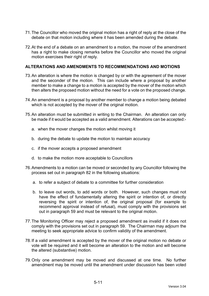- 71. The Councillor who moved the original motion has a right of reply at the close of the debate on that motion including where it has been amended during the debate.
- 72. At the end of a debate on an amendment to a motion, the mover of the amendment has a right to make closing remarks before the Councillor who moved the original motion exercises their right of reply.

### **ALTERATIONS AND AMENDMENTS TO RECOMMENDATIONS AND MOTIONS**

- 73. An alteration is where the motion is changed by or with the agreement of the mover and the seconder of the motion. This can include where a proposal by another member to make a change to a motion is accepted by the mover of the motion which then alters the proposed motion without the need for a vote on the proposed change.
- 74. An amendment is a proposal by another member to change a motion being debated which is not accepted by the mover of the original motion.
- 75. An alteration must be submitted in writing to the Chairman. An alteration can only be made if it would be accepted as a valid amendment. Alterations can be accepted:
	- a. when the mover changes the motion whilst moving it
	- b. during the debate to update the motion to maintain accuracy
	- c. if the mover accepts a proposed amendment
	- d. to make the motion more acceptable to Councillors
- 76. Amendments to a motion can be moved or seconded by any Councillor following the process set out in paragraph 82 in the following situations:
	- a. to refer a subject of debate to a committee for further consideration
	- b. to leave out words, to add words or both. However, such changes must not have the effect of fundamentally altering the spirit or intention of, or directly reversing the spirit or intention of, the original proposal (for example to recommend approval instead of refusal), must comply with the provisions set out in paragraph 59 and must be relevant to the original motion.
- 77. The Monitoring Officer may reject a proposed amendment as invalid if it does not comply with the provisions set out in paragraph 59. The Chairman may adjourn the meeting to seek appropriate advice to confirm validity of the amendment.
- 78. If a valid amendment is accepted by the mover of the original motion no debate or vote will be required and it will become an alteration to the motion and will become the altered (substantive) motion.
- 79. Only one amendment may be moved and discussed at one time. No further amendment may be moved until the amendment under discussion has been voted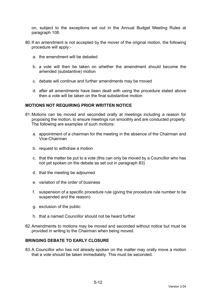on, subject to the exceptions set out in the Annual Budget Meeting Rules at paragraph 108.

- 80. If an amendment is not accepted by the mover of the original motion, the following procedure will apply:
	- a. the amendment will be debated
	- b. a vote will then be taken on whether the amendment should become the amended (substantive) motion
	- c. debate will continue and further amendments may be moved
	- d. after all amendments have been dealt with using the procedure stated above then a vote will be taken on the final substantive motion

#### **MOTIONS NOT REQUIRING PRIOR WRITTEN NOTICE**

- 81. Motions can be moved and seconded orally at meetings including a reason for proposing the motion, to ensure meetings run smoothly and are conducted properly. The following are examples of such motions:
	- a. appointment of a chairman for the meeting in the absence of the Chairman and Vice-Chairman
	- b. request to withdraw a motion
	- c. that the matter be put to a vote (this can only be moved by a Councillor who has not yet spoken on the debate as set out in paragraph 83)
	- d. that the meeting be adjourned
	- e. variation of the order of business
	- f. suspension of a specific procedure rule (giving the procedure rule number to be suspended and the reason)
	- g. exclusion of the public
	- h. that a named Councillor should not be heard further
- 82. Amendments to motions may be moved and seconded without notice but must be provided in writing to the Chairman when being moved.

## **BRINGING DEBATE TO EARLY CLOSURE**

83. A Councillor who has not already spoken on the matter may orally move a motion that a vote should be taken immediately. This must be seconded.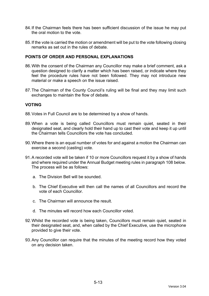- 84. If the Chairman feels there has been sufficient discussion of the issue he may put the oral motion to the vote.
- 85. If the vote is carried the motion or amendment will be put to the vote following closing remarks as set out in the rules of debate.

### **POINTS OF ORDER AND PERSONAL EXPLANATIONS**

- 86. With the consent of the Chairman any Councillor may make a brief comment, ask a question designed to clarify a matter which has been raised, or indicate where they feel the procedure rules have not been followed. They may not introduce new material or make a speech on the issue raised.
- 87. The Chairman of the County Council's ruling will be final and they may limit such exchanges to maintain the flow of debate.

## **VOTING**

- 88. Votes in Full Council are to be determined by a show of hands.
- 89. When a vote is being called Councillors must remain quiet, seated in their designated seat, and clearly hold their hand up to cast their vote and keep it up until the Chairman tells Councillors the vote has concluded.
- 90. Where there is an equal number of votes for and against a motion the Chairman can exercise a second (casting) vote.
- 91. A recorded vote will be taken if 10 or more Councillors request it by a show of hands and where required under the Annual Budget meeting rules in paragraph 108 below. The process will be as follows:
	- a. The Division Bell will be sounded.
	- b. The Chief Executive will then call the names of all Councillors and record the vote of each Councillor.
	- c. The Chairman will announce the result.
	- d. The minutes will record how each Councillor voted.
- 92. Whilst the recorded vote is being taken, Councillors must remain quiet, seated in their designated seat, and, when called by the Chief Executive, use the microphone provided to give their vote.
- 93. Any Councillor can require that the minutes of the meeting record how they voted on any decision taken.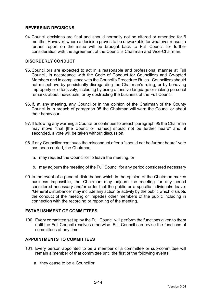## **REVERSING DECISIONS**

94. Council decisions are final and should normally not be altered or amended for 6 months. However, where a decision proves to be unworkable for whatever reason a further report on the issue will be brought back to Full Council for further consideration with the agreement of the Council's Chairman and Vice-Chairman.

### **DISORDERLY CONDUCT**

- 95. Councillors are expected to act in a reasonable and professional manner at Full Council, in accordance with the Code of Conduct for Councillors and Co-opted Members and in compliance with the Council's Procedure Rules. Councillors should not misbehave by persistently disregarding the Chairman's ruling, or by behaving improperly or offensively, including by using offensive language or making personal remarks about individuals, or by obstructing the business of the Full Council.
- 96. If, at any meeting, any Councillor in the opinion of the Chairman of the County Council is in breach of paragraph 95 the Chairman will warn the Councillor about their behaviour.
- 97. If following any warning a Councillor continues to breach paragraph 95 the Chairman may move "that [the Councillor named] should not be further heard" and, if seconded, a vote will be taken without discussion.
- 98. If any Councillor continues the misconduct after a "should not be further heard" vote has been carried, the Chairman:
	- a. may request the Councillor to leave the meeting; or
	- b. may adjourn the meeting of the Full Council for any period considered necessary
- 99. In the event of a general disturbance which in the opinion of the Chairman makes business impossible, the Chairman may adjourn the meeting for any period considered necessary and/or order that the public or a specific individual/s leave. "General disturbance" may include any action or activity by the public which disrupts the conduct of the meeting or impedes other members of the public including in connection with the recording or reporting of the meeting.

### **ESTABLISHMENT OF COMMITTEES**

100. Every committee set up by the Full Council will perform the functions given to them until the Full Council resolves otherwise. Full Council can revise the functions of committees at any time.

### **APPOINTMENTS TO COMMITTEES**

- 101. Every person appointed to be a member of a committee or sub-committee will remain a member of that committee until the first of the following events:
	- a. they cease to be a Councillor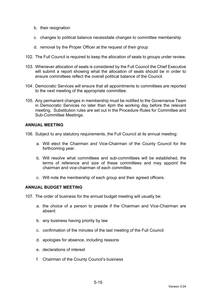- b. their resignation
- c. changes to political balance necessitate changes to committee membership
- d. removal by the Proper Officer at the request of their group
- 102. The Full Council is required to keep the allocation of seats to groups under review.
- 103. Whenever allocation of seats is considered by the Full Council the Chief Executive will submit a report showing what the allocation of seats should be in order to ensure committees reflect the overall political balance of the Council.
- 104. Democratic Services will ensure that all appointments to committees are reported to the next meeting of the appropriate committee.
- 105. Any permanent changes in membership must be notified to the Governance Team in Democratic Services no later than 4pm the working day before the relevant meeting. Substitution rules are set out in the Procedure Rules for Committee and Sub-Committee Meetings.

### **ANNUAL MEETING**

106. Subject to any statutory requirements, the Full Council at its annual meeting:

- a. Will elect the Chairman and Vice-Chairman of the County Council for the forthcoming year.
- b. Will resolve what committees and sub-committees will be established, the terms of reference and size of these committees and may appoint the chairman and vice-chairman of each committee.
- c. Will note the membership of each group and their agreed officers.

### **ANNUAL BUDGET MEETING**

107. The order of business for the annual budget meeting will usually be:

- a. the choice of a person to preside if the Chairman and Vice-Chairman are absent
- b. any business having priority by law
- c. confirmation of the minutes of the last meeting of the Full Council
- d. apologies for absence, including reasons
- e. declarations of interest
- f. Chairman of the County Council's business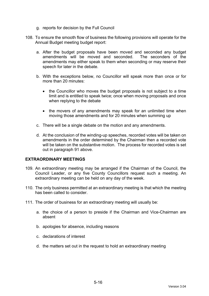- g. reports for decision by the Full Council
- 108. To ensure the smooth flow of business the following provisions will operate for the Annual Budget meeting budget report:
	- a. After the budget proposals have been moved and seconded any budget amendments will be moved and seconded. The seconders of the amendments may either speak to them when seconding or may reserve their speech for later in the debate.
	- b. With the exceptions below, no Councillor will speak more than once or for more than 20 minutes:
		- the Councillor who moves the budget proposals is not subject to a time limit and is entitled to speak twice; once when moving proposals and once when replying to the debate
		- the movers of any amendments may speak for an unlimited time when moving those amendments and for 20 minutes when summing up
	- c. There will be a single debate on the motion and any amendments.
	- d. At the conclusion of the winding-up speeches, recorded votes will be taken on amendments in the order determined by the Chairman then a recorded vote will be taken on the substantive motion. The process for recorded votes is set out in paragraph 91 above.

### **EXTRAORDINARY MEETINGS**

- 109. An extraordinary meeting may be arranged if the Chairman of the Council, the Council Leader, or any five County Councillors request such a meeting. An extraordinary meeting can be held on any day of the week.
- 110. The only business permitted at an extraordinary meeting is that which the meeting has been called to consider.
- 111. The order of business for an extraordinary meeting will usually be:
	- a. the choice of a person to preside if the Chairman and Vice-Chairman are absent
	- b. apologies for absence, including reasons
	- c. declarations of interest
	- d. the matters set out in the request to hold an extraordinary meeting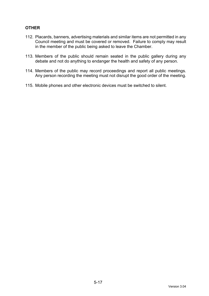# **OTHER**

- 112. Placards, banners, advertising materials and similar items are not permitted in any Council meeting and must be covered or removed. Failure to comply may result in the member of the public being asked to leave the Chamber.
- 113. Members of the public should remain seated in the public gallery during any debate and not do anything to endanger the health and safety of any person.
- 114. Members of the public may record proceedings and report all public meetings. Any person recording the meeting must not disrupt the good order of the meeting.
- 115. Mobile phones and other electronic devices must be switched to silent.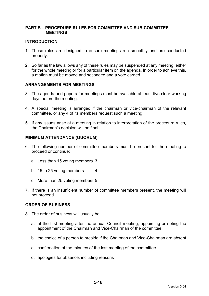### **PART B – PROCEDURE RULES FOR COMMITTEE AND SUB-COMMITTEE MEETINGS**

#### **INTRODUCTION**

- 1. These rules are designed to ensure meetings run smoothly and are conducted properly.
- 2. So far as the law allows any of these rules may be suspended at any meeting, either for the whole meeting or for a particular item on the agenda. In order to achieve this, a motion must be moved and seconded and a vote carried.

### **ARRANGEMENTS FOR MEETINGS**

- 3. The agenda and papers for meetings must be available at least five clear working days before the meeting.
- 4. A special meeting is arranged if the chairman or vice-chairman of the relevant committee, or any 4 of its members request such a meeting.
- 5. If any issues arise at a meeting in relation to interpretation of the procedure rules, the Chairman's decision will be final.

#### **MINIMUM ATTENDANCE (QUORUM)**

- 6. The following number of committee members must be present for the meeting to proceed or continue:
	- a. Less than 15 voting members 3
	- b. 15 to 25 voting members 4
	- c. More than 25 voting members 5
- 7. If there is an insufficient number of committee members present, the meeting will not proceed.

### **ORDER OF BUSINESS**

- 8. The order of business will usually be:
	- a. at the first meeting after the annual Council meeting, appointing or noting the appointment of the Chairman and Vice-Chairman of the committee
	- b. the choice of a person to preside if the Chairman and Vice-Chairman are absent
	- c. confirmation of the minutes of the last meeting of the committee
	- d. apologies for absence, including reasons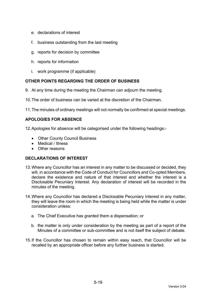- e. declarations of interest
- f. business outstanding from the last meeting
- g. reports for decision by committee
- h. reports for information
- i. work programme (if applicable)

# **OTHER POINTS REGARDING THE ORDER OF BUSINESS**

- 9. At any time during the meeting the Chairman can adjourn the meeting.
- 10. The order of business can be varied at the discretion of the Chairman.
- 11. The minutes of ordinary meetings will not normally be confirmed at special meetings.

# **APOLOGIES FOR ABSENCE**

12. Apologies for absence will be categorised under the following headings:-

- Other County Council Business
- Medical / Illness
- Other reasons

# **DECLARATIONS OF INTEREST**

- 13. Where any Councillor has an interest in any matter to be discussed or decided, they will, in accordance with the Code of Conduct for Councillors and Co-opted Members, declare the existence and nature of that interest and whether the interest is a Disclosable Pecuniary Interest. Any declaration of interest will be recorded in the minutes of the meeting.
- 14. Where any Councillor has declared a Disclosable Pecuniary Interest in any matter, they will leave the room in which the meeting is being held while the matter is under consideration unless:
	- a. The Chief Executive has granted them a dispensation; or
	- b. the matter is only under consideration by the meeting as part of a report of the Minutes of a committee or sub-committee and is not itself the subject of debate.
- 15. If the Councillor has chosen to remain within easy reach, that Councillor will be recalled by an appropriate officer before any further business is started.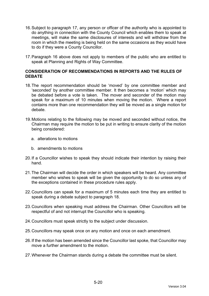- 16. Subject to paragraph 17, any person or officer of the authority who is appointed to do anything in connection with the County Council which enables them to speak at meetings, will make the same disclosures of interests and will withdraw from the room in which the meeting is being held on the same occasions as they would have to do if they were a County Councillor.
- 17. Paragraph 16 above does not apply to members of the public who are entitled to speak at Planning and Rights of Way Committee.

### **CONSIDERATION OF RECOMMENDATIONS IN REPORTS AND THE RULES OF DEBATE**

- 18. The report recommendation should be 'moved' by one committee member and 'seconded' by another committee member. It then becomes a 'motion' which may be debated before a vote is taken. The mover and seconder of the motion may speak for a maximum of 10 minutes when moving the motion. Where a report contains more than one recommendation they will be moved as a single motion for debate.
- 19. Motions relating to the following may be moved and seconded without notice, the Chairman may require the motion to be put in writing to ensure clarity of the motion being considered:
	- a. alterations to motions
	- b. amendments to motions
- 20. If a Councillor wishes to speak they should indicate their intention by raising their hand.
- 21. The Chairman will decide the order in which speakers will be heard. Any committee member who wishes to speak will be given the opportunity to do so unless any of the exceptions contained in these procedure rules apply.
- 22. Councillors can speak for a maximum of 5 minutes each time they are entitled to speak during a debate subject to paragraph 18.
- 23. Councillors when speaking must address the Chairman. Other Councillors will be respectful of and not interrupt the Councillor who is speaking.
- 24. Councillors must speak strictly to the subject under discussion.
- 25. Councillors may speak once on any motion and once on each amendment.
- 26. If the motion has been amended since the Councillor last spoke, that Councillor may move a further amendment to the motion.
- 27. Whenever the Chairman stands during a debate the committee must be silent.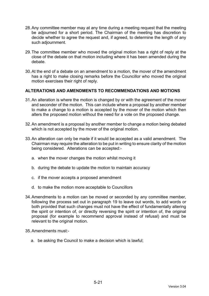- 28. Any committee member may at any time during a meeting request that the meeting be adjourned for a short period. The Chairman of the meeting has discretion to decide whether to agree the request and, if agreed, to determine the length of any such adjournment.
- 29. The committee member who moved the original motion has a right of reply at the close of the debate on that motion including where it has been amended during the debate.
- 30. At the end of a debate on an amendment to a motion, the mover of the amendment has a right to make closing remarks before the Councillor who moved the original motion exercises their right of reply.

## **ALTERATIONS AND AMENDMENTS TO RECOMMENDATIONS AND MOTIONS**

- 31. An alteration is where the motion is changed by or with the agreement of the mover and seconder of the motion. This can include where a proposal by another member to make a change to a motion is accepted by the mover of the motion which then alters the proposed motion without the need for a vote on the proposed change.
- 32. An amendment is a proposal by another member to change a motion being debated which is not accepted by the mover of the original motion.
- 33. An alteration can only be made if it would be accepted as a valid amendment. The Chairman may require the alteration to be put in writing to ensure clarity of the motion being considered. Alterations can be accepted:
	- a. when the mover changes the motion whilst moving it
	- b. during the debate to update the motion to maintain accuracy
	- c. if the mover accepts a proposed amendment
	- d. to make the motion more acceptable to Councillors
- 34. Amendments to a motion can be moved or seconded by any committee member, following the process set out in paragraph 19 to leave out words, to add words or both provided that such changes must not have the effect of fundamentally altering the spirit or intention of, or directly reversing the spirit or intention of, the original proposal (for example to recommend approval instead of refusal) and must be relevant to the original motion.
- 35. Amendments must:
	- a. be asking the Council to make a decision which is lawful;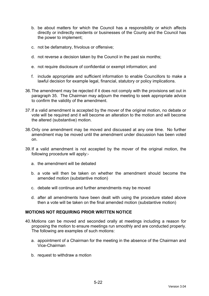- b. be about matters for which the Council has a responsibility or which affects directly or indirectly residents or businesses of the County and the Council has the power to implement;
- c. not be defamatory, frivolous or offensive;
- d. not reverse a decision taken by the Council in the past six months;
- e. not require disclosure of confidential or exempt information; and
- f. include appropriate and sufficient information to enable Councillors to make a lawful decision for example legal, financial, statutory or policy implications.
- 36. The amendment may be rejected if it does not comply with the provisions set out in paragraph 35. The Chairman may adjourn the meeting to seek appropriate advice to confirm the validity of the amendment.
- 37. If a valid amendment is accepted by the mover of the original motion, no debate or vote will be required and it will become an alteration to the motion and will become the altered (substantive) motion.
- 38. Only one amendment may be moved and discussed at any one time. No further amendment may be moved until the amendment under discussion has been voted on.
- 39. If a valid amendment is not accepted by the mover of the original motion, the following procedure will apply:
	- a. the amendment will be debated
	- b. a vote will then be taken on whether the amendment should become the amended motion (substantive motion)
	- c. debate will continue and further amendments may be moved
	- d. after all amendments have been dealt with using the procedure stated above then a vote will be taken on the final amended motion (substantive motion)

# **MOTIONS NOT REQUIRING PRIOR WRITTEN NOTICE**

- 40. Motions can be moved and seconded orally at meetings including a reason for proposing the motion to ensure meetings run smoothly and are conducted properly. The following are examples of such motions:
	- a. appointment of a Chairman for the meeting in the absence of the Chairman and Vice-Chairman
	- b. request to withdraw a motion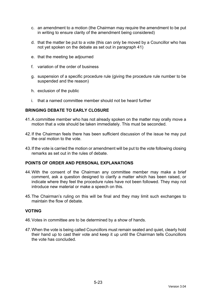- c. an amendment to a motion (the Chairman may require the amendment to be put in writing to ensure clarity of the amendment being considered)
- d. that the matter be put to a vote (this can only be moved by a Councillor who has not yet spoken on the debate as set out in paragraph 41)
- e. that the meeting be adjourned
- f. variation of the order of business
- g. suspension of a specific procedure rule (giving the procedure rule number to be suspended and the reason)
- h. exclusion of the public
- i. that a named committee member should not be heard further

### **BRINGING DEBATE TO EARLY CLOSURE**

- 41. A committee member who has not already spoken on the matter may orally move a motion that a vote should be taken immediately. This must be seconded.
- 42. If the Chairman feels there has been sufficient discussion of the issue he may put the oral motion to the vote.
- 43. If the vote is carried the motion or amendment will be put to the vote following closing remarks as set out in the rules of debate.

### **POINTS OF ORDER AND PERSONAL EXPLANATIONS**

- 44. With the consent of the Chairman any committee member may make a brief comment, ask a question designed to clarify a matter which has been raised, or indicate where they feel the procedure rules have not been followed. They may not introduce new material or make a speech on this.
- 45. The Chairman's ruling on this will be final and they may limit such exchanges to maintain the flow of debate.

### **VOTING**

- 46. Votes in committee are to be determined by a show of hands.
- 47. When the vote is being called Councillors must remain seated and quiet, clearly hold their hand up to cast their vote and keep it up until the Chairman tells Councillors the vote has concluded.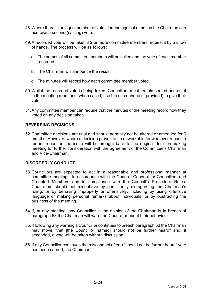- 48. Where there is an equal number of votes for and against a motion the Chairman can exercise a second (casting) vote.
- 49. A recorded vote will be taken if 2 or more committee members request it by a show of hands. The process will be as follows:
	- a. The names of all committee members will be called and the vote of each member recorded.
	- b. The Chairman will announce the result.
	- c. The minutes will record how each committee member voted.
- 50. Whilst the recorded vote is being taken, Councillors must remain seated and quiet in the meeting room and, when called, use the microphone (if provided) to give their vote.
- 51. Any committee member can require that the minutes of the meeting record how they voted on any decision taken.

### **REVERSING DECISIONS**

52. Committee decisions are final and should normally not be altered or amended for 6 months. However, where a decision proves to be unworkable for whatever reason a further report on the issue will be brought back to the original decision-making meeting for further consideration with the agreement of the Committee's Chairman and Vice-Chairman.

#### **DISORDERLY CONDUCT**

- 53. Councillors are expected to act in a reasonable and professional manner at committee meetings, in accordance with the Code of Conduct for Councillors and Co-opted Members and in compliance with the Council's Procedure Rules. Councillors should not misbehave by persistently disregarding the Chairman's ruling, or by behaving improperly or offensively, including by using offensive language or making personal remarks about individuals, or by obstructing the business of the meeting.
- 54. If, at any meeting, any Councillor in the opinion of the Chairman is in breach of paragraph 53 the Chairman will warn the Councillor about their behaviour.
- 55. If following any warning a Councillor continues to breach paragraph 53 the Chairman may move "that [the Councillor named] should not be further heard" and, if seconded, a vote will be taken without discussion.
- 56. If any Councillor continues the misconduct after a "should not be further heard" vote has been carried, the Chairman: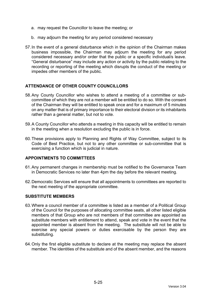- a. may request the Councillor to leave the meeting; or
- b. may adjourn the meeting for any period considered necessary
- 57. In the event of a general disturbance which in the opinion of the Chairman makes business impossible, the Chairman may adjourn the meeting for any period considered necessary and/or order that the public or a specific individual/s leave. "General disturbance" may include any action or activity by the public relating to the recording or reporting of the meeting which disrupts the conduct of the meeting or impedes other members of the public.

## **ATTENDANCE OF OTHER COUNTY COUNCILLORS**

- 58. Any County Councillor who wishes to attend a meeting of a committee or subcommittee of which they are not a member will be entitled to do so. With the consent of the Chairman they will be entitled to speak once and for a maximum of 5 minutes on any matter that is of primary importance to their electoral division or its inhabitants rather than a general matter, but not to vote.
- 59. A County Councillor who attends a meeting in this capacity will be entitled to remain in the meeting when a resolution excluding the public is in force.
- 60. These provisions apply to Planning and Rights of Way Committee, subject to its Code of Best Practice, but not to any other committee or sub-committee that is exercising a function which is judicial in nature.

### **APPOINTMENTS TO COMMITTEES**

- 61. Any permanent changes in membership must be notified to the Governance Team in Democratic Services no later than 4pm the day before the relevant meeting.
- 62. Democratic Services will ensure that all appointments to committees are reported to the next meeting of the appropriate committee.

### **SUBSTITUTE MEMBERS**

- 63. Where a council member of a committee is listed as a member of a Political Group of the Council for the purposes of allocating committee seats, all other listed eligible members of that Group who are not members of that committee are appointed as substitute members with entitlement to attend, speak and vote in the event that the appointed member is absent from the meeting. The substitute will not be able to exercise any special powers or duties exercisable by the person they are substituting.
- 64. Only the first eligible substitute to declare at the meeting may replace the absent member. The identities of the substitute and of the absent member, and the reasons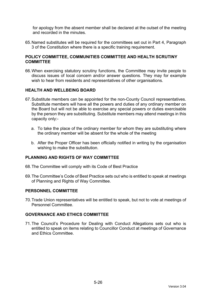for apology from the absent member shall be declared at the outset of the meeting and recorded in the minutes.

65. Named substitutes will be required for the committees set out in Part 4, Paragraph 3 of the Constitution where there is a specific training requirement.

#### **POLICY COMMITTEE, COMMUNITIES COMMITTEE AND HEALTH SCRUTINY COMMITTEE**

66. When exercising statutory scrutiny functions, the Committee may invite people to discuss issues of local concern and/or answer questions. They may for example wish to hear from residents and representatives of other organisations.

### **HEALTH AND WELLBEING BOARD**

- 67. Substitute members can be appointed for the non-County Council representatives. Substitute members will have all the powers and duties of any ordinary member on the Board but will not be able to exercise any special powers or duties exercisable by the person they are substituting. Substitute members may attend meetings in this capacity only:
	- a. To take the place of the ordinary member for whom they are substituting where the ordinary member will be absent for the whole of the meeting
	- b. After the Proper Officer has been officially notified in writing by the organisation wishing to make the substitution.

## **PLANNING AND RIGHTS OF WAY COMMITTEE**

- 68. The Committee will comply with its Code of Best Practice
- 69. The Committee's Code of Best Practice sets out who is entitled to speak at meetings of Planning and Rights of Way Committee.

#### **PERSONNEL COMMITTEE**

70. Trade Union representatives will be entitled to speak, but not to vote at meetings of Personnel Committee.

### **GOVERNANCE AND ETHICS COMMITTEE**

71. The Council's Procedure for Dealing with Conduct Allegations sets out who is entitled to speak on items relating to Councillor Conduct at meetings of Governance and Ethics Committee.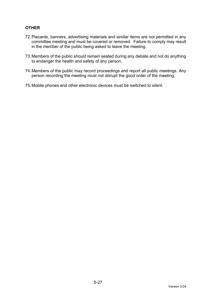## **OTHER**

- 72. Placards, banners, advertising materials and similar items are not permitted in any committee meeting and must be covered or removed. Failure to comply may result in the member of the public being asked to leave the meeting.
- 73. Members of the public should remain seated during any debate and not do anything to endanger the health and safety of any person.
- 74. Members of the public may record proceedings and report all public meetings. Any person recording the meeting must not disrupt the good order of the meeting.
- 75. Mobile phones and other electronic devices must be switched to silent.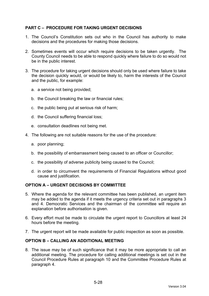## **PART C – PROCEDURE FOR TAKING URGENT DECISIONS**

- 1. The Council's Constitution sets out who in the Council has authority to make decisions and the procedures for making those decisions.
- 2. Sometimes events will occur which require decisions to be taken urgently. The County Council needs to be able to respond quickly where failure to do so would not be in the public interest.
- 3. The procedure for taking urgent decisions should only be used where failure to take the decision quickly would, or would be likely to, harm the interests of the Council and the public, for example:
	- a. a service not being provided;
	- b. the Council breaking the law or financial rules;
	- c. the public being put at serious risk of harm;
	- d. the Council suffering financial loss;
	- e. consultation deadlines not being met.
- 4. The following are not suitable reasons for the use of the procedure:
	- a. poor planning;
	- b. the possibility of embarrassment being caused to an officer or Councillor;
	- c. the possibility of adverse publicity being caused to the Council;
	- d. in order to circumvent the requirements of Financial Regulations without good cause and justification.

### **OPTION A – URGENT DECISIONS BY COMMITTEE**

- 5. Where the agenda for the relevant committee has been published, an urgent item may be added to the agenda if it meets the urgency criteria set out in paragraphs 3 and 4. Democratic Services and the chairman of the committee will require an explanation before authorisation is given.
- 6. Every effort must be made to circulate the urgent report to Councillors at least 24 hours before the meeting.
- 7. The urgent report will be made available for public inspection as soon as possible.

## **OPTION B – CALLING AN ADDITIONAL MEETING**

8. The issue may be of such significance that it may be more appropriate to call an additional meeting. The procedure for calling additional meetings is set out in the Council Procedure Rules at paragraph 10 and the Committee Procedure Rules at paragraph 4.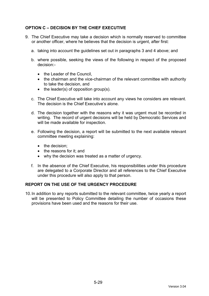## **OPTION C – DECISION BY THE CHIEF EXECUTIVE**

- 9. The Chief Executive may take a decision which is normally reserved to committee or another officer, where he believes that the decision is urgent, after first:
	- a. taking into account the guidelines set out in paragraphs 3 and 4 above; and
	- b. where possible, seeking the views of the following in respect of the proposed decision:-
		- the Leader of the Council,
		- the chairman and the vice-chairman of the relevant committee with authority to take the decision, and
		- $\bullet$  the leader(s) of opposition group(s).
	- c. The Chief Executive will take into account any views he considers are relevant. The decision is the Chief Executive's alone.
	- d. The decision together with the reasons why it was urgent must be recorded in writing. The record of urgent decisions will be held by Democratic Services and will be made available for inspection.
	- e. Following the decision, a report will be submitted to the next available relevant committee meeting explaining:
		- the decision:
		- the reasons for it: and
		- why the decision was treated as a matter of urgency.
	- f. In the absence of the Chief Executive, his responsibilities under this procedure are delegated to a Corporate Director and all references to the Chief Executive under this procedure will also apply to that person.

### **REPORT ON THE USE OF THE URGENCY PROCEDURE**

10. In addition to any reports submitted to the relevant committee, twice yearly a report will be presented to Policy Committee detailing the number of occasions these provisions have been used and the reasons for their use.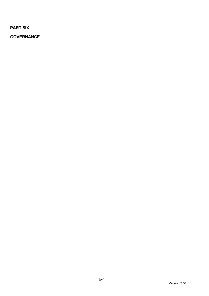**PART SIX** 

**GOVERNANCE**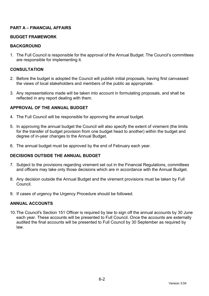## **PART A – FINANCIAL AFFAIRS**

## **BUDGET FRAMEWORK**

### **BACKGROUND**

1. The Full Council is responsible for the approval of the Annual Budget. The Council's committees are responsible for implementing it.

## **CONSULTATION**

- 2. Before the budget is adopted the Council will publish initial proposals, having first canvassed the views of local stakeholders and members of the public as appropriate.
- 3. Any representations made will be taken into account in formulating proposals, and shall be reflected in any report dealing with them.

## **APPROVAL OF THE ANNUAL BUDGET**

- 4. The Full Council will be responsible for approving the annual budget.
- 5. In approving the annual budget the Council will also specify the extent of virement (the limits for the transfer of budget provision from one budget head to another) within the budget and degree of in-year changes to the Annual Budget.
- 6. The annual budget must be approved by the end of February each year.

### **DECISIONS OUTSIDE THE ANNUAL BUDGET**

- 7. Subject to the provisions regarding virement set out in the Financial Regulations, committees and officers may take only those decisions which are in accordance with the Annual Budget.
- 8. Any decision outside the Annual Budget and the virement provisions must be taken by Full Council.
- 9. If cases of urgency the Urgency Procedure should be followed.

### **ANNUAL ACCOUNTS**

10. The Council's Section 151 Officer is required by law to sign off the annual accounts by 30 June each year. These accounts will be presented to Full Council. Once the accounts are externally audited the final accounts will be presented to Full Council by 30 September as required by law.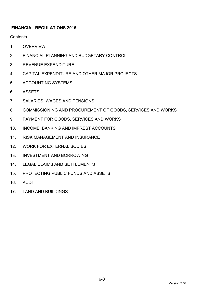# **FINANCIAL REGULATIONS 2016**

**Contents** 

- 1. OVERVIEW
- 2. FINANCIAL PLANNING AND BUDGETARY CONTROL
- 3. REVENUE EXPENDITURE
- 4. CAPITAL EXPENDITURE AND OTHER MAJOR PROJECTS
- 5. ACCOUNTING SYSTEMS
- 6. ASSETS
- 7. SALARIES, WAGES AND PENSIONS
- 8. COMMISSIONING AND PROCUREMENT OF GOODS, SERVICES AND WORKS
- 9. PAYMENT FOR GOODS, SERVICES AND WORKS
- 10. INCOME, BANKING AND IMPREST ACCOUNTS
- 11. RISK MANAGEMENT AND INSURANCE
- 12. WORK FOR EXTERNAL BODIES
- 13. INVESTMENT AND BORROWING
- 14. LEGAL CLAIMS AND SETTLEMENTS
- 15. PROTECTING PUBLIC FUNDS AND ASSETS
- 16. AUDIT
- 17. LAND AND BUILDINGS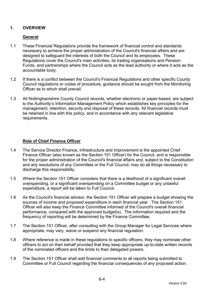# **1. OVERVIEW**

## **General**

- 1.1 These Financial Regulations provide the framework of financial control and standards necessary to achieve the proper administration of the Council's financial affairs and are designed to safeguard the interests of both the Council and its employees. These Regulations cover the Council's main activities, its trading organisations and Pension Funds, and partnerships where the Council acts as the lead authority or where it acts as the accountable body.
- 1.2 If there is a conflict between the Council's Financial Regulations and other specific County Council regulations or codes of procedure, guidance should be sought from the Monitoring Officer as to which shall prevail.
- 1.3 All Nottinghamshire County Council records, whether electronic or paper-based, are subject to the Authority's Information Management Policy which establishes key principles for the management, retention, security and disposal of these records. All financial records must be retained in line with this policy, and in accordance with any relevant legislative requirements.

# **Role of Chief Finance Officer**

- 1.4 The Service Director Finance, Infrastructure and Improvement is the appointed Chief Finance Officer (also known as the Section 151 Officer) for the Council, and is responsible for the proper administration of the Council's financial affairs and, subject to the Constitution and any resolutions of any Committee or the Full Council, may do all things necessary to discharge this responsibility.
- 1.5 Where the Section 151 Officer considers that there is a likelihood of a significant overall overspending, or a significant overspending on a Committee budget or any unlawful expenditure, a report will be taken to Full Council.
- 1.6 As the Council's financial advisor, the Section 151 Officer will prepare a budget showing the sources of income and proposed expenditure in each financial year. The Section 151 Officer will also keep the Finance Committee informed of the Council's overall financial performance, compared with the approved budget(s). The information required and the frequency of reporting will be determined by the Finance Committee.
- 1.7 The Section 151 Officer, after consulting with the Group Manager for Legal Services where appropriate, may vary, waive or suspend any financial regulation.
- 1.8 Where reference is made in these regulations to specific officers, they may nominate other officers to act on their behalf provided that they keep appropriate up-to-date written records of the nominated officers and the limits to their delegated powers.
- 1.9 The Section 151 Officer shall add financial comments to all reports being submitted to Committee or Full Council regarding the financial consequences of any proposed action.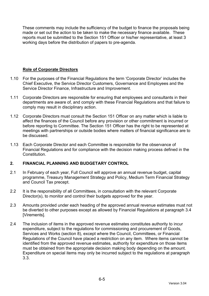These comments may include the sufficiency of the budget to finance the proposals being made or set out the action to be taken to make the necessary finance available. These reports must be submitted to the Section 151 Officer or his/her representative, at least 3 working days before the distribution of papers to pre-agenda.

## **Role of Corporate Directors**

- 1.10 For the purposes of the Financial Regulations the term 'Corporate Director' includes the Chief Executive, the Service Director Customers, Governance and Employees and the Service Director Finance, Infrastructure and Improvement.
- 1.11 Corporate Directors are responsible for ensuring that employees and consultants in their departments are aware of, and comply with these Financial Regulations and that failure to comply may result in disciplinary action.
- 1.12 Corporate Directors must consult the Section 151 Officer on any matter which is liable to affect the finances of the Council before any provision or other commitment is incurred or before reporting to Committee. The Section 151 Officer has the right to be represented at meetings with partnerships or outside bodies where matters of financial significance are to be discussed.
- 1.13 Each Corporate Director and each Committee is responsible for the observance of Financial Regulations and for compliance with the decision making process defined in the **Constitution**

## **2. FINANCIAL PLANNING AND BUDGETARY CONTROL**

- 2.1 In February of each year, Full Council will approve an annual revenue budget, capital programme, Treasury Management Strategy and Policy, Medium Term Financial Strategy and Council Tax precept.
- 2.2 It is the responsibility of all Committees, in consultation with the relevant Corporate Director(s), to monitor and control their budgets approved for the year.
- 2.3 Amounts provided under each heading of the approved annual revenue estimates must not be diverted to other purposes except as allowed by Financial Regulations at paragraph 3.4 [Virements].
- 2.4 The inclusion of items in the approved revenue estimates constitutes authority to incur expenditure, subject to the regulations for commissioning and procurement of Goods, Services and Works (section 8), except where the Council, Committees, or Financial Regulations of the Council have placed a restriction on any item. Where items cannot be identified from the approved revenue estimates, authority for expenditure on those items must be obtained from the appropriate decision making body depending on the amount. Expenditure on special items may only be incurred subject to the regulations at paragraph 3.3.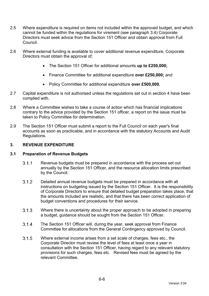- 2.5 Where expenditure is required on items not included within the approved budget, and which cannot be funded within the regulations for virement (see paragraph 3.4) Corporate Directors must seek advice from the Section 151 Officer and obtain approval from Full Council.
- 2.6 Where external funding is available to cover additional revenue expenditure, Corporate Directors must obtain the approval of;
	- The Section 151 Officer for additional amounts **up to £250,000;**
	- Finance Committee for additional expenditure **over £250,000;** and
	- Policy Committee for additional expenditure **over £500,000.**
- 2.7 Capital expenditure is not authorised unless the regulations set out in section 4 have been complied with.
- 2.8 Where a Committee wishes to take a course of action which has financial implications contrary to the advice provided by the Section 151 officer, a report on the issue must be taken to Policy Committee for determination.
- 2.9 The Section 151 Officer must submit a report to the Full Council on each year's final accounts as soon as practicable, and in accordance with the statutory Accounts and Audit Regulations.

### **3. REVENUE EXPENDITURE**

#### **3.1 Preparation of Revenue Budgets**

- Revenue budgets must be prepared in accordance with the process set out annually by the Section 151 Officer, and the resource allocation limits prescribed by the Council.
- Detailed annual revenue budgets must be prepared in accordance with all instructions on budgeting issued by the Section 151 Officer. It is the responsibility of Corporate Directors to ensure that detailed budget preparation takes place, that the amounts included are realistic, and that there has been correct application of budget conventions and procedures for their service.
- 3.1.3 Where there is uncertainty about the proper approach to be adopted in preparing a budget, guidance should be sought from the Section 151 Officer.
- The Section 151 Officer will, during the year, seek approval from Finance Committee for allocations from the General Contingency approved by Council.
- Where external income arises from a set scale of charges, fees etc., the Corporate Director must review the level of fees at least once a year in consultation with the Section 151 Officer, having regard to any relevant statutory provisions for such charges, fees etc. Revised fees must be agreed by the relevant Committee.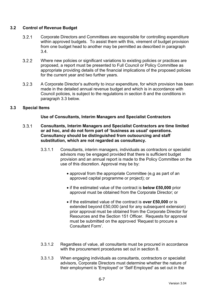## **3.2 Control of Revenue Budget**

- Corporate Directors and Committees are responsible for controlling expenditure within approved budgets. To assist them with this, virement of budget provision from one budget head to another may be permitted as described in paragraph 3.4.
- Where new policies or significant variations to existing policies or practices are proposed, a report must be presented to Full Council or Policy Committee as appropriate providing details of the financial implications of the proposed policies for the current year and two further years.
- A Corporate Director's authority to incur expenditure, for which provision has been made in the detailed annual revenue budget and which is in accordance with Council policies, is subject to the regulations in section 8 and the conditions in paragraph 3.3 below.

## **3.3 Special Items**

## **Use of Consultants, Interim Managers and Specialist Contractors**

- $3.3.1$ **Consultants, Interim Managers and Specialist Contractors are time limited or ad hoc, and do not form part of 'business as usual' operations. Consultancy should be distinguished from outsourcing and staff substitution, which are not regarded as consultancy.** 
	- 3.3.1.1 Consultants, interim managers, individuals as contractors or specialist advisors may be engaged provided that there is sufficient budget provision and an annual report is made to the Policy Committee on the use of this discretion. Approval may be by:
		- approval from the appropriate Committee (e.g as part of an approved capital programme or project); or
		- if the estimated value of the contract is **below £50,000** prior approval must be obtained from the Corporate Director; or
		- if the estimated value of the contract is **over £50,000** or is extended beyond £50,000 (and for any subsequent extension) prior approval must be obtained from the Corporate Director for Resources and the Section 151 Officer. Requests for approval must be submitted on the approved 'Request to procure a Consultant Form'.
	- 3.3.1.2 Regardless of value, all consultants must be procured in accordance with the procurement procedures set out in section 8.
	- 3.3.1.3 When engaging individuals as consultants, contractors or specialist advisors, Corporate Directors must determine whether the nature of their employment is 'Employed' or 'Self Employed' as set out in the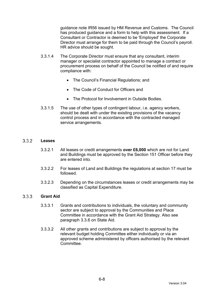guidance note IR56 issued by HM Revenue and Customs. The Council has produced guidance and a form to help with this assessment. If a Consultant or Contractor is deemed to be 'Employed' the Corporate Director must arrange for them to be paid through the Council's payroll. HR advice should be sought.

- 3.3.1.4 The Corporate Director must ensure that any consultant, interim manager or specialist contractor appointed to manage a contract or procurement process on behalf of the Council be notified of and require compliance with:
	- The Council's Financial Regulations; and
	- The Code of Conduct for Officers and
	- The Protocol for Involvement in Outside Bodies
- 3.3.1.5 The use of other types of contingent labour, i.e. agency workers, should be dealt with under the existing provisions of the vacancy control process and in accordance with the contracted managed service arrangements.

#### $3.3.2$ **Leases**

- 3.3.2.1 All leases or credit arrangements **over £6,000** which are not for Land and Buildings must be approved by the Section 151 Officer before they are entered into.
- 3.3.2.2 For leases of Land and Buildings the regulations at section 17 must be followed.
- 3.3.2.3 Depending on the circumstances leases or credit arrangements may be classified as Capital Expenditure.

#### $3.3.3$ **Grant Aid**

- 3.3.3.1 Grants and contributions to individuals, the voluntary and community sector are subject to approval by the Communities and Place Committee in accordance with the Grant Aid Strategy. Also see paragraph 3.3.6 on State Aid.
- 3.3.3.2 All other grants and contributions are subject to approval by the relevant budget holding Committee either individually or via an approved scheme administered by officers authorised by the relevant Committee.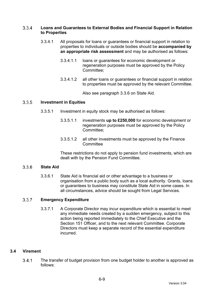#### $3.3.4$ **Loans and Guarantees to External Bodies and Financial Support in Relation to Properties**

- 3.3.4.1 All proposals for loans or guarantees or financial support in relation to properties to individuals or outside bodies should be **accompanied by an appropriate risk assessment** and may be authorised as follows:
	- 3.3.4.1.1 loans or guarantees for economic development or regeneration purposes must be approved by the Policy Committee;
	- 3.3.4.1.2 all other loans or guarantees or financial support in relation to properties must be approved by the relevant Committee.

Also see paragraph 3.3.6 on State Aid.

#### $3.3.5$ **Investment in Equities**

- 3.3.5.1 Investment in equity stock may be authorised as follows:
	- 3.3.5.1.1 investments **up to £250,000** for economic development or regeneration purposes must be approved by the Policy Committee;
	- 3.3.5.1.2 all other investments must be approved by the Finance **Committee**

These restrictions do not apply to pension fund investments, which are dealt with by the Pension Fund Committee.

#### 336 **State Aid**

3.3.6.1 State Aid is financial aid or other advantage to a business or organisation from a public body such as a local authority. Grants, loans or guarantees to business may constitute State Aid in some cases. In all circumstances, advice should be sought from Legal Services.

#### $3.3.7$ **Emergency Expenditure**

3.3.7.1 A Corporate Director may incur expenditure which is essential to meet any immediate needs created by a sudden emergency, subject to this action being reported immediately to the Chief Executive and the Section 151 Officer, and to the next relevant Committee. Corporate Directors must keep a separate record of the essential expenditure incurred.

### **3.4 Virement**

 The transfer of budget provision from one budget holder to another is approved as follows: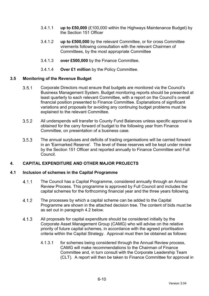- 3.4.1.1 **up to £50,000** (£100,000 within the Highways Maintenance Budget) by the Section 151 Officer
- 3.4.1.2 **up to £500,000** by the relevant Committee, or for cross Committee virements following consultation with the relevant Chairmen of Committees, by the most appropriate Committee
- 3.4.1.3 **over £500,000** by the Finance Committee.
- 3.4.1.4 **Over £1 million** by the Policy Committee.

## **3.5 Monitoring of the Revenue Budget**

- Corporate Directors must ensure that budgets are monitored via the Council's Business Management System. Budget monitoring reports should be presented at least quarterly to each relevant Committee, with a report on the Council's overall financial position presented to Finance Committee. Explanations of significant variations and proposals for avoiding any continuing budget problems must be explained to the relevant Committee.
- All underspends will transfer to County Fund Balances unless specific approval is obtained for the carry forward of budget to the following year from Finance Committee, on presentation of a business case.
- The annual surpluses and deficits of trading organisations will be carried forward in an 'Earmarked Reserve'. The level of these reserves will be kept under review by the Section 151 Officer and reported annually to Finance Committee and Full Council.

### **4. CAPITAL EXPENDITURE AND OTHER MAJOR PROJECTS**

### **4.1 Inclusion of schemes in the Capital Programme**

- The Council has a Capital Programme, considered annually through an Annual Review Process. This programme is approved by Full Council and includes the capital schemes for the forthcoming financial year and the three years following.
- The processes by which a capital scheme can be added to the Capital Programme are shown in the attached decision tree. The content of bids must be as set out in paragraph 4.2 below.
- All proposals for capital expenditure should be considered initially by the Corporate Asset Management Group (CAMG) who will advise on the relative priority of future capital schemes, in accordance with the agreed prioritisation criteria within the Capital Strategy. Approval must then be obtained as follows:
	- 4.1.3.1 for schemes being considered through the Annual Review process, CAMG will make recommendations to the Chairman of Finance Committee and, in turn consult with the Corporate Leadership Team (CLT). A report will then be taken to Finance Committee for approval in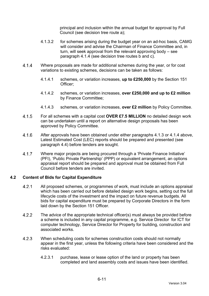principal and inclusion within the annual budget for approval by Full Council (see decision tree route a);

- 4.1.3.2 for schemes arising during the budget year on an ad-hoc basis, CAMG will consider and advise the Chairman of Finance Committee and, in turn, will seek approval from the relevant approving body – see paragraph 4.1.4 (see decision tree routes b and c).
- Where proposals are made for additional schemes during the year, or for cost variations to existing schemes, decisions can be taken as follows:
	- 4.1.4.1 schemes, or variation increases, **up to £250,000** by the Section 151 Officer;
	- 4.1.4.2 schemes, or variation increases, **over £250,000 and up to £2 million** by Finance Committee;
	- 4.1.4.3 schemes, or variation increases, **over £2 million** by Policy Committee.
- For all schemes with a capital cost **OVER £7.5 MILLION** no detailed design work can be undertaken until a report on alternative design proposals has been approved by Policy Committee.
- After approvals have been obtained under either paragraphs 4.1.3 or 4.1.4 above, Latest Estimated Cost (LEC) reports should be prepared and presented (see paragraph 4.4) before tenders are sought.
- Where major projects are being procured through a 'Private Finance Initiative' (PFI), 'Public Private Partnership' (PPP) or equivalent arrangement, an options appraisal report should be prepared and approval must be obtained from Full Council before tenders are invited.

### **4.2 Content of Bids for Capital Expenditure**

- All proposed schemes, or programmes of work, must include an options appraisal which has been carried out before detailed design work begins, setting out the full lifecycle costs of the investment and the impact on future revenue budgets. All bids for capital expenditure must be prepared by Corporate Directors in the form laid down by the Section 151 Officer.
- The advice of the appropriate technical officer(s) must always be provided before a scheme is included in any capital programme, e.g. Service Director for ICT for computer technology, Service Director for Property for building, construction and associated works.
- When scheduling costs for schemes construction costs should not normally appear in the first year, unless the following criteria have been considered and the risks evaluated:
	- 4.2.3.1 purchase, lease or lease option of the land or property has been completed and land assembly costs and issues have been identified.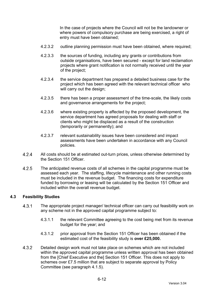In the case of projects where the Council will not be the landowner or where powers of compulsory purchase are being exercised, a right of entry must have been obtained;

- 4.2.3.2 outline planning permission must have been obtained, where required;
- 4.2.3.3 the sources of funding, including any grants or contributions from outside organisations, have been secured - except for land reclamation projects where grant notification is not normally received until the year of the project;
- 4.2.3.4 the service department has prepared a detailed business case for the project which has been agreed with the relevant technical officer who will carry out the design;
- 4.2.3.5 there has been a proper assessment of the time-scale, the likely costs and governance arrangements for the project;
- 4.2.3.6 where existing property is affected by the proposed development, the service department has agreed proposals for dealing with staff or clients who might be displaced as a result of the construction (temporarily or permanently); and
- 4.2.3.7 relevant sustainability issues have been considered and impact assessments have been undertaken in accordance with any Council policies.
- All costs should be at estimated out-turn prices, unless otherwise determined by the Section 151 Officer.
- 4.2.5 The anticipated revenue costs of all schemes in the capital programme must be assessed each year. The staffing, lifecycle maintenance and other running costs must be included in the revenue budget. The financing costs for expenditure funded by borrowing or leasing will be calculated by the Section 151 Officer and included within the overall revenue budget.

### **4.3 Feasibility Studies**

- The appropriate project manager/ technical officer can carry out feasibility work on any scheme not in the approved capital programme subject to:
	- 4.3.1.1 the relevant Committee agreeing to the cost being met from its revenue budget for the year; and
	- 4.3.1.2 prior approval from the Section 151 Officer has been obtained if the estimated cost of the feasibility study is **over £25,000.**
- Detailed design work must not take place on schemes which are not included within the approved capital programme unless written approval has been obtained from the [Chief Executive and the] Section 151 Officer. This does not apply to schemes over £7.5 million that are subject to separate approval by Policy Committee (see paragraph 4.1.5).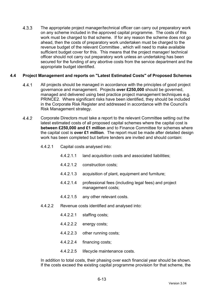4.3.3 The appropriate project manager/technical officer can carry out preparatory work on any scheme included in the approved capital programme. The costs of this work must be charged to that scheme. If for any reason the scheme does not go ahead, then the costs of preparatory work undertaken must be charged to the revenue budget of the relevant Committee , which will need to make available sufficient budget cover for this. This means that the project manager/ technical officer should not carry out preparatory work unless an undertaking has been secured for the funding of any abortive costs from the service department and the appropriate budget identified.

## **4.4 Project Management and reports on "Latest Estimated Costs" of Proposed Schemes**

- All projects should be managed in accordance with the principles of good project governance and management. Projects **over £250,000** should be governed, managed and delivered using best practice project management techniques e.g. PRINCE2. Where significant risks have been identified, they should be included in the Corporate Risk Register and addressed in accordance with the Council's Risk Management strategy.
- Corporate Directors must take a report to the relevant Committee setting out the latest estimated costs of all proposed capital schemes where the capital cost is **between £250,000 and £1 million** and to Finance Committee for schemes where the capital cost is **over £1 million**. The report must be made after detailed design work has been completed but before tenders are invited and should contain:
	- 4.4.2.1 Capital costs analysed into:
		- 4.4.2.1.1 land acquisition costs and associated liabilities;
		- 4.4.2.1.2 construction costs;
		- 4.4.2.1.3 acquisition of plant, equipment and furniture;
		- 4.4.2.1.4 professional fees (including legal fees) and project management costs;
		- 4.4.2.1.5 any other relevant costs.
	- 4.4.2.2 Revenue costs identified and analysed into:
		- 4.4.2.2.1 staffing costs;
		- 4.4.2.2.2 energy costs;
		- 4.4.2.2.3 other running costs;
		- 4.4.2.2.4 financing costs;
		- 4.4.2.2.5 lifecycle maintenance costs.

In addition to total costs, their phasing over each financial year should be shown. If the costs exceed the existing capital programme provision for that scheme, the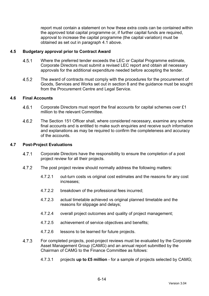report must contain a statement on how these extra costs can be contained within the approved total capital programme or, if further capital funds are required, approval to increase the capital programme (the capital variation) must be obtained as set out in paragraph 4.1 above.

## **4.5 Budgetary approval prior to Contract Award**

- Where the preferred tender exceeds the LEC or Capital Programme estimate, Corporate Directors must submit a revised LEC report and obtain all necessary approvals for the additional expenditure needed before accepting the tender.
- 4.5.2 The award of contracts must comply with the procedures for the procurement of Goods, Services and Works set out in section 8 and the guidance must be sought from the Procurement Centre and Legal Service.

### **4.6 Final Accounts**

- 4.6.1 Corporate Directors must report the final accounts for capital schemes over £1 million to the relevant Committee.
- The Section 151 Officer shall, where considered necessary, examine any scheme final accounts and is entitled to make such enquiries and receive such information and explanations as may be required to confirm the completeness and accuracy of the accounts.

## **4.7 Post-Project Evaluations**

- 4.7.1 Corporate Directors have the responsibility to ensure the completion of a post project review for all their projects.
- 4.7.2 The post project review should normally address the following matters:
	- 4.7.2.1 out-turn costs vs original cost estimates and the reasons for any cost increases;
	- 4.7.2.2 breakdown of the professional fees incurred;
	- 4.7.2.3 actual timetable achieved vs original planned timetable and the reasons for slippage and delays;
	- 4.7.2.4 overall project outcomes and quality of project management;
	- 4.7.2.5 achievement of service objectives and benefits;
	- 4.7.2.6 lessons to be learned for future projects.
- For completed projects, post-project reviews must be evaluated by the Corporate Asset Management Group (CAMG) and an annual report submitted by the Chairman of CAMG to the Finance Committee as follows:
	- 4.7.3.1 projects **up to £5 million** for a sample of projects selected by CAMG;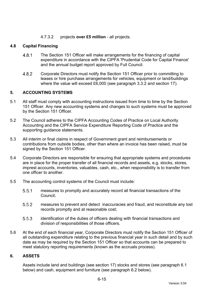## 4.7.3.2 projects **over £5 million** - all projects.

## **4.8 Capital Financing**

- The Section 151 Officer will make arrangements for the financing of capital expenditure in accordance with the CIPFA 'Prudential Code for Capital Finance' and the annual budget report approved by Full Council.
- Corporate Directors must notify the Section 151 Officer prior to committing to leases or hire purchase arrangements for vehicles, equipment or land/buildings where the value will exceed £6,000 (see paragraph 3.3.2 and section 17).

## **5. ACCOUNTING SYSTEMS**

- 5.1 All staff must comply with accounting instructions issued from time to time by the Section 151 Officer. Any new accounting systems and changes to such systems must be approved by the Section 151 Officer.
- 5.2 The Council adheres to the CIPFA Accounting Codes of Practice on Local Authority Accounting and the CIPFA Service Expenditure Reporting Code of Practice and the supporting guidance statements.
- 5.3 All interim or final claims in respect of Government grant and reimbursements or contributions from outside bodies, other than where an invoice has been raised, must be signed by the Section 151 Officer.
- 5.4 Corporate Directors are responsible for ensuring that appropriate systems and procedures are in place for the proper transfer of all financial records and assets, e.g. stocks, stores, imprest accounts, inventories, valuables, cash, etc., when responsibility is to transfer from one officer to another.
- 5.5 The accounting control systems of the Council must include:
	- measures to promptly and accurately record all financial transactions of the Council;
	- measures to prevent and detect inaccuracies and fraud, and reconstitute any lost records promptly and at reasonable cost;
	- identification of the duties of officers dealing with financial transactions and division of responsibilities of those officers.
- 5.6 At the end of each financial year, Corporate Directors must notify the Section 151 Officer of all outstanding expenditure relating to the previous financial year in such detail and by such date as may be required by the Section 151 Officer so that accounts can be prepared to meet statutory reporting requirements (known as the accruals process).

### **6. ASSETS**

Assets include land and buildings (see section 17) stocks and stores (see paragraph 6.1 below) and cash, equipment and furniture (see paragraph 6.2 below).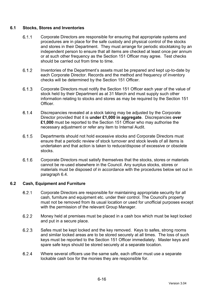## **6.1 Stocks, Stores and Inventories**

- Corporate Directors are responsible for ensuring that appropriate systems and procedures are in place for the safe custody and physical control of the stocks and stores in their Department. They must arrange for periodic stocktaking by an independent person to ensure that all items are checked at least once per annum or at such other frequency as the Section 151 Officer may agree. Test checks should be carried out from time to time.
- Inventories of the Department's assets must be prepared and kept up-to-date by each Corporate Director. Records and the method and frequency of inventory checks will be determined by the Section 151 Officer.
- Corporate Directors must notify the Section 151 Officer each year of the value of stock held by their Department as at 31 March and must supply such other information relating to stocks and stores as may be required by the Section 151 **Officer**
- Discrepancies revealed at a stock taking may be adjusted by the Corporate Director provided that it is **under £1,000 in aggregate**. Discrepancies **over £1,000** must be reported to the Section 151 Officer who may authorise the necessary adjustment or refer any item to Internal Audit.
- Departments should not hold excessive stocks and Corporate Directors must ensure that a periodic review of stock turnover and stock levels of all items is undertaken and that action is taken to reduce/dispose of excessive or obsolete stocks.
- Corporate Directors must satisfy themselves that the stocks, stores or materials cannot be re-used elsewhere in the Council. Any surplus stocks, stores or materials must be disposed of in accordance with the procedures below set out in paragraph 6.4.

### **6.2 Cash, Equipment and Furniture**

- Corporate Directors are responsible for maintaining appropriate security for all cash, furniture and equipment etc. under their control. The Council's property must not be removed from its usual location or used for unofficial purposes except with the permission of the relevant Group Manager.
- Money held at premises must be placed in a cash box which must be kept locked and put in a secure place.
- Safes must be kept locked and the key removed. Keys to safes, strong rooms and similar locked areas are to be stored securely at all times. The loss of such keys must be reported to the Section 151 Officer immediately. Master keys and spare safe keys should be stored securely at a separate location.
- Where several officers use the same safe, each officer must use a separate lockable cash box for the monies they are responsible for.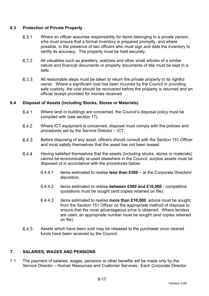## **6.3 Protection of Private Property**

- Where an officer assumes responsibility for items belonging to a private person, s/he must ensure that a formal inventory is prepared promptly, and where possible, in the presence of two officers who must sign and date the inventory to certify its accuracy. The property must be held securely.
- All valuables such as jewellery, watches and other small articles of a similar nature and financial documents or property documents of title must be kept in a safe.
- All reasonable steps must be taken to return the private property to its rightful owner. Where a significant cost has been incurred by the Council in providing safe custody, the cost should be recovered before the property is returned and an official receipt provided for monies received.

## **6.4 Disposal of Assets (including Stocks, Stores or Materials)**

- Where land or buildings are concerned, the Council's disposal policy must be complied with (see section 17).
- Where ICT equipment is concerned, disposal must comply with the policies and procedures set by the Service Director – ICT.
- Before disposing of any asset, officers should consult with the Section 151 Officer and must satisfy themselves that the asset has not been leased.
- Having satisfied themselves that the assets (including stocks, stores or materials) cannot be economically re-used elsewhere in the Council, surplus assets must be disposed of in accordance with the procedures below:
	- 6.4.4.1 items estimated to realise **less than £500** at the Corporate Directors' discretion;
	- 6.4.4.2 items estimated to realise **between £500 and £10,000** competitive quotations must be sought (and copies retained on file);
	- 6.4.4.3 items estimated to realise **more than £10,000** advice must be sought from the Section 151 Officer on the appropriate method of disposal to ensure that the most advantageous price is obtained. Where tenders are used, an appropriate number must be sought (and copies retained on file)
- Assets which have been sold may be released to the purchaser once cleared funds have been received by the Council.

## **7. SALARIES, WAGES AND PENSIONS**

7.1 The payment of salaries, wages, pensions or other benefits will be made only by the Service Director – Human Resources and Customer Services. Each Corporate Director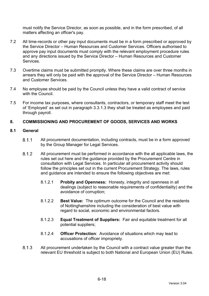must notify the Service Director, as soon as possible, and in the form prescribed, of all matters affecting an officer's pay.

- 7.2 All time-records or other pay input documents must be in a form prescribed or approved by the Service Director – Human Resources and Customer Services. Officers authorised to approve pay input documents must comply with the relevant employment procedure rules and any directions issued by the Service Director – Human Resources and Customer Services.
- 7.3 Overtime claims must be submitted promptly. Where these claims are over three months in arrears they will only be paid with the approval of the Service Director – Human Resources and Customer Services.
- 7.4 No employee should be paid by the Council unless they have a valid contract of service with the Council.
- 7.5 For income tax purposes, where consultants, contractors, or temporary staff meet the test of 'Employed' as set out in paragraph 3.3.1.3 they shall be treated as employees and paid through payroll.

## **8. COMMISSIONING AND PROCUREMENT OF GOODS, SERVICES AND WORKS**

### **8.1 General**

- All procurement documentation, including contracts, must be in a form approved by the Group Manager for Legal Services.
- All procurement must be performed in accordance with the all applicable laws, the rules set out here and the guidance provided by the Procurement Centre in consultation with Legal Services. In particular all procurement activity should follow the principles set out in the current Procurement Strategy. The laws, rules and guidance are intended to ensure the following objectives are met:
	- 8.1.2.1 **Probity and Openness:** Honesty, integrity and openness in all dealings (subject to reasonable requirements of confidentiality) and the avoidance of corruption;
	- 8.1.2.2 **Best Value:** The optimum outcome for the Council and the residents of Nottinghamshire including the consideration of best value with regard to social, economic and environmental factors.
	- 8.1.2.3 **Equal Treatment of Suppliers:** Fair and equitable treatment for all potential suppliers;
	- 8.1.2.4 **Officer Protection**: Avoidance of situations which may lead to accusations of officer impropriety.
- 8.1.3 All procurement undertaken by the Council with a contract value greater than the relevant EU threshold is subject to both National and European Union (EU) Rules.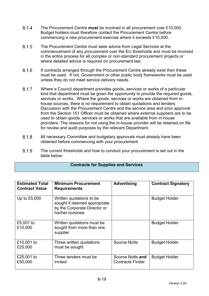- The Procurement Centre **must** be involved in all procurement over £10,000. Budget holders must therefore contact the Procurement Centre before commencing a new procurement exercise where it exceeds £10,000.
- 8.1.5 The Procurement Centre must seek advice from Legal Services at the commencement of any procurement over the EU thresholds and must be involved in the entire process for all complex or non-standard procurement projects or where detailed advice is required on procurement law.
- 8.1.6 If contracts arranged through the Procurement Centre already exist then these must be used. If not, Government or other public body frameworks must be used unless they do not meet service delivery needs.
- Where a Council department provides goods, services or works of a particular kind that department must be given the opportunity to provide the required goods, services or works. Where the goods, services or works are obtained from inhouse sources, there is no requirement to obtain quotations and tenders. Discussion with the Procurement Centre and the service area and prior approval from the Section 151 Officer must be obtained where external suppliers are to be used to obtain goods, services or works that are available from in-house providers. The reasons for not using the in-house provider will be retained on file for review and audit purposes by the relevant Department.
- All necessary Committee and budgetary approvals must already have been obtained before commencing with your procurement.
- 8.1.9 The current thresholds and how to conduct your procurement is set out in the table below:

### **Contracts for Supplies and Services**

| <b>Estimated Total</b><br><b>Contract Value</b> | <b>Minimum Procurement</b><br><b>Requirements</b>                                                           | <b>Advertising</b>                    | <b>Contract Signatory</b> |
|-------------------------------------------------|-------------------------------------------------------------------------------------------------------------|---------------------------------------|---------------------------|
| Up to £5,000                                    | Written quotations to be<br>sought if deemed appropriate<br>by the Corporate Director or<br>his/her nominee |                                       | <b>Budget Holder</b>      |
| £5,001 to<br>£10,000                            | Written quotations must be<br>sought from more than one<br>supplier                                         |                                       | <b>Budget Holder</b>      |
| £10,001 to<br>£25,000                           | Three written quotations<br>must be sought                                                                  | <b>Source Notts</b>                   | <b>Budget Holder</b>      |
| £25,001 to<br>£50,000                           | Three tenders must be<br>invited                                                                            | Source Notts and<br>Contracts Finder. | <b>Budget Holder</b>      |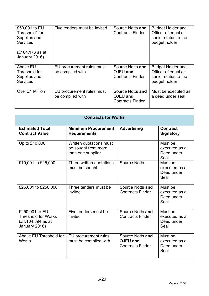| £50,001 to EU<br>Threshold* for<br>Supplies and<br><b>Services</b><br>(£164,176 as at<br>January 2016) | Five tenders must be invited                  | Source Notts and<br><b>Contracts Finder</b>             | <b>Budget Holder and</b><br>Officer of equal or<br>senior status to the<br>budget holder |
|--------------------------------------------------------------------------------------------------------|-----------------------------------------------|---------------------------------------------------------|------------------------------------------------------------------------------------------|
| Above EU<br>Threshold for<br>Supplies and<br><b>Services</b>                                           | EU procurement rules must<br>be complied with | Source Notts and<br>OJEU and<br><b>Contracts Finder</b> | <b>Budget Holder and</b><br>Officer of equal or<br>senior status to the<br>budget holder |
| Over £1 Million                                                                                        | EU procurement rules must<br>be complied with | Source Notts and<br>OJEU and<br><b>Contracts Finder</b> | Must be executed as<br>a deed under seal                                                 |

| <b>Contracts for Works</b>                                                         |                                                                     |                                                         |                                                |  |  |
|------------------------------------------------------------------------------------|---------------------------------------------------------------------|---------------------------------------------------------|------------------------------------------------|--|--|
| <b>Estimated Total</b><br><b>Contract Value</b>                                    | <b>Minimum Procurement</b><br><b>Requirements</b>                   | <b>Advertising</b>                                      | <b>Contract</b><br><b>Signatory</b>            |  |  |
| Up to £10,000                                                                      | Written quotations must<br>be sought from more<br>than one supplier |                                                         | Must be<br>executed as a<br>Deed under<br>Seal |  |  |
| £10,001 to £25,000                                                                 | Three written quotations<br>must be sought                          | <b>Source Notts</b>                                     | Must be<br>executed as a<br>Deed under<br>Seal |  |  |
| £25,001 to £250,000                                                                | Three tenders must be<br>invited                                    | Source Notts and<br><b>Contracts Finder</b>             | Must be<br>executed as a<br>Deed under<br>Seal |  |  |
| £250,001 to EU<br><b>Threshold for Works</b><br>(£4,104,394 as at<br>January 2016) | Five tenders must be<br>invited                                     | Source Notts and<br><b>Contracts Finder</b>             | Must be<br>executed as a<br>Deed under<br>Seal |  |  |
| Above EU Threshold for<br><b>Works</b>                                             | EU procurement rules<br>must be complied with                       | Source Notts and<br>OJEU and<br><b>Contracts Finder</b> | Must be<br>executed as a<br>Deed under<br>Seal |  |  |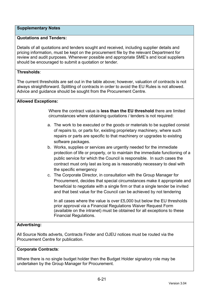## **Supplementary Notes**

## **Quotations and Tenders:**

Details of all quotations and tenders sought and received, including supplier details and pricing information, must be kept on the procurement file by the relevant Department for review and audit purposes. Whenever possible and appropriate SME's and local suppliers should be encouraged to submit a quotation or tender.

## **Thresholds**:

The current thresholds are set out in the table above; however, valuation of contracts is not always straightforward. Splitting of contracts in order to avoid the EU Rules is not allowed. Advice and guidance should be sought from the Procurement Centre.

### **Allowed Exceptions:**

Where the contract value is **less than the EU threshold** there are limited circumstances where obtaining quotations / tenders is not required:

- a. The work to be executed or the goods or materials to be supplied consist of repairs to, or parts for, existing proprietary machinery, where such repairs or parts are specific to that machinery or upgrades to existing software packages.
- b. Works, supplies or services are urgently needed for the immediate protection of life or property, or to maintain the immediate functioning of a public service for which the Council is responsible. In such cases the contract must only last as long as is reasonably necessary to deal with the specific emergency
- c. The Corporate Director, in consultation with the Group Manager for Procurement, decides that special circumstances make it appropriate and beneficial to negotiate with a single firm or that a single tender be invited and that best value for the Council can be achieved by not tendering

In all cases where the value is over £5,000 but below the EU thresholds prior approval via a Financial Regulations Waiver Request Form (available on the intranet) must be obtained for all exceptions to these Financial Regulations.

## **Advertising:**

All Source Notts adverts, Contracts Finder and OJEU notices must be routed via the Procurement Centre for publication.

### **Corporate Contracts**:

Where there is no single budget holder then the Budget Holder signatory role may be undertaken by the Group Manager for Procurement.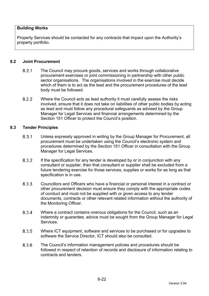## **Building Works**

Property Services should be contacted for any contracts that impact upon the Authority's property portfolio.

### **8.2 Joint Procurement**

- 8.2.1 The Council may procure goods, services and works through collaborative procurement exercises or joint commissioning in partnership with other public sector organisations. The organisations involved in the exercise must decide which of them is to act as the lead and the procurement procedures of the lead body must be followed.
- 8.2.2 Where the Council acts as lead authority it must carefully assess the risks involved, ensure that it does not take on liabilities of other public bodies by acting as lead and must follow any procedural safeguards as advised by the Group Manager for Legal Services and financial arrangements determined by the Section 151 Officer to protect the Council's position.

#### **8.3 Tender Principles**

- Unless expressly approved in writing by the Group Manager for Procurement, all procurement must be undertaken using the Council's electronic system and procedures determined by the Section 151 Officer in consultation with the Group Manager for Legal Services.
- 8.3.2 If the specification for any tender is developed by or in conjunction with any consultant or supplier, then that consultant or supplier shall be excluded from a future tendering exercise for those services, supplies or works for as long as that specification is in use.
- Councillors and Officers who have a financial or personal interest in a contract or other procurement decision must ensure they comply with the appropriate codes of conduct and must not be supplied with or given access to any tender documents, contracts or other relevant related information without the authority of the Monitoring Officer.
- 8.3.4 Where a contract contains onerous obligations for the Council, such as an indemnity or guarantee, advice must be sought from the Group Manager for Legal Services.
- 8.3.5 Where ICT equipment, software and services to be purchased or for upgrades to software the Service Director, ICT should also be consulted.
- The Council's information management policies and procedures should be followed in respect of retention of records and disclosure of information relating to contracts and tenders.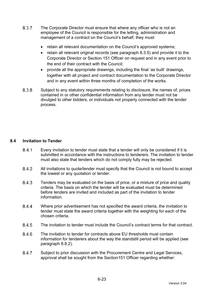- 8.3.7 The Corporate Director must ensure that where any officer who is not an employee of the Council is responsible for the letting, administration and management of a contract on the Council's behalf, they must:
	- retain all relevant documentation on the Council's approved systems;
	- retain all relevant original records (see paragraph 8.3.5) and provide it to the Corporate Director or Section 151 Officer on request and in any event prior to the end of their contract with the Council;
	- provide all the appropriate drawings, including the final 'as built' drawings, together with all project and contract documentation to the Corporate Director and in any event within three months of completion of the works.
- Subject to any statutory requirements relating to disclosure, the names of, prices contained in or other confidential information from any tender must not be divulged to other bidders, or individuals not properly connected with the tender process.

## **8.4 Invitation to Tender**

- Every invitation to tender must state that a tender will only be considered if it is submitted in accordance with the instructions to tenderers. The invitation to tender must also state that tenders which do not comply fully may be rejected.
- All invitations to quote/tender must specify that the Council is not bound to accept the lowest or any quotation or tender.
- 8.4.3 Tenders may be evaluated on the basis of price, or a mixture of price and quality criteria. The basis on which the tender will be evaluated must be determined before tenders are invited and included as part of the invitation to tender information.
- 8.4.4 Where prior advertisement has not specified the award criteria, the invitation to tender must state the award criteria together with the weighting for each of the chosen criteria.
- The invitation to tender must include the Council's contract terms for that contract.
- 8.4.6 The invitation to tender for contracts above EU thresholds must contain information for tenderers about the way the standstill period will be applied (see paragraph 8.8.2).
- 8.4.7 Subject to prior discussion with the Procurement Centre and Legal Services, approval shall be sought from the Section151 Officer regarding whether: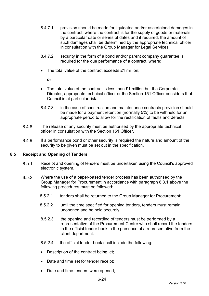- 8.4.7.1 provision should be made for liquidated and/or ascertained damages in the contract, where the contract is for the supply of goods or materials by a particular date or series of dates and if required, the amount of such damages shall be determined by the appropriate technical officer in consultation with the Group Manager for Legal Services
- 8.4.7.2 security in the form of a bond and/or parent company guarantee is required for the due performance of a contract, where:
- The total value of the contract exceeds £1 million;

**or** 

- The total value of the contract is less than £1 million but the Corporate Director, appropriate technical officer or the Section 151 Officer considers that Council is at particular risk.
- 8.4.7.3 in the case of construction and maintenance contracts provision should be made for a payment retention (normally 5%) to be withheld for an appropriate period to allow for the rectification of faults and defects.
- 8.4.8 The release of any security must be authorised by the appropriate technical officer in consultation with the Section 151 Officer.
- 8.4.9 If a performance bond or other security is required the nature and amount of the security to be given must be set out in the specification.

### **8.5 Receipt and Opening of Tenders**

- Receipt and opening of tenders must be undertaken using the Council's approved electronic system.
- 8.5.2 Where the use of a paper-based tender process has been authorised by the Group Manager for Procurement in accordance with paragraph 8.3.1 above the following procedures must be followed:
	- 8.5.2.1 tenders shall be returned to the Group Manager for Procurement;
	- 8.5.2.2 until the time specified for opening tenders, tenders must remain unopened and be held securely.
	- 8.5.2.3 the opening and recording of tenders must be performed by a representative of the Procurement Centre who shall record the tenders in the official tender book in the presence of a representative from the client department.
	- 8.5.2.4 the official tender book shall include the following:
	- Description of the contract being let;
	- Date and time set for tender receipt;
	- Date and time tenders were opened;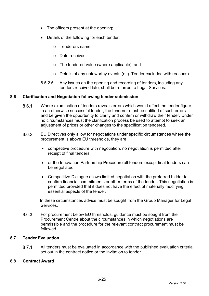- The officers present at the opening;
- Details of the following for each tender:
	- o Tenderers name;
	- o Date received:
	- o The tendered value (where applicable); and
	- o Details of any noteworthy events (e.g. Tender excluded with reasons).
- 8.5.2.5 Any issues on the opening and recording of tenders, including any tenders received late, shall be referred to Legal Services.

## **8.6 Clarification and Negotiation following tender submission**

- Where examination of tenders reveals errors which would affect the tender figure in an otherwise successful tender, the tenderer must be notified of such errors and be given the opportunity to clarify and confirm or withdraw their tender. Under no circumstances must the clarification process be used to attempt to seek an adjustment of prices or other changes to the specification tendered.
- EU Directives only allow for negotiations under specific circumstances where the procurement is above EU thresholds, they are:
	- competitive procedure with negotiation, no negotiation is permitted after receipt of final tenders.
	- or the Innovation Partnership Procedure all tenders except final tenders can be negotiated
	- Competitive Dialogue allows limited negotiation with the preferred bidder to confirm financial commitments or other terms of the tender. This negotiation is permitted provided that it does not have the effect of materially modifying essential aspects of the tender.

In these circumstances advice must be sought from the Group Manager for Legal Services.

8.6.3 For procurement below EU thresholds, guidance must be sought from the Procurement Centre about the circumstances in which negotiations are permissible and the procedure for the relevant contract procurement must be followed.

## **8.7 Tender Evaluation**

 All tenders must be evaluated in accordance with the published evaluation criteria set out in the contract notice or the invitation to tender.

### **8.8 Contract Award**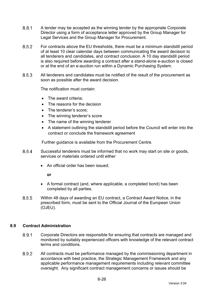- A tender may be accepted as the winning tender by the appropriate Corporate Director using a form of acceptance letter approved by the Group Manager for Legal Services and the Group Manager for Procurement.
- For contracts above the EU thresholds, there must be a minimum standstill period of at least 10 clear calendar days between communicating the award decision to all tenderers and candidates, and contract conclusion. A 10 day standstill period is also required before awarding a contract after a stand-alone e-auction is closed or at the end of an e-auction run within a Dynamic Purchasing System.
- All tenderers and candidates must be notified of the result of the procurement as soon as possible after the award decision.

The notification must contain:

- The award criteria:
- The reasons for the decision
- The tenderer's score:
- The winning tenderer's score
- The name of the winning tenderer
- A statement outlining the standstill period before the Council will enter into the contract or conclude the framework agreement

Further guidance is available from the Procurement Centre.

- Successful tenderers must be informed that no work may start on site or goods, services or materials ordered until either
	- An official order has been issued:

**or** 

- A formal contract (and, where applicable, a completed bond) has been completed by all parties.
- Within 48 days of awarding an EU contract, a Contract Award Notice, in the prescribed form, must be sent to the Official Journal of the European Union (OJEU).

### **8.9 Contract Administration**

- 8.9.1 Corporate Directors are responsible for ensuring that contracts are managed and monitored by suitably experienced officers with knowledge of the relevant contract terms and conditions.
- All contracts must be performance managed by the commissioning department in accordance with best practice, the Strategic Management Framework and any applicable performance management requirements including relevant committee oversight. Any significant contract management concerns or issues should be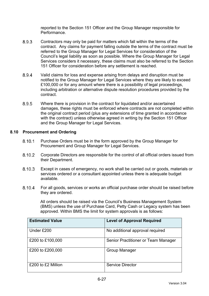reported to the Section 151 Officer and the Group Manager responsible for Performance.

- 8.9.3 Contractors may only be paid for matters which fall within the terms of the contract. Any claims for payment falling outside the terms of the contract must be referred to the Group Manager for Legal Services for consideration of the Council's legal liability as soon as possible. Where the Group Manager for Legal Services considers it necessary, these claims must also be referred to the Section 151 Officer for consideration before any settlement is reached.
- Valid claims for loss and expense arising from delays and disruption must be notified to the Group Manager for Legal Services where they are likely to exceed £100,000 or for any amount where there is a possibility of legal proceedings, including arbitration or alternative dispute resolution procedures provided by the contract.
- Where there is provision in the contract for liquidated and/or ascertained damages, these rights must be enforced where contracts are not completed within the original contract period (plus any extensions of time granted in accordance with the contract) unless otherwise agreed in writing by the Section 151 Officer and the Group Manager for Legal Services.

### **8.10 Procurement and Ordering**

- 8.10.1 Purchase Orders must be in the form approved by the Group Manager for Procurement and Group Manager for Legal Services.
- Corporate Directors are responsible for the control of all official orders issued from their Department.
- Except in cases of emergency, no work shall be carried out or goods, materials or services ordered or a consultant appointed unless there is adequate budget available.
- For all goods, services or works an official purchase order should be raised before they are ordered.

All orders should be raised via the Council's Business Management System (BMS) unless the use of Purchase Card, Petty Cash or Legacy system has been approved. Within BMS the limit for system approvals is as follows:

| <b>Estimated Value</b> | <b>Level of Approval Required</b>   |
|------------------------|-------------------------------------|
| Under £200             | No additional approval required     |
| £200 to £100,000       | Senior Practitioner or Team Manager |
| £200 to £200,000       | <b>Group Manager</b>                |
| £200 to £2 Million     | Service Director                    |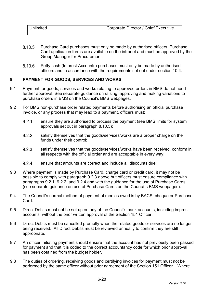| <b>Unlimited</b> | Corporate Director / Chief Executive |
|------------------|--------------------------------------|
|                  |                                      |

- 8.10.5 Purchase Card purchases must only be made by authorised officers. Purchase Card application forms are available on the intranet and must be approved by the Group Manager for Procurement.
- Petty cash (Imprest Accounts) purchases must only be made by authorised officers and in accordance with the requirements set out under section 10.4.

## **9. PAYMENT FOR GOODS, SERVICES AND WORKS**

- 9.1 Payment for goods, services and works relating to approved orders in BMS do not need further approval. See separate guidance on raising, approving and making variations to purchase orders in BMS on the Council's BMS webpages.
- 9.2 For BMS non-purchase order related payments before authorising an official purchase invoice, or any process that may lead to a payment, officers must:
	- 9.2.1 ensure they are authorised to process the payment (see BMS limits for system approvals set out in paragraph 8.10.5);
	- 9.2.2 satisfy themselves that the goods/services/works are a proper charge on the funds under their control;
	- 9.2.3 satisfy themselves that the goods/services/works have been received, conform in all respects with the official order and are acceptable in every way;
	- 9.2.4 ensure that amounts are correct and include all discounts due;
- 9.3 Where payment is made by Purchase Card, charge card or credit card, it may not be possible to comply with paragraph 9.2.3 above but officers must ensure compliance with paragraphs 9.2.1, 9.2.2, and 9.2.4 and with the guidance for the use of Purchase Cards (see separate guidance on use of Purchase Cards on the Council's BMS webpages).
- 9.4 The Council's normal method of payment of monies owed is by BACS, cheque or Purchase Card.
- 9.5 Direct Debits must not be set up on any of the Council's bank accounts, including imprest accounts, without the prior written approval of the Section 151 Officer.
- 9.6 Direct Debits must be cancelled promptly when the related goods or services are no longer being received. All Direct Debits must be reviewed annually to confirm they are still appropriate.
- 9.7 An officer initiating payment should ensure that the account has not previously been passed for payment and that it is coded to the correct accountancy code for which prior approval has been obtained from the budget holder.
- 9.8 The duties of ordering, receiving goods and certifying invoices for payment must not be performed by the same officer without prior agreement of the Section 151 Officer. Where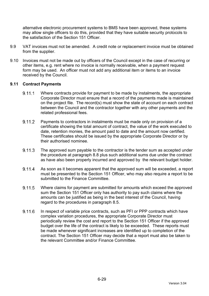alternative electronic procurement systems to BMS have been approved, these systems may allow single officers to do this, provided that they have suitable security protocols to the satisfaction of the Section 151 Officer.

- 9.9 VAT invoices must not be amended. A credit note or replacement invoice must be obtained from the supplier.
- 9.10 Invoices must not be made out by officers of the Council except in the case of recurring or other items, e.g. rent where no invoice is normally receivable, when a payment request form may be used. An officer must not add any additional item or items to an invoice received by the Council.

### **9.11 Contract Payments**

- 9.11.1 Where contracts provide for payment to be made by instalments, the appropriate Corporate Director must ensure that a record of the payments made is maintained on the project file. The record(s) must show the state of account on each contract between the Council and the contractor together with any other payments and the related professional fees.
- 9.11.2 Payments to contractors in instalments must be made only on provision of a certificate showing the total amount of contract, the value of the work executed to date, retention monies, the amount paid to date and the amount now certified. These certificates should be issued by the appropriate Corporate Director or by their authorised nominee.
- 9.11.3 The approved sum payable to the contractor is the tender sum as accepted under the procedure at paragraph 8.8 plus such additional sums due under the contract as have also been properly incurred and approved by the relevant budget holder.
- 9.11.4 As soon as it becomes apparent that the approved sum will be exceeded, a report must be presented to the Section 151 Officer, who may also require a report to be submitted to the Finance Committee.
- Where claims for payment are submitted for amounts which exceed the approved sum the Section 151 Officer only has authority to pay such claims where the amounts can be justified as being in the best interest of the Council, having regard to the procedures in paragraph 8.5.
- 9.11.6 In respect of variable price contracts, such as PFI or PPP contracts which have complex variation procedures, the appropriate Corporate Director must periodically review the cost and report to the Section 151 Officer if the approved budget over the life of the contract is likely to be exceeded. These reports must be made whenever significant increases are identified up to completion of the contract. The Section 151 Officer may decide that a report must also be taken to the relevant Committee and/or Finance Committee.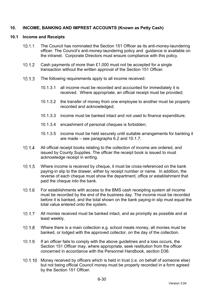## **10. INCOME, BANKING AND IMPREST ACCOUNTS (Known as Petty Cash)**

#### **10.1 Income and Receipts**

- The Council has nominated the Section 151 Officer as its anti-money-laundering officer. The Council's anti-money-laundering policy and guidance is available on the intranet. Corporate Directors must ensure compliance with this policy.
- Cash payments of more than £1,000 must not be accepted for a single transaction without the written approval of the Section 151 Officer.
- 10.1.3 The following requirements apply to all income received:
	- 10.1.3.1 all income must be recorded and accounted for immediately it is received. Where appropriate, an official receipt must be provided;
	- 10.1.3.2 the transfer of money from one employee to another must be properly recorded and acknowledged;
	- 10.1.3.3 income must be banked intact and not used to finance expenditure;
	- 10.1.3.4 encashment of personal cheques is forbidden;
	- 10.1.3.5 income must be held securely until suitable arrangements for banking it are made – see paragraphs 6.2 and 10.1.7.
- 10.1.4 All official receipt books relating to the collection of income are ordered, and issued by County Supplies. The officer the receipt book is issued to must acknowledge receipt in writing.
- 10.1.5 Where income is received by cheque, it must be cross-referenced on the bank paying-in slip to the drawer, either by receipt number or name. In addition, the reverse of each cheque must show the department, office or establishment that paid the cheque into the bank.
- For establishments with access to the BMS cash receipting system all income must be recorded by the end of the business day. The income must be recorded before it is banked, and the total shown on the bank paying-in slip must equal the total value entered onto the system.
- All monies received must be banked intact, and as promptly as possible and at least weekly.
- Where there is a main collection e.g. school meals money, all monies must be banked, or lodged with the approved collector, on the day of the collection.
- If an officer fails to comply with the above guidelines and a loss occurs, the Section 151 Officer may, where appropriate, seek restitution from the officer concerned in accordance with the Personnel Handbook, section D36.
- 10.1.10 Money received by officers which is held in trust (i.e. on behalf of someone else) but not being official Council money must be properly recorded in a form agreed by the Section 151 Officer.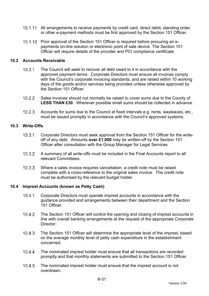- 10.1.11 All arrangements to receive payments by credit card, direct debit, standing order, or other e-payment methods must be first approved by the Section 151 Officer.
- 10.1.12 Prior approval of the Section 151 Officer is required before procuring an epayments on-line solution or electronic point of sale device. The Section 151 Officer will require details of the provider and PCI compliance certificate.

### **10.2 Accounts Receivable**

- The Council will seek to recover all debt owed to it in accordance with the approved payment terms. Corporate Directors must ensure all invoices comply with the Council's corporate invoicing standards, and are raised within 10 working days of the goods and/or services being provided unless otherwise approved by the Section 151 Officer.
- 10.2.2 Sales invoices should not normally be raised to cover sums due to the County of **LESS THAN £30**. Wherever possible small sums should be collected in advance.
- Accounts for sums due to the Council at fixed intervals e.g. rents, wayleaves, etc., must be issued promptly in accordance with the Council's approved systems.

### **10.3 Write-Offs**

- 10.3.1 Corporate Directors must seek approval from the Section 151 Officer for the writeoff of any debt. Amounts **over £1,000** may be written-off by the Section 151 Officer after consultation with the Group Manager for Legal Services.
- A summary of all write-offs must be included in the Final Accounts report to all relevant Committees.
- Where a sales invoice requires cancellation, a credit note must be raised complete with a cross-reference to the original sales invoice. The credit note must be authorised by the relevant budget holder.

### **10.4 Imprest Accounts (known as Petty Cash)**

- 10.4.1 Corporate Directors must operate imprest accounts in accordance with the guidance provided and arrangements between their department and the Section 151 Officer.
- 10.4.2 The Section 151 Officer will control the opening and closing of imprest accounts in line with overall banking arrangements at the request of the appropriate Corporate **Director**
- The Section 151 Officer will determine the appropriate level of the imprest, based on the average monthly level of petty cash expenditure in the establishment concerned.
- 10.4.4 The nominated imprest holder must ensure that all transactions are recorded promptly and that monthly statements are submitted to the Section 151 Officer.
- 10.4.5 The nominated imprest holder must ensure that the imprest account is not overdrawn.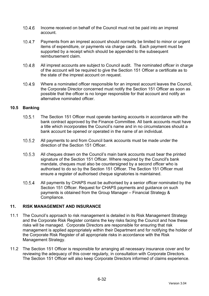- Income received on behalf of the Council must not be paid into an imprest account.
- 10.4.7 Payments from an imprest account should normally be limited to minor or urgent items of expenditure, or payments via charge cards. Each payment must be supported by a receipt which should be appended to the subsequent reimbursement claim.
- All imprest accounts are subject to Council audit. The nominated officer in charge of the account will be required to give the Section 151 Officer a certificate as to the state of the imprest account on request.
- Where a nominated officer responsible for an imprest account leaves the Council, the Corporate Director concerned must notify the Section 151 Officer as soon as possible that the officer is no longer responsible for that account and notify an alternative nominated officer.

## **10.5 Banking**

- 10.5.1 The Section 151 Officer must operate banking accounts in accordance with the bank contract approved by the Finance Committee. All bank accounts must have a title which incorporates the Council's name and in no circumstances should a bank account be opened or operated in the name of an individual.
- All payments to and from Council bank accounts must be made under the direction of the Section 151 Officer.
- All cheques drawn on the Council's main bank accounts must bear the printed signature of the Section 151 Officer. Where required by the Council's bank mandate, cheques must also be countersigned by a second officer who is authorised to do so by the Section 151 Officer. The Section 151 Officer must ensure a register of authorised cheque signatories is maintained.
- 10.5.4 All payments by CHAPS must be authorised by a senior officer nominated by the Section 151 Officer. Request for CHAPS payments and guidance on such payments is obtained from the Group Manager – Financial Strategy & Compliance.

## **11. RISK MANAGEMENT AND INSURANCE**

- 11.1 The Council's approach to risk management is detailed in its Risk Management Strategy and the Corporate Risk Register contains the key risks facing the Council and how these risks will be managed. Corporate Directors are responsible for ensuring that risk management is applied appropriately within their Department and for notifying the holder of the Corporate Risk Register of all appropriate risks in accordance with the Risk Management Strategy.
- 11.2 The Section 151 Officer is responsible for arranging all necessary insurance cover and for reviewing the adequacy of this cover regularly, in consultation with Corporate Directors. The Section 151 Officer will also keep Corporate Directors informed of claims experience.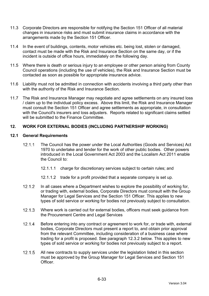- 11.3 Corporate Directors are responsible for notifying the Section 151 Officer of all material changes in insurance risks and must submit insurance claims in accordance with the arrangements made by the Section 151 Officer.
- 11.4 In the event of buildings, contents, motor vehicles etc. being lost, stolen or damaged, contact must be made with the Risk and Insurance Section on the same day, or if the incident is outside of office hours, immediately on the following day.
- 11.5 Where there is death or serious injury to an employee or other person arising from County Council operations (including the use of vehicles), the Risk and Insurance Section must be contacted as soon as possible for appropriate insurance advice.
- 11.6 Liability must not be admitted in connection with accidents involving a third party other than with the authority of the Risk and Insurance Section.
- 11.7 The Risk and Insurance Manager may negotiate and agree settlements on any insured loss / claim up to the individual policy excess. Above this limit, the Risk and Insurance Manager must consult the Section 151 Officer and agree settlements as appropriate, in consultation with the Council's insurers and loss adjusters. Reports related to significant claims settled will be submitted to the Finance Committee.

### **12. WORK FOR EXTERNAL BODIES (INCLUDING PARTNERSHIP WORKING)**

#### **12.1 General Requirements**

- 12.1.1 The Council has the power under the Local Authorities (Goods and Services) Act 1970 to undertake and tender for the work of other public bodies. Other powers introduced in the Local Government Act 2003 and the Localism Act 2011 enable the Council to:
	- 12.1.1.1 charge for discretionary services subject to certain rules; and
	- 12.1.1.2 trade for a profit provided that a separate company is set up.
- 12.1.2 In all cases where a Department wishes to explore the possibility of working for, or trading with, external bodies, Corporate Directors must consult with the Group Manager for Legal Services and the Section 151 Officer. This applies to new types of sold service or working for bodies not previously subject to consultation.
- 12.1.3 Where work is carried out for external bodies, officers must seek quidance from the Procurement Centre and Legal Services
- 12.1.4 Before entering into any contract or agreement to work for, or trade with, external bodies, Corporate Directors must present a report to, and obtain prior approval from the relevant Committee, including consideration of a business case where trading for a profit is proposed. See paragraph 12.3.2 below. This applies to new types of sold service or working for bodies not previously subject to a report.
- 12.1.5 All new contracts to supply services under the legislation listed in this section must be approved by the Group Manager for Legal Services and Section 151 Officer.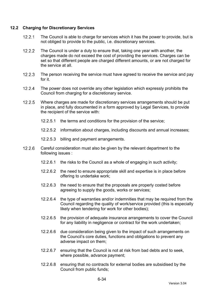#### **12.2 Charging for Discretionary Services**

- 12.2.1 The Council is able to charge for services which it has the power to provide, but is not obliged to provide to the public, i.e. discretionary services.
- 12.2.2 The Council is under a duty to ensure that, taking one year with another, the charges made do not exceed the cost of providing the services. Charges can be set so that different people are charged different amounts, or are not charged for the service at all.
- 12.2.3 The person receiving the service must have agreed to receive the service and pay for it.
- 12.2.4 The power does not override any other legislation which expressly prohibits the Council from charging for a discretionary service.
- 12.2.5 Where charges are made for discretionary services arrangements should be put in place, and fully documented in a form approved by Legal Services, to provide the recipient of the service with:
	- 12.2.5.1 the terms and conditions for the provision of the service;
	- 12.2.5.2 information about charges, including discounts and annual increases;
	- 12.2.5.3 billing and payment arrangements.
- 12.2.6 Careful consideration must also be given by the relevant department to the following issues :
	- 12.2.6.1 the risks to the Council as a whole of engaging in such activity;
	- 12.2.6.2 the need to ensure appropriate skill and expertise is in place before offering to undertake work;
	- 12.2.6.3 the need to ensure that the proposals are properly costed before agreeing to supply the goods, works or services;
	- 12.2.6.4 the type of warranties and/or indemnities that may be required from the Council regarding the quality of work/service provided (this is especially likely when tendering for work for other bodies);
	- 12.2.6.5 the provision of adequate insurance arrangements to cover the Council for any liability in negligence or contract for the work undertaken;
	- 12.2.6.6 due consideration being given to the impact of such arrangements on the Council's core duties, functions and obligations to prevent any adverse impact on them;
	- 12.2.6.7 ensuring that the Council is not at risk from bad debts and to seek, where possible, advance payment;
	- 12.2.6.8 ensuring that no contracts for external bodies are subsidised by the Council from public funds;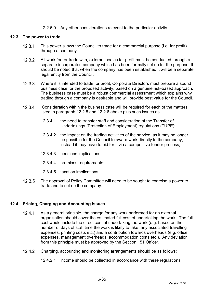#### 12.2.6.9 Any other considerations relevant to the particular activity.

#### **12.3 The power to trade**

- 12.3.1 This power allows the Council to trade for a commercial purpose (i.e. for profit) through a company.
- 12.3.2 All work for, or trade with, external bodies for profit must be conducted through a separate incorporated company which has been formally set up for the purpose. It should be noted that when the company has been established it will be a separate legal entity from the Council.
- 12.3.3 Where it is intended to trade for profit. Corporate Directors must prepare a sound business case for the proposed activity, based on a genuine risk-based approach. The business case must be a robust commercial assessment which explains why trading through a company is desirable and will provide best value for the Council.
- 12.3.4 Consideration within the business case will be required for each of the matters listed in paragraph 12.2.5 and 12.2.6 above plus such issues as:
	- 12.3.4.1 the need to transfer staff and consideration of the Transfer of Undertakings (Protection of Employment) regulations (TUPE);
	- 12.3.4.2 the impact on the trading activities of the service, as it may no longer be possible for the Council to award work directly to the company, instead it may have to bid for it via a competitive tender process;
	- 12.3.4.3 pensions implications;
	- 12.3.4.4 premises requirements;
	- 12.3.4.5 taxation implications.
- 12.3.5 The approval of Policy Committee will need to be sought to exercise a power to trade and to set up the company.

#### **12.4 Pricing, Charging and Accounting Issues**

- 12.4.1 As a general principle, the charge for any work performed for an external organisation should cover the estimated full cost of undertaking the work. The full cost would include the direct cost of undertaking the work (e.g. based on the number of days of staff time the work is likely to take, any associated travelling expenses, printing costs etc.) and a contribution towards overheads (e.g. office expenses, management overheads, accommodation costs etc.). Any deviation from this principle must be approved by the Section 151 Officer.
- Charging, accounting and monitoring arrangements should be as follows:
	- 12.4.2.1 income should be collected in accordance with these regulations;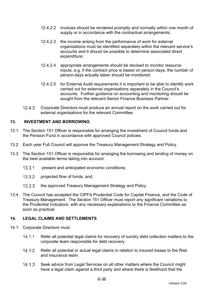- 12.4.2.2 invoices should be rendered promptly and normally within one month of supply or in accordance with the contractual arrangements;
- 12.4.2.3 the income arising from the performance of work for external organisations must be identified separately within the relevant service's accounts and it should be possible to determine associated direct expenditure;
- 12.4.2.4 appropriate arrangements should be devised to monitor resource inputs, e.g. if the contract price is based on person-days, the number of person-days actually taken should be monitored;
- 12.4.2.5 for External Audit requirements it is important to be able to identify work carried out for external organisations separately in the Council's accounts. Further guidance on accounting and monitoring should be sought from the relevant Senior Finance Business Partner.
- 12.4.3 Corporate Directors must produce an annual report on the work carried out for external organisations for the relevant Committee.

### **13. INVESTMENT AND BORROWING**

- 13.1 The Section 151 Officer is responsible for arranging the investment of Council funds and the Pension Fund in accordance with approved Council policies.
- 13.2 Each year Full Council will approve the Treasury Management Strategy and Policy.
- 13.3 The Section 151 Officer is responsible for arranging the borrowing and lending of money on the best available terms taking into account:
	- 13.3.1 present and anticipated economic conditions;
	- 13.3.2 projected flow of funds, and;
	- 13.3.3 the approved Treasury Management Strategy and Policy.
- 13.4 The Council has accepted the CIPFA Prudential Code for Capital Finance, and the Code of Treasury Management. The Section 151 Officer must report any significant variations to the Prudential Indicators, with any necessary explanations to the Finance Committee as soon as practical.

#### **14. LEGAL CLAIMS AND SETTLEMENTS**

- 14.1 Corporate Directors must
	- 14.1.1 Refer all potential legal claims for recovery of sundry debt collection matters to the corporate team responsible for debt recovery.
	- 14.1.2 Refer all potential or actual legal claims in relation to insured losses to the Risk and Insurance team.
	- 14.1.3 Seek advice from Legal Services on all other matters where the Council might have a legal claim against a third party and where there is likelihood that the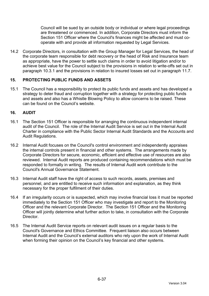Council will be sued by an outside body or individual or where legal proceedings are threatened or commenced. In addition, Corporate Directors must inform the Section 151 Officer where the Council's finances might be affected and must cooperate with and provide all information requested by Legal Services.

14.2 Corporate Directors, in consultation with the Group Manager for Legal Services, the head of the corporate team responsible for debt recovery or the head of Risk and Insurance team as appropriate, have the power to settle such claims in order to avoid litigation and/or to achieve best value for the Council subject to the provisions in relation to write-offs set out in paragraph 10.3.1 and the provisions in relation to insured losses set out in paragraph 11.7.

### **15. PROTECTING PUBLIC FUNDS AND ASSETS**

15.1 The Council has a responsibility to protect its public funds and assets and has developed a strategy to deter fraud and corruption together with a strategy for protecting public funds and assets and also has a Whistle Blowing Policy to allow concerns to be raised. These can be found on the Council's website.

### **16. AUDIT**

- 16.1 The Section 151 Officer is responsible for arranging the continuous independent internal audit of the Council. The role of the Internal Audit Service is set out in the Internal Audit Charter in compliance with the Public Sector Internal Audit Standards and the Accounts and Audit Regulations.
- 16.2 Internal Audit focuses on the Council's control environment and independently appraises the internal controls present in financial and other systems. The arrangements made by Corporate Directors for secure, economic, efficient and effective use of resources are also reviewed. Internal Audit reports are produced containing recommendations which must be responded to formally in writing. The results of Internal Audit work contribute to the Council's Annual Governance Statement.
- 16.3 Internal Audit staff have the right of access to such records, assets, premises and personnel, and are entitled to receive such information and explanation, as they think necessary for the proper fulfilment of their duties.
- 16.4 If an irregularity occurs or is suspected, which may involve financial loss it must be reported immediately to the Section 151 Officer who may investigate and report to the Monitoring Officer and the relevant Corporate Director. The Section 151 Officer and the Monitoring Officer will jointly determine what further action to take, in consultation with the Corporate Director.
- 16.5 The Internal Audit Service reports on relevant audit issues on a regular basis to the Council's Governance and Ethics Committee. Frequent liaison also occurs between Internal Audit and the Council's external auditors who rely upon the work of Internal Audit when forming their opinion on the Council's key financial and other systems.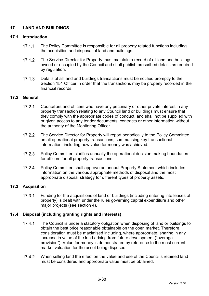# **17. LAND AND BUILDINGS**

### **17.1 Introduction**

- 17.1.1 The Policy Committee is responsible for all property related functions including the acquisition and disposal of land and buildings.
- 17.1.2 The Service Director for Property must maintain a record of all land and buildings owned or occupied by the Council and shall publish prescribed details as required by regulation.
- 17.1.3 Details of all land and buildings transactions must be notified promptly to the Section 151 Officer in order that the transactions may be properly recorded in the financial records.

### **17.2 General**

- 17.2.1 Councillors and officers who have any pecuniary or other private interest in any property transaction relating to any Council land or buildings must ensure that they comply with the appropriate codes of conduct, and shall not be supplied with or given access to any tender documents, contracts or other information without the authority of the Monitoring Officer.
- 17.2.2 The Service Director for Property will report periodically to the Policy Committee on all operational property transactions, summarising key transactional information, including how value for money was achieved.
- 17.2.3 Policy Committee clarifies annually the operational decision making boundaries for officers for all property transactions.
- 17.2.4 Policy Committee shall approve an annual Property Statement which includes information on the various appropriate methods of disposal and the most appropriate disposal strategy for different types of property assets.

# **17.3 Acquisition**

17.3.1 Funding for the acquisitions of land or buildings (including entering into leases of property) is dealt with under the rules governing capital expenditure and other major projects (see section 4).

# **17.4 Disposal (including granting rights and interests)**

- 17.4.1 The Council is under a statutory obligation when disposing of land or buildings to obtain the best price reasonable obtainable on the open market. Therefore, consideration must be maximised including, where appropriate, sharing in any increase in value of the land arising from future development ("overage provision"). Value for money is demonstrated by reference to the most current market valuation for the asset being disposed.
- 17.4.2 When selling land the effect on the value and use of the Council's retained land must be considered and appropriate value must be obtained.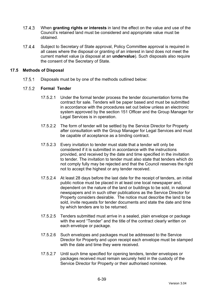- When **granting rights or interests** in land the effect on the value and use of the Council's retained land must be considered and appropriate value must be obtained.
- 17.4.4 Subject to Secretary of State approval, Policy Committee approval is required in all cases where the disposal or granting of an interest in land does not meet the current market value (a disposal at an **undervalue**). Such disposals also require the consent of the Secretary of State.

#### **17.5 Methods of Disposal**

17.5.1 Disposals must be by one of the methods outlined below:

#### $17.5.2$ **Formal Tender**

- 17.5.2.1 Under the formal tender process the tender documentation forms the contract for sale. Tenders will be paper based and must be submitted in accordance with the procedures set out below unless an electronic system approved by the section 151 Officer and the Group Manager for Legal Services is in operation.
- 17.5.2.2 The form of tender will be settled by the Service Director for Property after consultation with the Group Manager for Legal Services and must be capable of acceptance as a binding contract.
- 17.5.2.3 Every invitation to tender must state that a tender will only be considered if it is submitted in accordance with the instructions provided, and received by the date and time specified in the invitation to tender. The invitation to tender must also state that tenders which do not comply fully may be rejected and that the Council reserves the right not to accept the highest or any tender received.
- 17.5.2.4 At least 28 days before the last date for the receipt of tenders, an initial public notice must be placed in at least one local newspaper and, dependent on the nature of the land or buildings to be sold, in national newspapers and in such other publications as the Service Director for Property considers desirable. The notice must describe the land to be sold, invite requests for tender documents and state the date and time by which tenders are to be returned.
- 17.5.2.5 Tenders submitted must arrive in a sealed, plain envelope or package with the word "Tender" and the title of the contract clearly written on each envelope or package.
- 17.5.2.6 Such envelopes and packages must be addressed to the Service Director for Property and upon receipt each envelope must be stamped with the date and time they were received.
- 17.5.2.7 Until such time specified for opening tenders, tender envelopes or packages received must remain securely held in the custody of the Service Director for Property or their authorised nominee.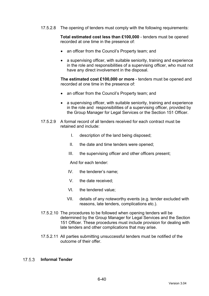17.5.2.8 The opening of tenders must comply with the following requirements:

**Total estimated cost less than £100,000** - tenders must be opened recorded at one time in the presence of:

- an officer from the Council's Property team; and
- a supervising officer, with suitable seniority, training and experience in the role and responsibilities of a supervising officer, who must not have any direct involvement in the disposal.

**The estimated cost £100,000 or more** - tenders must be opened and recorded at one time in the presence of:

- an officer from the Council's Property team; and
- a supervising officer, with suitable seniority, training and experience in the role and responsibilities of a supervising officer, provided by the Group Manager for Legal Services or the Section 151 Officer.
- 17.5.2.9 A formal record of all tenders received for each contract must be retained and include:
	- I. description of the land being disposed;
	- II. the date and time tenders were opened;
	- III. the supervising officer and other officers present;

And for each tender:

- IV. the tenderer's name;
- V. the date received;
- VI. the tendered value;
- VII. details of any noteworthy events (e.g. tender excluded with reasons, late tenders, complications etc.).
- 17.5.2.10 The procedures to be followed when opening tenders will be determined by the Group Manager for Legal Services and the Section 151 Officer. These procedures must include provision for dealing with late tenders and other complications that may arise.
- 17.5.2.11 All parties submitting unsuccessful tenders must be notified of the outcome of their offer.

#### **Informal Tender**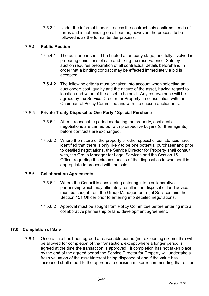17.5.3.1 Under the informal tender process the contract only confirms heads of terms and is not binding on all parties, however, the process to be followed is as the formal tender process.

#### $17.5.4$ **Public Auction**

- 17.5.4.1 The auctioneer should be briefed at an early stage, and fully involved in preparing conditions of sale and fixing the reserve price. Sale by auction requires preparation of all contractual details beforehand in order that a binding contract may be effected immediately a bid is accepted.
- 17.5.4.2 The following criteria must be taken into account when selecting an auctioneer: cost, quality and the nature of the asset, having regard to location and value of the asset to be sold. Any reserve price will be agreed by the Service Director for Property, in consultation with the Chairman of Policy Committee and with the chosen auctioneers.

#### $17.5.5$ **Private Treaty Disposal to One Party / Special Purchase**

- 17.5.5.1 After a reasonable period marketing the property, confidential negotiations are carried out with prospective buyers (or their agents), before contracts are exchanged.
- 17.5.5.2 Where the nature of the property or other special circumstances have identified that there is only likely to be one potential purchaser and prior to detailed negotiations, the Service Director for Property shall consult with, the Group Manager for Legal Services and the Section 151 Officer regarding the circumstances of the disposal as to whether it is appropriate to proceed with the sale.

#### 17.5.6 **Collaboration Agreements**

- 17.5.6.1 Where the Council is considering entering into a collaborative partnership which may ultimately result in the disposal of land advice must be sought from the Group Manager for Legal Services and the Section 151 Officer prior to entering into detailed negotiations.
- 17.5.6.2 Approval must be sought from Policy Committee before entering into a collaborative partnership or land development agreement.

# **17.6 Completion of Sale**

17.6.1 Once a sale has been agreed a reasonable period (not exceeding six months) will be allowed for completion of the transaction, except where a longer period is agreed at the time the transaction is approved. If completion has not taken place by the end of the agreed period the Service Director for Property will undertake a fresh valuation of the asset/interest being disposed of and if the value has increased shall report to the appropriate decision maker recommending that either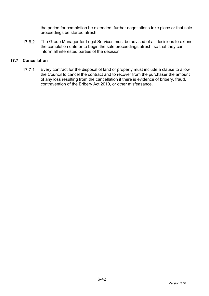the period for completion be extended, further negotiations take place or that sale proceedings be started afresh.

17.6.2 The Group Manager for Legal Services must be advised of all decisions to extend the completion date or to begin the sale proceedings afresh, so that they can inform all interested parties of the decision.

### **17.7 Cancellation**

17.7.1 Every contract for the disposal of land or property must include a clause to allow the Council to cancel the contract and to recover from the purchaser the amount of any loss resulting from the cancellation if there is evidence of bribery, fraud, contravention of the Bribery Act 2010, or other misfeasance.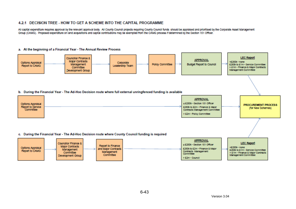#### 4.2.1 DECISION TREE - HOW TO GET A SCHEME INTO THE CAPITAL PROGRAMME.

All capital expenditure requires approval by the relevant approval body. All County Council projects requiring County Council funds should be appraised and prioritised by the Corporate Asset Management Group (CAMG). Proposed expenditure on land acquisitions and capital contributions may be exempted from the CAMG process if determined by the Section 151 Officer.

#### a. At the beginning of a Financial Year - The Annual Review Process

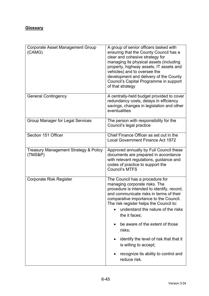# **Glossary**

| Corporate Asset Management Group<br>(CAMG)                  | A group of senior officers tasked with<br>ensuring that the County Council has a<br>clear and cohesive strategy for<br>managing its physical assets (including<br>property, highway assets, IT assets and<br>vehicles) and to oversee the<br>development and delivery of the County<br>Council's Capital Programme in support<br>of that strategy |  |
|-------------------------------------------------------------|---------------------------------------------------------------------------------------------------------------------------------------------------------------------------------------------------------------------------------------------------------------------------------------------------------------------------------------------------|--|
| <b>General Contingency</b>                                  | A centrally-held budget provided to cover<br>redundancy costs, delays in efficiency<br>savings, changes in legislation and other<br>eventualities                                                                                                                                                                                                 |  |
| <b>Group Manager for Legal Services</b>                     | The person with responsibility for the<br>Council's legal practice                                                                                                                                                                                                                                                                                |  |
| Section 151 Officer                                         | Chief Finance Officer as set out in the<br><b>Local Government Finance Act 1972</b>                                                                                                                                                                                                                                                               |  |
| <b>Treasury Management Strategy &amp; Policy</b><br>(TMS&P) | Approved annually by Full Council these<br>documents are prepared in accordance<br>with relevant regulations, guidance and<br>codes of practice to support the<br><b>Council's MTFS</b>                                                                                                                                                           |  |
| <b>Corporate Risk Register</b>                              | The Council has a procedure for<br>managing corporate risks. The<br>procedure is intended to identify, record,<br>and communicate risks in terms of their<br>comparative importance to the Council.<br>The risk register helps the Council to:<br>understand the nature of the risks<br>the it faces;                                             |  |
|                                                             | be aware of the extent of those<br>$\bullet$<br>risks;                                                                                                                                                                                                                                                                                            |  |
|                                                             | identify the level of risk that that it<br>is willing to accept;                                                                                                                                                                                                                                                                                  |  |
|                                                             | recognize its ability to control and<br>$\bullet$<br>reduce risk.                                                                                                                                                                                                                                                                                 |  |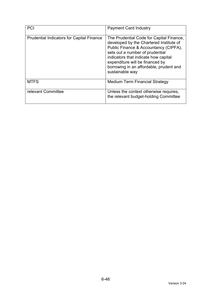| <b>PCI</b>                                       | <b>Payment Card Industry</b>                                                                                                                                                                                                                                                                             |
|--------------------------------------------------|----------------------------------------------------------------------------------------------------------------------------------------------------------------------------------------------------------------------------------------------------------------------------------------------------------|
| <b>Prudential Indicators for Capital Finance</b> | The Prudential Code for Capital Finance,<br>developed by the Chartered Institute of<br>Public Finance & Accountancy (CIPFA),<br>sets out a number of prudential<br>indicators that indicate how capital<br>expenditure will be financed by<br>borrowing in an affordable, prudent and<br>sustainable way |
| <b>MTFS</b>                                      | <b>Medium Term Financial Strategy</b>                                                                                                                                                                                                                                                                    |
| relevant Committee                               | Unless the context otherwise requires,<br>the relevant budget-holding Committee                                                                                                                                                                                                                          |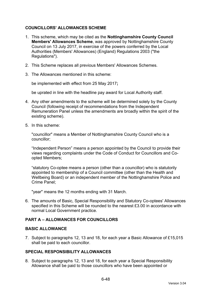# **COUNCILLORS' ALLOWANCES SCHEME**

- 1. This scheme, which may be cited as the **Nottinghamshire County Council Members' Allowances Scheme**, was approved by Nottinghamshire County Council on 13 July 2017, in exercise of the powers conferred by the Local Authorities (Members' Allowances) (England) Regulations 2003 ("the Regulations").
- 2. This Scheme replaces all previous Members' Allowances Schemes.
- 3. The Allowances mentioned in this scheme:

be implemented with effect from 25 May 2017**;**

be uprated in line with the headline pay award for Local Authority staff.

- 4. Any other amendments to the scheme will be determined solely by the County Council (following receipt of recommendations from the Independent Remuneration Panel unless the amendments are broadly within the spirit of the existing scheme).
- 5. In this scheme:

"councillor" means a Member of Nottinghamshire County Council who is a councillor;

"Independent Person" means a person appointed by the Council to provide their views regarding complaints under the Code of Conduct for Councillors and Coopted Members;

"statutory Co-optee means a person (other than a councillor) who is statutorily appointed to membership of a Council committee (other than the Health and Wellbeing Board) or an independent member of the Nottinghamshire Police and Crime Panel;

"year" means the 12 months ending with 31 March.

6. The amounts of Basic, Special Responsibility and Statutory Co-optees' Allowances specified in this Scheme will be rounded to the nearest £3.00 in accordance with normal Local Government practice.

# **PART A – ALLOWANCES FOR COUNCILLORS**

#### **BASIC ALLOWANCE**

7. Subject to paragraphs 12, 13 and 18, for each year a Basic Allowance of £15,015 shall be paid to each councillor.

# **SPECIAL RESPONSIBILITY ALLOWANCES**

8. Subject to paragraphs 12, 13 and 18, for each year a Special Responsibility Allowance shall be paid to those councillors who have been appointed or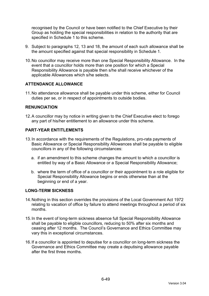recognised by the Council or have been notified to the Chief Executive by their Group as holding the special responsibilities in relation to the authority that are specified in Schedule 1 to this scheme.

- 9. Subject to paragraphs 12, 13 and 18, the amount of each such allowance shall be the amount specified against that special responsibility in Schedule 1.
- 10. No councillor may receive more than one Special Responsibility Allowance. In the event that a councillor holds more than one position for which a Special Responsibility Allowance is payable then s/he shall receive whichever of the applicable Allowances which s/he selects.

# **ATTENDANCE ALLOWANCE**

11. No attendance allowance shall be payable under this scheme, either for Council duties per se, or in respect of appointments to outside bodies.

#### **RENUNCIATION**

12. A councillor may by notice in writing given to the Chief Executive elect to forego any part of his/her entitlement to an allowance under this scheme.

#### **PART-YEAR ENTITLEMENTS**

- 13. In accordance with the requirements of the Regulations, pro-rata payments of Basic Allowance or Special Responsibility Allowances shall be payable to eligible councillors in any of the following circumstances:
	- a. if an amendment to this scheme changes the amount to which a councillor is entitled by way of a Basic Allowance or a Special Responsibility Allowance;
	- b. where the term of office of a councillor or their appointment to a role eligible for Special Responsibility Allowance begins or ends otherwise than at the beginning or end of a year.

#### **LONG-TERM SICKNESS**

- 14. Nothing in this section overrides the provisions of the Local Government Act 1972 relating to vacation of office by failure to attend meetings throughout a period of six months.
- 15. In the event of long-term sickness absence full Special Responsibility Allowance shall be payable to eligible councillors, reducing to 50% after six months and ceasing after 12 months. The Council's Governance and Ethics Committee may vary this in exceptional circumstances.
- 16. If a councillor is appointed to deputise for a councillor on long-term sickness the Governance and Ethics Committee may create a deputising allowance payable after the first three months.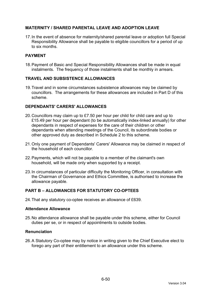# **MATERNITY / SHARED PARENTAL LEAVE AND ADOPTION LEAVE**

17. In the event of absence for maternity/shared parental leave or adoption full Special Responsibility Allowance shall be payable to eligible councillors for a period of up to six months.

# **PAYMENT**

18. Payment of Basic and Special Responsibility Allowances shall be made in equal instalments. The frequency of those instalments shall be monthly in arrears.

### **TRAVEL AND SUBSISTENCE ALLOWANCES**

19. Travel and in some circumstances subsistence allowances may be claimed by councillors. The arrangements for these allowances are included in Part D of this scheme.

### **DEPENDANTS' CARERS' ALLOWANCES**

- 20. Councillors may claim up to £7.50 per hour per child for child care and up to £15.49 per hour per dependant (to be automatically index-linked annually) for other dependants in respect of expenses for the care of their children or other dependants when attending meetings of the Council, its subordinate bodies or other approved duty as described in Schedule 2 to this scheme.
- 21. Only one payment of Dependants' Carers' Allowance may be claimed in respect of the household of each councillor.
- 22. Payments, which will not be payable to a member of the claimant's own household, will be made only when supported by a receipt.
- 23. In circumstances of particular difficulty the Monitoring Officer, in consultation with the Chairman of Governance and Ethics Committee, is authorised to increase the allowance payable.

# **PART B – ALLOWANCES FOR STATUTORY CO-OPTEES**

24. That any statutory co-optee receives an allowance of £639.

#### **Attendance Allowance**

25. No attendance allowance shall be payable under this scheme, either for Council duties per se, or in respect of appointments to outside bodies.

#### **Renunciation**

26. A Statutory Co-optee may by notice in writing given to the Chief Executive elect to forego any part of their entitlement to an allowance under this scheme.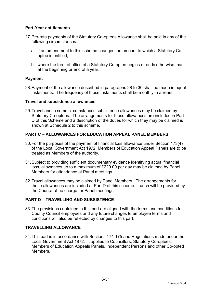# **Part-Year entitlements**

- 27. Pro-rata payments of the Statutory Co-optees Allowance shall be paid in any of the following circumstances:
	- a. if an amendment to this scheme changes the amount to which a Statutory Cooptee is entitled;
	- b. where the term of office of a Statutory Co-optee begins or ends otherwise than at the beginning or end of a year.

# **Payment**

28. Payment of the allowance described in paragraphs 28 to 30 shall be made in equal instalments. The frequency of those instalments shall be monthly in arrears.

### **Travel and subsistence allowances**

29. Travel and in some circumstances subsistence allowances may be claimed by Statutory Co-optees. The arrangements for those allowances are included in Part D of this Scheme and a description of the duties for which they may be claimed is shown at Schedule 2 to this scheme.

# **PART C – ALLOWANCES FOR EDUCATION APPEAL PANEL MEMBERS**

- 30. For the purposes of the payment of financial loss allowance under Section 173(4) of the Local Government Act 1972, Members of Education Appeal Panels are to be treated as Members of the authority.
- 31. Subject to providing sufficient documentary evidence identifying actual financial loss, allowances up to a maximum of £229.00 per day may be claimed by Panel Members for attendance at Panel meetings.
- 32. Travel allowances may be claimed by Panel Members. The arrangements for those allowances are included at Part D of this scheme. Lunch will be provided by the Council at no charge for Panel meetings.

# **PART D – TRAVELLING AND SUBSISTENCE**

33. The provisions contained in this part are aligned with the terms and conditions for County Council employees and any future changes to employee terms and conditions will also be reflected by changes to this part.

# **TRAVELLING ALLOWANCE**

34. This part is in accordance with Sections 174-175 and Regulations made under the Local Government Act 1972. It applies to Councillors, Statutory Co-optees, Members of Education Appeals Panels, Independent Persons and other Co-opted Members.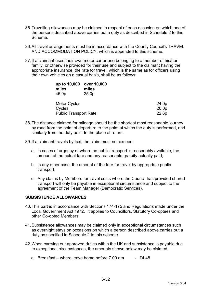- 35. Travelling allowances may be claimed in respect of each occasion on which one of the persons described above carries out a duty as described in Schedule 2 to this Scheme.
- 36. All travel arrangements must be in accordance with the County Council's TRAVEL AND ACCOMMODATION POLICY, which is appended to this scheme.
- 37. If a claimant uses their own motor car or one belonging to a member of his/her family, or otherwise provided for their use and subject to the claimant having the appropriate insurance, the rate for travel, which is the same as for officers using their own vehicles on a casual basis, shall be as follows:

| up to 10,000<br>miles<br>45.0p | over 10,000<br>miles<br>25.0 <sub>p</sub> |                   |
|--------------------------------|-------------------------------------------|-------------------|
| <b>Motor Cycles</b>            |                                           | 24.0p             |
| Cycles                         |                                           | 20.0 <sub>p</sub> |
| <b>Public Transport Rate</b>   |                                           | 22.6p             |

- 38. The distance claimed for mileage should be the shortest most reasonable journey by road from the point of departure to the point at which the duty is performed, and similarly from the duty point to the place of return.
- 39. If a claimant travels by taxi, the claim must not exceed:
	- a. in cases of urgency or where no public transport is reasonably available, the amount of the actual fare and any reasonable gratuity actually paid;
	- b. in any other case, the amount of the fare for travel by appropriate public transport.
	- c. Any claims by Members for travel costs where the Council has provided shared transport will only be payable in exceptional circumstance and subject to the agreement of the Team Manager (Democratic Services).

# **SUBSISTENCE ALLOWANCES**

- 40. This part is in accordance with Sections 174-175 and Regulations made under the Local Government Act 1972. It applies to Councillors, Statutory Co-optees and other Co-opted Members.
- 41. Subsistence allowances may be claimed only in exceptional circumstances such as overnight stays on occasions on which a person described above carries out a duty as specified in Schedule 2 to this scheme.
- 42. When carrying out approved duties within the UK and subsistence is payable due to exceptional circumstances, the amounts shown below may be claimed.
	- a. Breakfast where leave home before  $7.00$  am  $-2.448$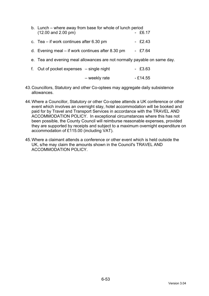| b. Lunch – where away from base for whole of lunch period<br>$(12.00$ and $2.00$ pm) | $-$ £6.17 |
|--------------------------------------------------------------------------------------|-----------|
| c. Tea $-$ if work continues after 6.30 pm                                           | $-$ £2.43 |
| d. Evening meal $-$ if work continues after 8.30 pm                                  | $-$ £7.64 |
| e. Tea and evening meal allowances are not normally payable on same day.             |           |

| f. Out of pocket expenses – single night |               | $-$ £3.63 |
|------------------------------------------|---------------|-----------|
|                                          | – weekly rate | - £14.55  |

- 43. Councillors, Statutory and other Co-optees may aggregate daily subsistence allowances.
- 44. Where a Councillor, Statutory or other Co-optee attends a UK conference or other event which involves an overnight stay, hotel accommodation will be booked and paid for by Travel and Transport Services in accordance with the TRAVEL AND ACCOMMODATION POLICY. In exceptional circumstances where this has not been possible, the County Council will reimburse reasonable expenses, provided they are supported by receipts and subject to a maximum overnight expenditure on accommodation of £115.00 (including VAT).
- 45. Where a claimant attends a conference or other event which is held outside the UK, s/he may claim the amounts shown in the Council's TRAVEL AND ACCOMMODATION POLICY.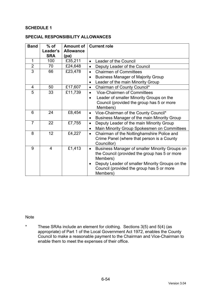# **SCHEDULE 1**

#### **SPECIAL RESPONSIBILITY ALLOWANCES**

| <b>Band</b>    | $%$ of     | <b>Amount of</b> | <b>Current role</b>                                          |  |
|----------------|------------|------------------|--------------------------------------------------------------|--|
|                | Leader's   | <b>Allowance</b> |                                                              |  |
|                | <b>SRA</b> | (pa)             |                                                              |  |
| 1              | 100        | £35,211          | Leader of the Council<br>$\bullet$                           |  |
| $\overline{2}$ | 70         | £24,648          | Deputy Leader of the Council<br>$\bullet$                    |  |
| $\overline{3}$ | 66         | £23,478          | <b>Chairmen of Committees</b><br>$\bullet$                   |  |
|                |            |                  | <b>Business Manager of Majority Group</b><br>$\bullet$       |  |
|                |            |                  | Leader of the main Minority Group<br>$\bullet$               |  |
| $\overline{4}$ | 50         | £17,607          | Chairman of County Council*<br>$\bullet$                     |  |
| 5              | 33         | £11,739          | <b>Vice-Chairmen of Committees</b><br>$\bullet$              |  |
|                |            |                  | Leader of smaller Minority Groups on the<br>$\bullet$        |  |
|                |            |                  | Council (provided the group has 5 or more                    |  |
|                |            |                  | Members)                                                     |  |
| 6              | 24         | £8,454           | Vice-Chairman of the County Council*<br>$\bullet$            |  |
|                |            |                  | Business Manager of the main Minority Group<br>$\bullet$     |  |
| $\overline{7}$ | 22         | £7,755           | Deputy Leader of the main Minority Group<br>$\bullet$        |  |
|                |            |                  | Main Minority Group Spokesmen on Committees<br>$\bullet$     |  |
| 8              | 12         | £4,227           | Chairman of the Nottinghamshire Police and<br>$\bullet$      |  |
|                |            |                  | Crime Panel (where that person is a County                   |  |
|                |            |                  | Councillor)                                                  |  |
| 9              | 4          | £1,413           | Business Manager of smaller Minority Groups on<br>$\bullet$  |  |
|                |            |                  | the Council (provided the group has 5 or more                |  |
|                |            |                  | Members)                                                     |  |
|                |            |                  | Deputy Leader of smaller Minority Groups on the<br>$\bullet$ |  |
|                |            |                  | Council (provided the group has 5 or more                    |  |
|                |            |                  | Members)                                                     |  |

**Note** 

\* These SRAs include an element for clothing. Sections 3(5) and 5(4) (as appropriate) of Part 1 of the Local Government Act 1972, enables the County Council to make a reasonable payment to the Chairman and Vice-Chairman to enable them to meet the expenses of their office.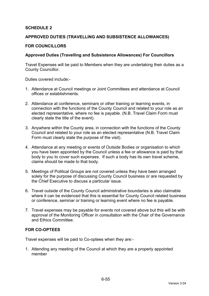# **SCHEDULE 2**

#### **APPROVED DUTIES (TRAVELLING AND SUBSISTENCE ALLOWANCES)**

#### **FOR COUNCILLORS**

#### **Approved Duties (Travelling and Subsistence Allowances) For Councillors**

Travel Expenses will be paid to Members when they are undertaking their duties as a County Councillor.

Duties covered include:-

- 1. Attendance at Council meetings or Joint Committees and attendance at Council offices or establishments.
- 2. Attendance at conference, seminars or other training or learning events, in connection with the functions of the County Council and related to your role as an elected representative, where no fee is payable. (N.B. Travel Claim Form must clearly state the title of the event).
- 3. Anywhere within the County area, in connection with the functions of the County Council and related to your role as an elected representative (N.B. Travel Claim Form must clearly state the purpose of the visit).
- 4. Attendance at any meeting or events of Outside Bodies or organisation to which you have been appointed by the Council unless a fee or allowance is paid by that body to you to cover such expenses. If such a body has its own travel scheme, claims should be made to that body.
- 5. Meetings of Political Groups are not covered unless they have been arranged solely for the purpose of discussing County Council business or are requested by the Chief Executive to discuss a particular issue.
- 6. Travel outside of the County Council administrative boundaries is also claimable where it can be evidenced that this is essential for County Council related business or conference, seminar or training or learning event where no fee is payable.
- 7. Travel expenses may be payable for events not covered above but this will be with approval of the Monitoring Officer in consultation with the Chair of the Governance and Ethics Committee.

#### **FOR CO-OPTEES**

Travel expenses will be paid to Co-optees when they are:-

1. Attending any meeting of the Council at which they are a properly appointed member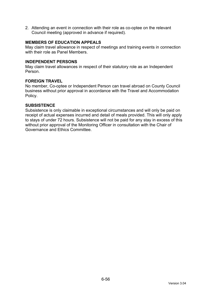2. Attending an event in connection with their role as co-optee on the relevant Council meeting (approved in advance if required).

# **MEMBERS OF EDUCATION APPEALS**

May claim travel allowance in respect of meetings and training events in connection with their role as Panel Members.

#### **INDEPENDENT PERSONS**

May claim travel allowances in respect of their statutory role as an Independent Person.

#### **FOREIGN TRAVEL**

No member, Co-optee or Independent Person can travel abroad on County Council business without prior approval in accordance with the Travel and Accommodation Policy.

#### **SUBSISTENCE**

Subsistence is only claimable in exceptional circumstances and will only be paid on receipt of actual expenses incurred and detail of meals provided. This will only apply to stays of under 72 hours. Subsistence will not be paid for any stay in excess of this without prior approval of the Monitoring Officer in consultation with the Chair of Governance and Ethics Committee.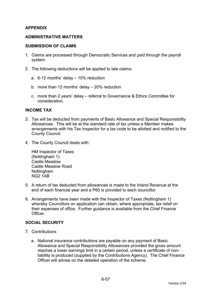# **APPENDIX**

#### **ADMINISTRATIVE MATTERS**

#### **SUBMISSION OF CLAIMS**

- 1. Claims are processed through Democratic Services and paid through the payroll system.
- 2. The following deductions will be applied to late claims:
	- a. 6-12 months' delay 10% reduction
	- b. more than 12 months' delay 20% reduction
	- c. more than 2 years' delay referral to Governance & Ethics Committee for consideration.

#### **INCOME TAX**

- 3. Tax will be deducted from payments of Basic Allowance and Special Responsibility Allowances. This will be at the standard rate of tax unless a Member makes arrangements with his Tax Inspector for a tax code to be allotted and notified to the County Council.
- 4. The County Council deals with:

HM Inspector of Taxes (Nottingham 1) Castle Meadow Castle Meadow Road Nottingham NG2 1AB

- 5. A return of tax deducted from allowances is made to the Inland Revenue at the end of each financial year and a P60 is provided to each councillor.
- 6. Arrangements have been made with the Inspector of Taxes (Nottingham 1) whereby Councillors on application can obtain, where appropriate, tax relief on their expenses of office. Further guidance is available from the Chief Finance **Officer**

# **SOCIAL SECURITY**

- 7. Contributions
	- a. National insurance contributions are payable on any payment of Basic Allowance and Special Responsibility Allowances provided the gross amount reaches a lower earnings limit in a certain period, unless a certificate of nonliability is produced (supplied by the Contributions Agency). The Chief Finance Officer will advise on the detailed operation of the scheme.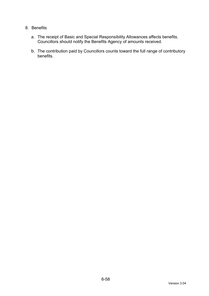# 8. Benefits

- a. The receipt of Basic and Special Responsibility Allowances affects benefits. Councillors should notify the Benefits Agency of amounts received.
- b. The contribution paid by Councillors counts toward the full range of contributory benefits.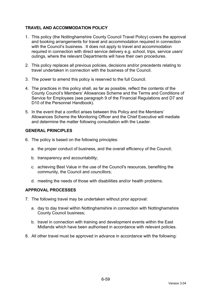# **TRAVEL AND ACCOMMODATION POLICY**

- 1. This policy (the Nottinghamshire County Council Travel Policy) covers the approval and booking arrangements for travel and accommodation required in connection with the Council's business. It does not apply to travel and accommodation required in connection with direct service delivery e.g. school, trips, service users' outings, where the relevant Departments will have their own procedures.
- 2. This policy replaces all previous policies, decisions and/or precedents relating to travel undertaken in connection with the business of the Council.
- 3. The power to amend this policy is reserved to the full Council.
- 4. The practices in this policy shall, as far as possible, reflect the contents of the County Council's Members' Allowances Scheme and the Terms and Conditions of Service for Employees (see paragraph 9 of the Financial Regulations and D7 and D10 of the Personnel Handbook).
- 5. In the event that a conflict arises between this Policy and the Members' Allowances Scheme the Monitoring Officer and the Chief Executive will mediate and determine the matter following consultation with the Leader.

# **GENERAL PRINCIPLES**

- 6. The policy is based on the following principles:
	- a. the proper conduct of business, and the overall efficiency of the Council;
	- b. transparency and accountability;
	- c. achieving Best Value in the use of the Council's resources, benefiting the community, the Council and councillors;
	- d. meeting the needs of those with disabilities and/or health problems.

# **APPROVAL PROCESSES**

- 7. The following travel may be undertaken without prior approval:
	- a. day to day travel within Nottinghamshire in connection with Nottinghamshire County Council business;
	- b. travel in connection with training and development events within the East Midlands which have been authorised in accordance with relevant policies.
- 8. All other travel must be approved in advance in accordance with the following: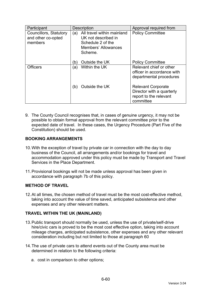| Participant                                             | <b>Description</b>                                                                                                     | Approval required from                                                                        |
|---------------------------------------------------------|------------------------------------------------------------------------------------------------------------------------|-----------------------------------------------------------------------------------------------|
| Councillors, Statutory<br>and other co-opted<br>members | All travel within mainland<br>(a)<br>UK not described in<br>Schedule 2 of the<br><b>Members' Allowances</b><br>Scheme. | <b>Policy Committee</b>                                                                       |
|                                                         | Outside the UK<br>b)                                                                                                   | <b>Policy Committee</b>                                                                       |
| <b>Officers</b>                                         | Within the UK<br>(a)                                                                                                   | Relevant chief or other<br>officer in accordance with<br>departmental procedures              |
|                                                         | Outside the UK<br>(b)                                                                                                  | <b>Relevant Corporate</b><br>Director with a quarterly<br>report to the relevant<br>committee |

9. The County Council recognises that, in cases of genuine urgency, it may not be possible to obtain formal approval from the relevant committee prior to the expected date of travel. In these cases, the Urgency Procedure (Part Five of the Constitution) should be used.

# **BOOKING ARRANGEMENTS**

- 10. With the exception of travel by private car in connection with the day to day business of the Council, all arrangements and/or bookings for travel and accommodation approved under this policy must be made by Transport and Travel Services in the Place Department.
- 11. Provisional bookings will not be made unless approval has been given in accordance with paragraph 7b of this policy.

# **METHOD OF TRAVEL**

12. At all times, the chosen method of travel must be the most cost-effective method, taking into account the value of time saved, anticipated subsistence and other expenses and any other relevant matters.

# **TRAVEL WITHIN THE UK (MAINLAND)**

- 13. Public transport should normally be used, unless the use of private/self-drive hire/civic cars is proved to be the most cost effective option, taking into account mileage charges, anticipated subsistence, other expenses and any other relevant consideration including but not limited to those at paragraph 60
- 14. The use of private cars to attend events out of the County area must be determined in relation to the following criteria:
	- a. cost in comparison to other options;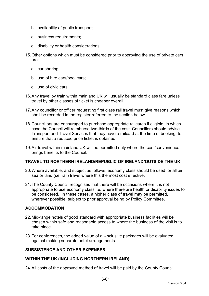- b. availability of public transport;
- c. business requirements;
- d. disability or health considerations.
- 15. Other options which must be considered prior to approving the use of private cars are:
	- a. car sharing;
	- b. use of hire cars/pool cars;
	- c. use of civic cars.
- 16. Any travel by train within mainland UK will usually be standard class fare unless travel by other classes of ticket is cheaper overall.
- 17. Any councillor or officer requesting first class rail travel must give reasons which shall be recorded in the register referred to the section below.
- 18. Councillors are encouraged to purchase appropriate railcards if eligible, in which case the Council will reimburse two-thirds of the cost. Councillors should advise Transport and Travel Services that they have a railcard at the time of booking, to ensure that a reduced price ticket is obtained.
- 19. Air travel within mainland UK will be permitted only where the cost/convenience brings benefits to the Council.

# **TRAVEL TO NORTHERN IRELAND/REPUBLIC OF IRELAND/OUTSIDE THE UK**

- 20. Where available, and subject as follows, economy class should be used for all air, sea or land (i.e. rail) travel where this the most cost effective.
- 21. The County Council recognises that there will be occasions where it is not appropriate to use economy class i.e. where there are health or disability issues to be considered. In these cases, a higher class of travel may be permitted, wherever possible, subject to prior approval being by Policy Committee.

# **ACCOMMODATION**

- 22. Mid-range hotels of good standard with appropriate business facilities will be chosen within safe and reasonable access to where the business of the visit is to take place.
- 23. For conferences, the added value of all-inclusive packages will be evaluated against making separate hotel arrangements.

# **SUBSISTENCE AND OTHER EXPENSES**

# **WITHIN THE UK (INCLUDING NORTHERN IRELAND)**

24. All costs of the approved method of travel will be paid by the County Council.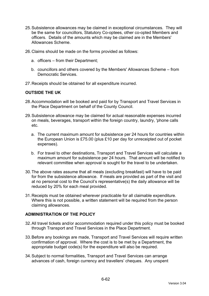- 25. Subsistence allowances may be claimed in exceptional circumstances. They will be the same for councillors, Statutory Co-optees, other co-opted Members and officers. Details of the amounts which may be claimed are in the Members' Allowances Scheme.
- 26. Claims should be made on the forms provided as follows:
	- a. officers from their Department;
	- b. councillors and others covered by the Members' Allowances Scheme from Democratic Services.
- 27. Receipts should be obtained for all expenditure incurred.

#### **OUTSIDE THE UK**

- 28. Accommodation will be booked and paid for by Transport and Travel Services in the Place Department on behalf of the County Council.
- 29. Subsistence allowance may be claimed for actual reasonable expenses incurred on meals, beverages, transport within the foreign country, laundry, 'phone calls etc.
	- a. The current maximum amount for subsistence per 24 hours for countries within the European Union is £75.00 (plus £10 per day for unreceipted out of pocket expenses).
	- b. For travel to other destinations, Transport and Travel Services will calculate a maximum amount for subsistence per 24 hours. That amount will be notified to relevant committee when approval is sought for the travel to be undertaken.
- 30. The above rates assume that all meals (excluding breakfast) will have to be paid for from the subsistence allowance. If meals are provided as part of the visit and at no personal cost to the Council's representative(s) the daily allowance will be reduced by 20% for each meal provided.
- 31. Receipts must be obtained wherever practicable for all claimable expenditure. Where this is not possible, a written statement will be required from the person claiming allowances.

#### **ADMINISTRATION OF THE POLICY**

- 32. All travel tickets and/or accommodation required under this policy must be booked through Transport and Travel Services in the Place Department.
- 33. Before any bookings are made, Transport and Travel Services will require written confirmation of approval. Where the cost is to be met by a Department, the appropriate budget code(s) for the expenditure will also be required.
- 34. Subject to normal formalities, Transport and Travel Services can arrange advances of cash, foreign currency and travellers' cheques. Any unspent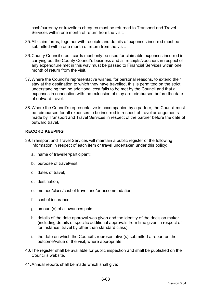cash/currency or travellers cheques must be returned to Transport and Travel Services within one month of return from the visit.

- 35. All claim forms, together with receipts and details of expenses incurred must be submitted within one month of return from the visit.
- 36. County Council credit cards must only be used for claimable expenses incurred in carrying out the County Council's business and all receipts/vouchers in respect of any expenditure met in this way must be passed to Financial Services within one month of return from the visit.
- 37. Where the Council's representative wishes, for personal reasons, to extend their stay at the destination to which they have travelled, this is permitted on the strict understanding that no additional cost falls to be met by the Council and that all expenses in connection with the extension of stay are reimbursed before the date of outward travel.
- 38. Where the Council's representative is accompanied by a partner, the Council must be reimbursed for all expenses to be incurred in respect of travel arrangements made by Transport and Travel Services in respect of the partner before the date of outward travel.

### **RECORD KEEPING**

- 39. Transport and Travel Services will maintain a public register of the following information in respect of each item or travel undertaken under this policy:
	- a. name of traveller/participant;
	- b. purpose of travel/visit;
	- c. dates of travel;
	- d. destination;
	- e. method/class/cost of travel and/or accommodation;
	- f. cost of insurance;
	- g. amount(s) of allowances paid;
	- h. details of the date approval was given and the identity of the decision maker (including details of specific additional approvals from time given in respect of, for instance, travel by other than standard class);
	- i. the date on which the Council's representative(s) submitted a report on the outcome/value of the visit, where appropriate.
- 40. The register shall be available for public inspection and shall be published on the Council's website.
- 41. Annual reports shall be made which shall give: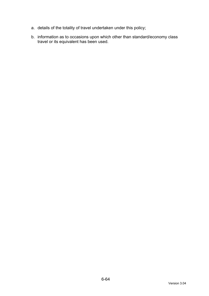- a. details of the totality of travel undertaken under this policy;
- b. information as to occasions upon which other than standard/economy class travel or its equivalent has been used.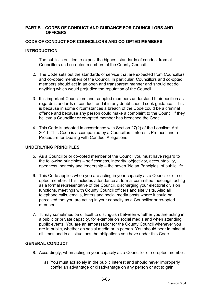#### **PART B – CODES OF CONDUCT AND GUIDANCE FOR COUNCILLORS AND OFFICERS**

### **CODE OF CONDUCT FOR COUNCILLORS AND CO-OPTED MEMBERS**

### **INTRODUCTION**

- 1. The public is entitled to expect the highest standards of conduct from all Councillors and co-opted members of the County Council.
- 2. The Code sets out the standards of service that are expected from Councillors and co-opted members of the Council. In particular, Councillors and co-opted members should act in an open and transparent manner and should not do anything which would prejudice the reputation of the Council.
- 3. It is important Councillors and co-opted members understand their position as regards standards of conduct, and if in any doubt should seek guidance. This is because in some circumstances a breach of the Code could be a criminal offence and because any person could make a complaint to the Council if they believe a Councillor or co-opted member has breached the Code.
- 4. This Code is adopted in accordance with Section 27(2) of the Localism Act 2011. This Code is accompanied by a Councillors' Interests Protocol and a Procedure for Dealing with Conduct Allegations.

#### **UNDERLYING PRINCIPLES**

- 5. As a Councillor or co-opted member of the Council you must have regard to the following principles – selflessness, integrity, objectivity, accountability, openness, honesty and leadership – the seven 'Nolan Principles' of public life.
- 6. This Code applies when you are acting in your capacity as a Councillor or coopted member. This includes attendance at formal committee meetings, acting as a formal representative of the Council, discharging your electoral division functions, meetings with County Council officers and site visits. Also all telephone calls, emails, letters and social media posts where it could be perceived that you are acting in your capacity as a Councillor or co-opted member.
- 7. It may sometimes be difficult to distinguish between whether you are acting in a public or private capacity, for example on social media and when attending public events. You are an ambassador for the County Council whenever you are in public, whether on social media or in person. You should bear in mind at all times and in all situations the obligations you have under this Code.

# **GENERAL CONDUCT**

- 8. Accordingly, when acting in your capacity as a Councillor or co-opted member:
	- a) You must act solely in the public interest and should never improperly confer an advantage or disadvantage on any person or act to gain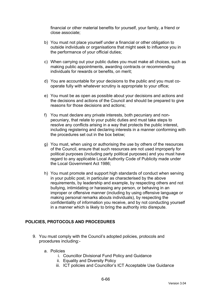financial or other material benefits for yourself, your family, a friend or close associate;

- b) You must not place yourself under a financial or other obligation to outside individuals or organisations that might seek to influence you in the performance of your official duties;
- c) When carrying out your public duties you must make all choices, such as making public appointments, awarding contracts or recommending individuals for rewards or benefits, on merit;
- d) You are accountable for your decisions to the public and you must cooperate fully with whatever scrutiny is appropriate to your office;
- e) You must be as open as possible about your decisions and actions and the decisions and actions of the Council and should be prepared to give reasons for those decisions and actions;
- f) You must declare any private interests, both pecuniary and nonpecuniary, that relate to your public duties and must take steps to resolve any conflicts arising in a way that protects the public interest, including registering and declaring interests in a manner conforming with the procedures set out in the box below;
- g) You must, when using or authorising the use by others of the resources of the Council, ensure that such resources are not used improperly for political purposes (including party political purposes) and you must have regard to any applicable Local Authority Code of Publicity made under the Local Government Act 1986;
- h) You must promote and support high standards of conduct when serving in your public post, in particular as characterised by the above requirements, by leadership and example, by respecting others and not bullying, intimidating or harassing any person, or behaving in an improper or offensive manner (including by using offensive language or making personal remarks abouts individuals), by respecting the confidentiality of information you receive, and by not conducting yourself in a manner which is likely to bring the authority into disrepute.

### **POLICIES, PROTOCOLS AND PROCEDURES**

- 9. You must comply with the Council's adopted policies, protocols and procedures including:
	- a. Policies
		- i. Councillor Divisional Fund Policy and Guidance
		- ii. Equality and Diversity Policy
		- iii. ICT policies and Councillor's ICT Acceptable Use Guidance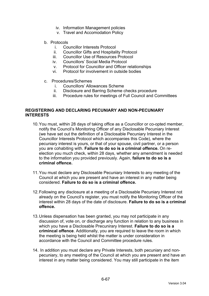- iv. Information Management policies
- v. Travel and Accomodation Policy
- b. Protocols
	- i. Councillor Interests Protocol
	- ii. Councillor Gifts and Hospitality Protocol
	- iii. Councillor Use of Resources Protocol
	- iv. Councillors' Social Media Protocol
	- v. Protocol for Councillor and Officer relationships
	- vi. Protocol for involvement in outside bodies
- c. Procedures/Schemes
	- i. Councillors' Allowances Scheme<br>ii. Disclosure and Barring Scheme of
	- Disclosure and Barring Scheme checks procedure
	- iii. Procedure rules for meetings of Full Council and Committees

#### **REGISTERING AND DECLARING PECUNIARY AND NON-PECUNIARY INTERESTS**

- 10. You must, within 28 days of taking office as a Councillor or co-opted member, notify the Council's Monitoring Officer of any Disclosable Pecuniary Interest (we have set out the definition of a Disclosable Pecuniary Interest in the Councillor Interests Protocol which accompanies this Code), where the pecuniary interest is yours, or that of your spouse, civil partner, or a person you are cohabiting with. **Failure to do so is a criminal offence.** On reelection you much check, within 28 days, whether any amendment is needed to the information you provided previously. Again, **failure to do so is a criminal offence.**
- 11. You must declare any Disclosable Pecuniary Interests to any meeting of the Council at which you are present and have an interest in any matter being considered. **Failure to do so is a criminal offence.**
- 12. Following any disclosure at a meeting of a Disclosable Pecuniary Interest not already on the Council's register, you must notify the Monitoring Officer of the interest within 28 days of the date of disclosure. **Failure to do so is a criminal offence.**
- 13. Unless dispensation has been granted, you may not participate in any discussion of, vote on, or discharge any function in relation to any business in which you have a Disclosable Precunirary Interest. **Failure to do so is a crimincal offence**. Additionally, you are required to leave the room in which the meeting is being held whilst the matter is under consideration in accordance with the Council and Committee procedure rules.
- 14. In addition you must declare any Private Interests, both pecuniary and nonpecuniary, to any meeting of the Council at which you are present and have an interest in any matter being considered. You may still participate in the item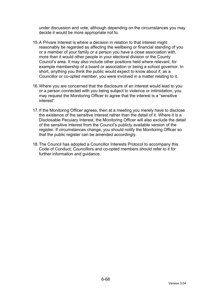under discussion and vote, although depending on the circumstances you may decide it would be more appropriate not to.

- 15. A Privare Interest is where a decision in relation to that interest might reasonably be regarded as affecting the wellbeing or financial standing of you or a member of your family or a person you have a close association with, more than it would other people in your electoral division or the County Council's area. It may also include other positions held where relevant, for example membership of a board or association or being a school governor. In short, anything you think the public would expect to know about if, as a Councillor or co-opted member, you were involved in a matter relating to it.
- 16. Where you are concerned that the disclosure of an interest would lead to you or a person connected with you being subject to violence or intimidation, you may request the Monitoring Officer to agree that the interest is a "sensitive interest".
- 17. If the Monitoring Officer agrees, then at a meeting you merely have to disclose the existence of the sensitive interest rather than the detail of it. Where it is a Disclosable Pecuiary Interest, the Monitoring Officer will also exclude the detail of the sensitive interest from the Council's publicly available version of the register. If circumstances change, you should notify the Monitoring Officer so that the public register can be amended accordingly.
- 18. The Council has adopted a Councillor Interests Protocol to accompany this Code of Conduct; Councillors and co-opted members should refer to it for further information and guidance.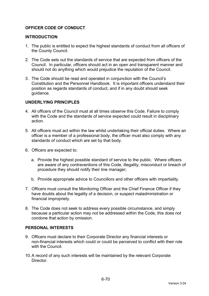## **OFFICER CODE OF CONDUCT**

### **INTRODUCTION**

- 1. The public is entitled to expect the highest standards of conduct from all officers of the County Council.
- 2. The Code sets out the standards of service that are expected from officers of the Council. In particular, officers should act in an open and transparent manner and should not do anything which would prejudice the reputation of the Council.
- 3. The Code should be read and operated in conjunction with the Council's Constitution and the Personnel Handbook. It is important officers understand their position as regards standards of conduct, and if in any doubt should seek guidance.

## **UNDERLYING PRINCIPLES**

- 4. All officers of the Council must at all times observe this Code. Failure to comply with the Code and the standards of service expected could result in disciplinary action.
- 5. All officers must act within the law whilst undertaking their official duties. Where an officer is a member of a professional body, the officer must also comply with any standards of conduct which are set by that body.
- 6. Officers are expected to:
	- a. Provide the highest possible standard of service to the public. Where officers are aware of any contraventions of this Code, illegality, misconduct or breach of procedure they should notify their line manager;
	- b. Provide appropriate advice to Councillors and other officers with impartiality.
- 7. Officers must consult the Monitoring Officer and the Chief Finance Officer if they have doubts about the legality of a decision, or suspect maladministration or financial impropriety.
- 8. The Code does not seek to address every possible circumstance, and simply because a particular action may not be addressed within the Code, this does not condone that action by omission.

### **PERSONAL INTERESTS**

- 9. Officers must declare to their Corporate Director any financial interests or non-financial interests which could or could be perceived to conflict with their role with the Council
- 10. A record of any such interests will be maintained by the relevant Corporate Director.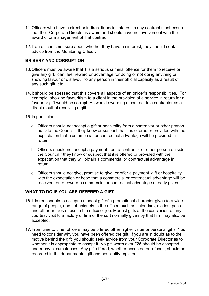- 11. Officers who have a direct or indirect financial interest in any contract must ensure that their Corporate Director is aware and should have no involvement with the award of or management of that contract.
- 12. If an officer is not sure about whether they have an interest, they should seek advice from the Monitoring Officer.

## **BRIBERY AND CORRUPTION**

- 13. Officers must be aware that it is a serious criminal offence for them to receive or give any gift, loan, fee, reward or advantage for doing or not doing anything or showing favour or disfavour to any person in their official capacity as a result of any such gift, etc.
- 14. It should be stressed that this covers all aspects of an officer's responsibilities. For example, showing favouritism to a client in the provision of a service in return for a favour or gift would be corrupt. As would awarding a contract to a contractor as a direct result of receiving a gift.
- 15. In particular:
	- a. Officers should not accept a gift or hospitality from a contractor or other person outside the Council if they know or suspect that it is offered or provided with the expectation that a commercial or contractual advantage will be provided in return;
	- b. Officers should not accept a payment from a contractor or other person outside the Council if they know or suspect that it is offered or provided with the expectation that they will obtain a commercial or contractual advantage in return;
	- c. Officers should not give, promise to give, or offer a payment, gift or hospitality with the expectation or hope that a commercial or contractual advantage will be received, or to reward a commercial or contractual advantage already given.

## **WHAT TO DO IF YOU ARE OFFERED A GIFT**

- 16. It is reasonable to accept a modest gift of a promotional character given to a wide range of people, and not uniquely to the officer, such as calendars, diaries, pens and other articles of use in the office or job. Modest gifts at the conclusion of any courtesy visit to a factory or firm of the sort normally given by that firm may also be accepted.
- 17. From time to time, officers may be offered other higher value or personal gifts. You need to consider why you have been offered the gift. If you are in doubt as to the motive behind the gift, you should seek advice from your Corporate Director as to whether it is appropriate to accept it. No gift worth over £25 should be accepted under any circumstances. Any gift offered, whether accepted or refused, should be recorded in the departmental gift and hospitality register.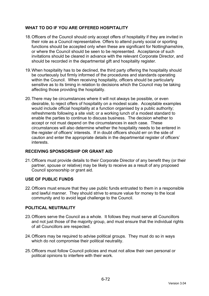# **WHAT TO DO IF YOU ARE OFFERED HOSPITALITY**

- 18. Officers of the Council should only accept offers of hospitality if they are invited in their role as a Council representative. Offers to attend purely social or sporting functions should be accepted only when these are significant for Nottinghamshire, or where the Council should be seen to be represented. Acceptance of such invitations should be cleared in advance with the relevant Corporate Director, and should be recorded in the departmental gift and hospitality register.
- 19. When hospitality has to be declined, the third party offering the hospitality should be courteously but firmly informed of the procedures and standards operating within the Council. When receiving hospitality, officers should be particularly sensitive as to its timing in relation to decisions which the Council may be taking affecting those providing the hospitality.
- 20. There may be circumstances where it will not always be possible, or even desirable, to reject offers of hospitality on a modest scale. Acceptable examples would include official hospitality at a function organised by a public authority; refreshments following a site visit; or a working lunch of a modest standard to enable the parties to continue to discuss business. The decision whether to accept or not must depend on the circumstances in each case. These circumstances will also determine whether the hospitality needs to be entered in the register of officers' interests. If in doubt officers should err on the side of caution and enter the appropriate details in the departmental register of officers' interests.

## **RECEIVING SPONSORSHIP OR GRANT AID**

21. Officers must provide details to their Corporate Director of any benefit they (or their partner, spouse or relative) may be likely to receive as a result of any proposed Council sponsorship or grant aid.

## **USE OF PUBLIC FUNDS**

22. Officers must ensure that they use public funds entrusted to them in a responsible and lawful manner. They should strive to ensure value for money to the local community and to avoid legal challenge to the Council.

## **POLITICAL NEUTRALITY**

- 23. Officers serve the Council as a whole. It follows they must serve all Councillors and not just those of the majority group, and must ensure that the individual rights of all Councillors are respected.
- 24. Officers may be required to advise political groups. They must do so in ways which do not compromise their political neutrality.
- 25. Officers must follow Council policies and must not allow their own personal or political opinions to interfere with their work.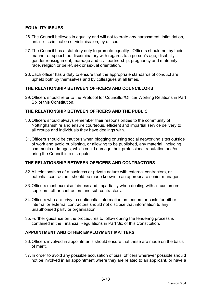## **EQUALITY ISSUES**

- 26. The Council believes in equality and will not tolerate any harassment, intimidation, unfair discrimination or victimisation, by officers.
- 27. The Council has a statutory duty to promote equality. Officers should not by their manner or speech be discriminatory with regards to a person's age, disability, gender reassignment, marriage and civil partnership, pregnancy and maternity, race, religion or belief, sex or sexual orientation.
- 28. Each officer has a duty to ensure that the appropriate standards of conduct are upheld both by themselves and by colleagues at all times.

## **THE RELATIONSHIP BETWEEN OFFICERS AND COUNCILLORS**

29. Officers should refer to the Protocol for Councillor/Officer Working Relations in Part Six of this Constitution.

## **THE RELATIONSHIP BETWEEN OFFICERS AND THE PUBLIC**

- 30. Officers should always remember their responsibilities to the community of Nottinghamshire and ensure courteous, efficient and impartial service delivery to all groups and individuals they have dealings with.
- 31. Officers should be cautious when blogging or using social networking sites outside of work and avoid publishing, or allowing to be published, any material, including comments or images, which could damage their professional reputation and/or bring the Council into disrepute.

## **THE RELATIONSHIP BETWEEN OFFICERS AND CONTRACTORS**

- 32. All relationships of a business or private nature with external contractors, or potential contractors, should be made known to an appropriate senior manager.
- 33. Officers must exercise fairness and impartiality when dealing with all customers, suppliers, other contractors and sub-contractors.
- 34. Officers who are privy to confidential information on tenders or costs for either internal or external contractors should not disclose that information to any unauthorised party or organisation.
- 35. Further guidance on the procedures to follow during the tendering process is contained in the Financial Regulations in Part Six of this Constitution.

### **APPOINTMENT AND OTHER EMPLOYMENT MATTERS**

- 36. Officers involved in appointments should ensure that these are made on the basis of merit.
- 37. In order to avoid any possible accusation of bias, officers wherever possible should not be involved in an appointment where they are related to an applicant, or have a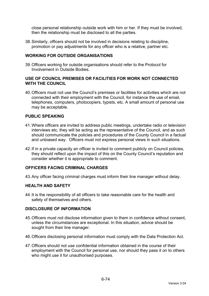close personal relationship outside work with him or her. If they must be involved, then the relationship must be disclosed to all the parties.

38. Similarly, officers should not be involved in decisions relating to discipline, promotion or pay adjustments for any officer who is a relative, partner etc.

### **WORKING FOR OUTSIDE ORGANISATIONS**

39. Officers working for outside organisations should refer to the Protocol for Involvement in Outside Bodies.

### **USE OF COUNCIL PREMISES OR FACILITIES FOR WORK NOT CONNECTED WITH THE COUNCIL**

40. Officers must not use the Council's premises or facilities for activities which are not connected with their employment with the Council, for instance the use of email, telephones, computers, photocopiers, typists, etc. A small amount of personal use may be acceptable.

## **PUBLIC SPEAKING**

- 41. Where officers are invited to address public meetings, undertake radio or television interviews etc, they will be acting as the representative of the Council, and as such should communicate the policies and procedures of the County Council in a factual and unbiased way. Officers must not express personal views in such situations.
- 42. If in a private capacity an officer is invited to comment publicly on Council policies, they should reflect upon the impact of this on the County Council's reputation and consider whether it is appropriate to comment.

### **OFFICERS FACING CRIMINAL CHARGES**

43. Any officer facing criminal charges must inform their line manager without delay.

### **HEALTH AND SAFETY**

44. It is the responsibility of all officers to take reasonable care for the health and safety of themselves and others.

### **DISCLOSURE OF INFORMATION**

- 45. Officers must not disclose information given to them in confidence without consent, unless the circumstances are exceptional. In this situation, advice should be sought from their line manager.
- 46. Officers disclosing personal information must comply with the Data Protection Act.
- 47. Officers should not use confidential information obtained in the course of their employment with the Council for personal use, nor should they pass it on to others who might use it for unauthorised purposes.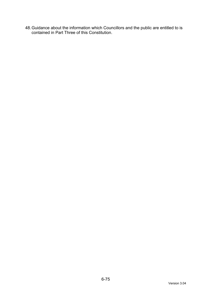48. Guidance about the information which Councillors and the public are entitled to is contained in Part Three of this Constitution.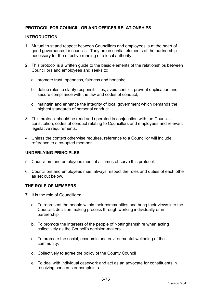## **PROTOCOL FOR COUNCILLOR AND OFFICER RELATIONSHIPS**

## **INTRODUCTION**

- 1. Mutual trust and respect between Councillors and employees is at the heart of good governance for councils. They are essential elements of the partnership necessary for the effective running of a local authority.
- 2. This protocol is a written guide to the basic elements of the relationships between Councillors and employees and seeks to:
	- a. promote trust, openness, fairness and honesty;
	- b. define roles to clarify responsibilities, avoid conflict, prevent duplication and secure compliance with the law and codes of conduct;
	- c. maintain and enhance the integrity of local government which demands the highest standards of personal conduct.
- 3. This protocol should be read and operated in conjunction with the Council's constitution, codes of conduct relating to Councillors and employees and relevant legislative requirements.
- 4. Unless the context otherwise requires, reference to a Councillor will include reference to a co-opted member.

### **UNDERLYING PRINCIPLES**

- 5. Councillors and employees must at all times observe this protocol.
- 6. Councillors and employees must always respect the roles and duties of each other as set out below.

### **THE ROLE OF MEMBERS**

- 7. It is the role of Councillors:
	- a. To represent the people within their communities and bring their views into the Council's decision making process through working individually or in partnership
	- b. To promote the interests of the people of Nottinghamshire when acting collectively as the Council's decision-makers
	- c. To promote the social, economic and environmental wellbeing of the community.
	- d. Collectively to agree the policy of the County Council
	- e. To deal with individual casework and act as an advocate for constituents in resolving concerns or complaints.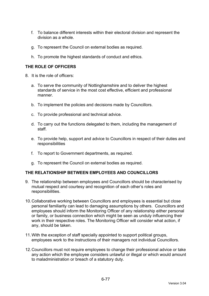- f. To balance different interests within their electoral division and represent the division as a whole.
- g. To represent the Council on external bodies as required.
- h. To promote the highest standards of conduct and ethics.

## **THE ROLE OF OFFICERS**

- 8. It is the role of officers:
	- a. To serve the community of Nottinghamshire and to deliver the highest standards of service in the most cost effective, efficient and professional manner.
	- b. To implement the policies and decisions made by Councillors.
	- c. To provide professional and technical advice.
	- d. To carry out the functions delegated to them, including the management of staff.
	- e. To provide help, support and advice to Councillors in respect of their duties and responsibilities
	- f. To report to Government departments, as required.
	- g. To represent the Council on external bodies as required.

### **THE RELATIONSHIP BETWEEN EMPLOYEES AND COUNCILLORS**

- 9. The relationship between employees and Councillors should be characterised by mutual respect and courtesy and recognition of each other's roles and responsibilities.
- 10. Collaborative working between Councillors and employees is essential but close personal familiarity can lead to damaging assumptions by others. Councillors and employees should inform the Monitoring Officer of any relationship either personal or family, or business connection which might be seen as unduly influencing their work in their respective roles. The Monitoring Officer will consider what action, if any, should be taken.
- 11. With the exception of staff specially appointed to support political groups, employees work to the instructions of their managers not individual Councillors.
- 12. Councillors must not require employees to change their professional advice or take any action which the employee considers unlawful or illegal or which would amount to maladministration or breach of a statutory duty.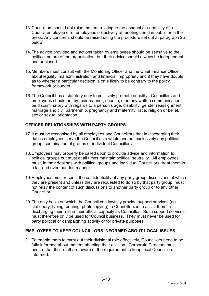- 13. Councillors should not raise matters relating to the conduct or capability of a Council employee or of employees collectively at meetings held in public or in the press. Any concerns should be raised using the procedure set out at paragraph 25 below.
- 14. The advice provided and actions taken by employees should be sensitive to the political nature of the organisation, but their advice should always be independent and unbiased.
- 15. Members must consult with the Monitoring Officer and the Chief Finance Officer about legality, maladministration and financial impropriety and if they have doubts as to whether a particular decision is or is likely to be contrary to the policy framework or budget.
- 16. The Council has a statutory duty to positively promote equality. Councillors and employees should not by their manner, speech, or in any written communication, be discriminatory with regards to a person's age, disability, gender reassignment, marriage and civil partnership, pregnancy and maternity, race, religion or belief, sex or sexual orientation.

## **OFFICER RELATIONSHIPS WITH PARTY GROUPS**

- 17. It must be recognised by all employees and Councillors that in discharging their duties employees serve the Council as a whole and not exclusively any political group, combination of groups or individual Councillors.
- 18. Employees may properly be called upon to provide advice and information to political groups but must at all times maintain political neutrality. All employees must, in their dealings with political groups and individual Councillors, treat them in a fair and even handed manner.
- 19. Employees must respect the confidentiality of any party group discussions at which they are present and unless they are requested to do so by that party group, must not relay the content of such discussions to another party group or to any other Councillor.
- 20. The only basis on which the Council can lawfully provide support services (eg stationery, typing, printing, photocopying) to Councillors is to assist them in discharging their role in their official capacity as Councillor. Such support services must therefore only be used for Council business. They must never be used for party political or campaigning activity or for private purposes.

### **EMPLOYEES TO KEEP COUNCILLORS INFORMED ABOUT LOCAL ISSUES**

21. To enable them to carry out their divisional role effectively, Councillors need to be fully informed about matters affecting their division. Corporate Directors must ensure that their staff are aware of the requirement to keep local Councillors informed.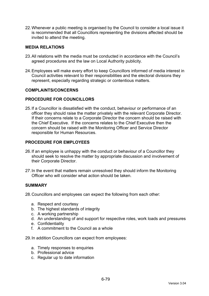22. Whenever a public meeting is organised by the Council to consider a local issue it is recommended that all Councillors representing the divisions affected should be invited to attend the meeting.

### **MEDIA RELATIONS**

- 23. All relations with the media must be conducted in accordance with the Council's agreed procedures and the law on Local Authority publicity.
- 24. Employees will make every effort to keep Councillors informed of media interest in Council activities relevant to their responsibilities and the electoral divisions they represent, especially regarding strategic or contentious matters.

### **COMPLAINTS/CONCERNS**

### **PROCEDURE FOR COUNCILLORS**

25. If a Councillor is dissatisfied with the conduct, behaviour or performance of an officer they should raise the matter privately with the relevant Corporate Director. If their concerns relate to a Corporate Director the concern should be raised with the Chief Executive. If the concerns relates to the Chief Executive then the concern should be raised with the Monitoring Officer and Service Director responsible for Human Resources.

## **PROCEDURE FOR EMPLOYEES**

- 26. If an employee is unhappy with the conduct or behaviour of a Councillor they should seek to resolve the matter by appropriate discussion and involvement of their Corporate Director.
- 27. In the event that matters remain unresolved they should inform the Monitoring Officer who will consider what action should be taken.

### **SUMMARY**

28. Councillors and employees can expect the following from each other:

- a. Respect and courtesy
- b. The highest standards of integrity
- c. A working partnership
- d. An understanding of and support for respective roles, work loads and pressures
- e. Confidentiality
- f. A commitment to the Council as a whole
- 29. In addition Councillors can expect from employees:
	- a. Timely responses to enquiries
	- b. Professional advice
	- c. Regular up to date information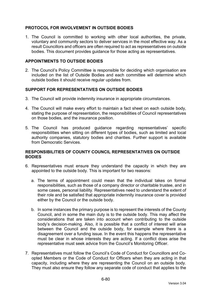## **PROTOCOL FOR INVOLVEMENT IN OUTSIDE BODIES**

1. The Council is committed to working with other local authorities, the private, voluntary and community sectors to deliver services in the most effective way. As a result Councillors and officers are often required to act as representatives on outside bodies. This document provides guidance for those acting as representatives.

### **APPOINTMENTS TO OUTSIDE BODIES**

2. The Council's Policy Committee is responsible for deciding which organisation are included on the list of Outside Bodies and each committee will determine which outside bodies it should receive regular updates from.

## **SUPPORT FOR REPRESENTATIVES ON OUTSIDE BODIES**

- 3. The Council will provide indemnity insurance in appropriate circumstances.
- 4. The Council will make every effort to maintain a fact sheet on each outside body, stating the purpose of representation, the responsibilities of Council representatives on those bodies, and the insurance position.
- 5. The Council has produced guidance regarding representatives' specific responsibilities when sitting on different types of bodies, such as limited and local authority companies, statutory bodies and charities. Further support is available from Democratic Services.

## **RESPONSIBILITIES OF COUNTY COUNCIL REPRESENTATIVES ON OUTSIDE BODIES**

- 6. Representatives must ensure they understand the capacity in which they are appointed to the outside body. This is important for two reasons:
	- a. The terms of appointment could mean that the individual takes on formal responsibilities, such as those of a company director or charitable trustee, and in some cases, personal liability. Representatives need to understand the extent of their role and be satisfied that appropriate indemnity insurance cover is provided either by the Council or the outside body.
	- b. In some instances the primary purpose is to represent the interests of the County Council, and in some the main duty is to the outside body. This may affect the considerations that are taken into account when contributing to the outside body's decision-making. Also, it is possible that a conflict of interest will arise between the Council and the outside body, for example where there is a disagreement over a funding issue. In the event this happens the representative must be clear in whose interests they are acting. If a conflict does arise the representative must seek advice from the Council's Monitoring Officer.
- 7. Representatives must follow the Council's Code of Conduct for Councillors and Coopted Members or the Code of Conduct for Officers when they are acting in that capacity, including where they are representing the Council on an outside body. They must also ensure they follow any separate code of conduct that applies to the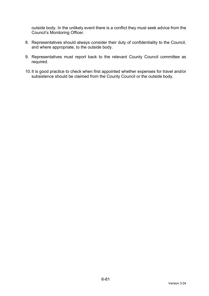outside body. In the unlikely event there is a conflict they must seek advice from the Council's Monitoring Officer.

- 8. Representatives should always consider their duty of confidentiality to the Council, and where appropriate, to the outside body.
- 9. Representatives must report back to the relevant County Council committee as required.
- 10. It is good practice to check when first appointed whether expenses for travel and/or subsistence should be claimed from the County Council or the outside body.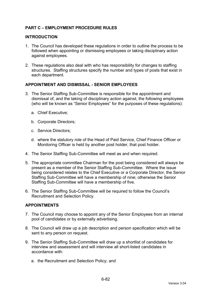# **PART C – EMPLOYMENT PROCEDURE RULES**

### **INTRODUCTION**

- 1. The Council has developed these regulations in order to outline the process to be followed when appointing or dismissing employees or taking disciplinary action against employees.
- 2. These regulations also deal with who has responsibility for changes to staffing structures. Staffing structures specify the number and types of posts that exist in each department.

## **APPOINTMENT AND DISMISSAL - SENIOR EMPLOYEES**

- 3. The Senior Staffing Sub-Committee is responsible for the appointment and dismissal of, and the taking of disciplinary action against, the following employees (who will be known as "Senior Employees" for the purposes of these regulations):
	- a. Chief Executive;
	- b. Corporate Directors;
	- c. Service Directors;
	- d. where the statutory role of the Head of Paid Service, Chief Finance Officer or Monitoring Officer is held by another post holder, that post holder.
- 4. The Senior Staffing Sub-Committee will meet as and when required.
- 5. The appropriate committee Chairman for the post being considered will always be present as a member of the Senior Staffing Sub-Committee. Where the issue being considered relates to the Chief Executive or a Corporate Director, the Senior Staffing Sub-Committee will have a membership of nine; otherwise the Senior Staffing Sub-Committee will have a membership of five.
- 6. The Senior Staffing Sub-Committee will be required to follow the Council's Recruitment and Selection Policy.

## **APPOINTMENTS**

- 7. The Council may choose to appoint any of the Senior Employees from an internal pool of candidates or by externally advertising.
- 8. The Council will draw up a job description and person specification which will be sent to any person on request.
- 9. The Senior Staffing Sub-Committee will draw up a shortlist of candidates for interview and assessment and will interview all short-listed candidates in accordance with:
	- a. the Recruitment and Selection Policy; and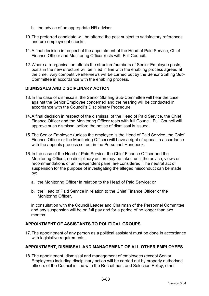- b. the advice of an appropriate HR advisor.
- 10. The preferred candidate will be offered the post subject to satisfactory references and pre-employment checks.
- 11. A final decision in respect of the appointment of the Head of Paid Service, Chief Finance Officer and Monitoring Officer rests with Full Council.
- 12. Where a reorganisation affects the structure/numbers of Senior Employee posts, posts in the new structure will be filled in line with the enabling process agreed at the time. Any competitive interviews will be carried out by the Senior Staffing Sub-Committee in accordance with the enabling process.

## **DISMISSALS AND DISCIPLINARY ACTION**

- 13. In the case of dismissals, the Senior Staffing Sub-Committee will hear the case against the Senior Employee concerned and the hearing will be conducted in accordance with the Council's Disciplinary Procedure.
- 14. A final decision in respect of the dismissal of the Head of Paid Service, the Chief Finance Officer and the Monitoring Officer rests with full Council. Full Council will approve such dismissal before the notice of dismissal is issued.
- 15. The Senior Employee (unless the employee is the Head of Paid Service, the Chief Finance Officer or the Monitoring Officer) will have a right of appeal in accordance with the appeals process set out in the Personnel Handbook.
- 16. In the case of the Head of Paid Service, the Chief Finance Officer and the Monitoring Officer, no disciplinary action may be taken until the advice, views or recommendations of an independent panel are considered. The neutral act of suspension for the purpose of investigating the alleged misconduct can be made by:
	- a. the Monitoring Officer in relation to the Head of Paid Service; or
	- b. the Head of Paid Service in relation to the Chief Finance Officer or the Monitoring Officer,

in consultation with the Council Leader and Chairman of the Personnel Committee and any suspension will be on full pay and for a period of no longer than two months.

## **APPOINTMENT OF ASSISTANTS TO POLITICAL GROUPS**

17. The appointment of any person as a political assistant must be done in accordance with legislative requirements.

### **APPOINTMENT, DISMISSAL AND MANAGEMENT OF ALL OTHER EMPLOYEES**

18. The appointment, dismissal and management of employees (except Senior Employees) including disciplinary action will be carried out by properly authorised officers of the Council in line with the Recruitment and Selection Policy, other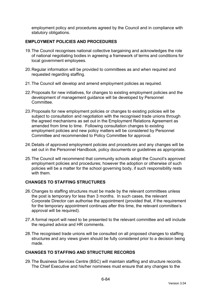employment policy and procedures agreed by the Council and in compliance with statutory obligations.

## **EMPLOYMENT POLICIES AND PROCEDURES**

- 19. The Council recognises national collective bargaining and acknowledges the role of national negotiating bodies in agreeing a framework of terms and conditions for local government employees.
- 20. Regular information will be provided to committees as and when required and requested regarding staffing.
- 21. The Council will develop and amend employment policies as required.
- 22. Proposals for new initiatives, for changes to existing employment policies and the development of management guidance will be developed by Personnel Committee.
- 23. Proposals for new employment policies or changes to existing policies will be subject to consultation and negotiation with the recognised trade unions through the agreed mechanisms as set out in the Employment Relations Agreement as amended from time to time. Following consultation changes to existing employment policies and new policy matters will be considered by Personnel Committee and recommended to Policy Committee for approval.
- 24. Details of approved employment policies and procedures and any changes will be set out in the Personnel Handbook, policy documents or guidelines as appropriate.
- 25. The Council will recommend that community schools adopt the Council's approved employment policies and procedures; however the adoption or otherwise of such policies will be a matter for the school governing body, if such responsibility rests with them.

## **CHANGES TO STAFFING STRUCTURES**

- 26. Changes to staffing structures must be made by the relevant committees unless the post is temporary for less than 3 months. In such cases, the relevant Corporate Director can authorise the appointment (provided that, if the requirement for the temporary appointment continues after this time, the relevant committee's approval will be required).
- 27. A formal report will need to be presented to the relevant committee and will include the required advice and HR comments.
- 28. The recognised trade unions will be consulted on all proposed changes to staffing structures and any views given should be fully considered prior to a decision being made.

## **CHANGES TO STAFFING AND STRUCTURE RECORDS**

29. The Business Services Centre (BSC) will maintain staffing and structure records. The Chief Executive and his/her nominees must ensure that any changes to the